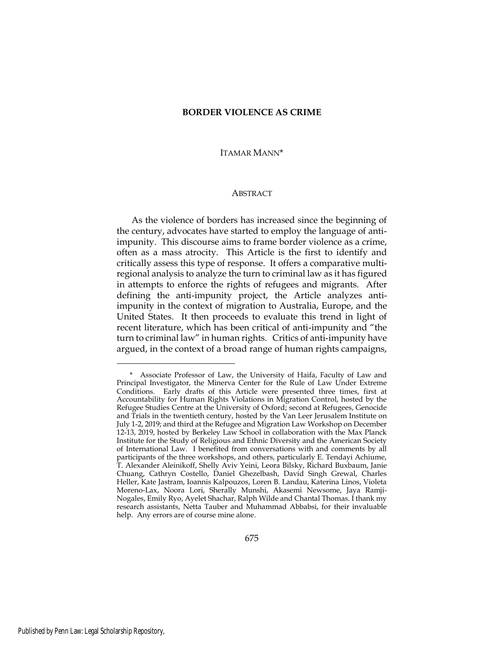## **BORDER VIOLENCE AS CRIME**

# ITAMAR MANN\*

#### ABSTRACT

As the violence of borders has increased since the beginning of the century, advocates have started to employ the language of antiimpunity. This discourse aims to frame border violence as a crime, often as a mass atrocity. This Article is the first to identify and critically assess this type of response. It offers a comparative multiregional analysis to analyze the turn to criminal law as it has figured in attempts to enforce the rights of refugees and migrants. After defining the anti-impunity project, the Article analyzes antiimpunity in the context of migration to Australia, Europe, and the United States. It then proceeds to evaluate this trend in light of recent literature, which has been critical of anti-impunity and "the turn to criminal law" in human rights. Critics of anti-impunity have argued, in the context of a broad range of human rights campaigns,

<sup>\*</sup> Associate Professor of Law, the University of Haifa, Faculty of Law and Principal Investigator, the Minerva Center for the Rule of Law Under Extreme Conditions. Early drafts of this Article were presented three times, first at Accountability for Human Rights Violations in Migration Control, hosted by the Refugee Studies Centre at the University of Oxford; second at Refugees, Genocide and Trials in the twentieth century, hosted by the Van Leer Jerusalem Institute on July 1-2, 2019; and third at the Refugee and Migration Law Workshop on December 12-13, 2019, hosted by Berkeley Law School in collaboration with the Max Planck Institute for the Study of Religious and Ethnic Diversity and the American Society of International Law. I benefited from conversations with and comments by all participants of the three workshops, and others, particularly E. Tendayi Achiume, T. Alexander Aleinikoff, Shelly Aviv Yeini, Leora Bilsky, Richard Buxbaum, Janie Chuang, Cathryn Costello, Daniel Ghezelbash, David Singh Grewal, Charles Heller, Kate Jastram, Ioannis Kalpouzos, Loren B. Landau, Katerina Linos, Violeta Moreno-Lax, Noora Lori, Sherally Munshi, Akasemi Newsome, Jaya Ramji-Nogales, Emily Ryo, Ayelet Shachar, Ralph Wilde and Chantal Thomas. I thank my research assistants, Netta Tauber and Muhammad Abbabsi, for their invaluable help. Any errors are of course mine alone.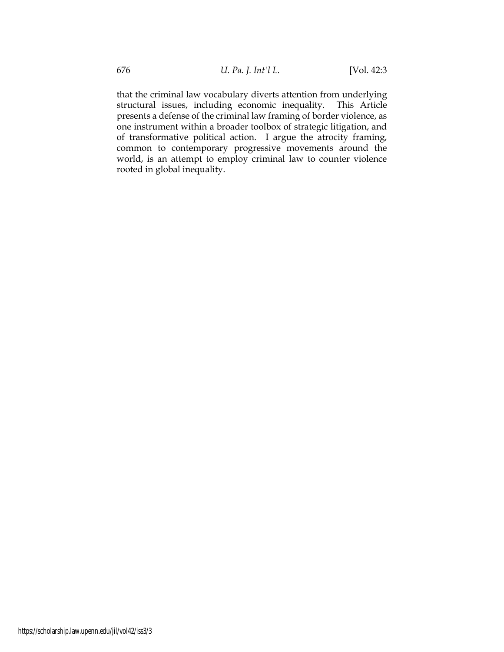that the criminal law vocabulary diverts attention from underlying structural issues, including economic inequality. This Article presents a defense of the criminal law framing of border violence, as one instrument within a broader toolbox of strategic litigation, and of transformative political action. I argue the atrocity framing, common to contemporary progressive movements around the world, is an attempt to employ criminal law to counter violence rooted in global inequality.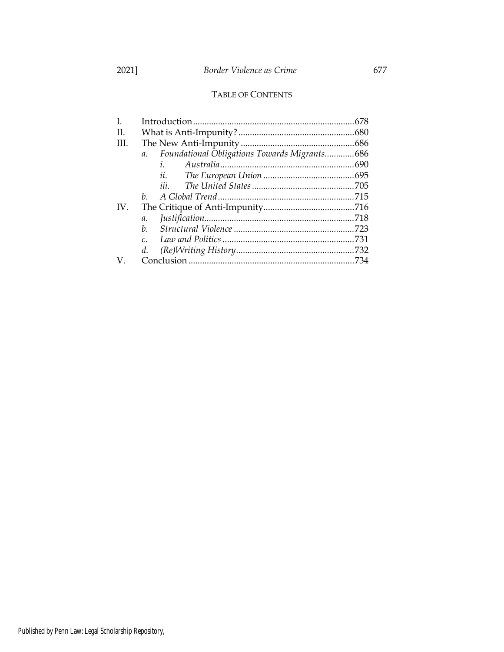# TABLE OF CONTENTS

| Ι.  |                                                                 |  |
|-----|-----------------------------------------------------------------|--|
| II. |                                                                 |  |
| HI. |                                                                 |  |
|     | Foundational Obligations Towards Migrants686<br>$\mathfrak{a}.$ |  |
|     | $\overline{i}$ .                                                |  |
|     |                                                                 |  |
|     | 111.                                                            |  |
|     | $h_{-}$                                                         |  |
| IV. |                                                                 |  |
|     | $\mathfrak{a}.$                                                 |  |
|     | h.                                                              |  |
|     | $\mathcal{C}$ .                                                 |  |
|     | d.                                                              |  |
| V.  |                                                                 |  |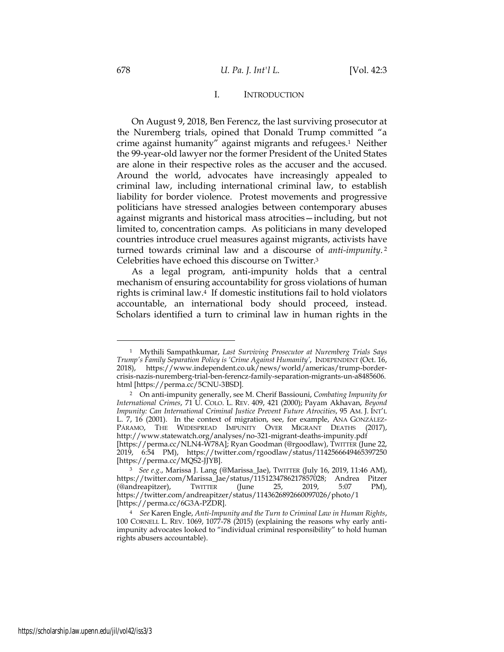## <span id="page-3-1"></span>I. INTRODUCTION

On August 9, 2018, Ben Ferencz, the last surviving prosecutor at the Nuremberg trials, opined that Donald Trump committed "a crime against humanity" against migrants and refugees.<sup>1</sup> Neither the 99-year-old lawyer nor the former President of the United States are alone in their respective roles as the accuser and the accused. Around the world, advocates have increasingly appealed to criminal law, including international criminal law, to establish liability for border violence. Protest movements and progressive politicians have stressed analogies between contemporary abuses against migrants and historical mass atrocities—including, but not limited to, concentration camps. As politicians in many developed countries introduce cruel measures against migrants, activists have turned towards criminal law and a discourse of *anti-impunity*. 2 Celebrities have echoed this discourse on Twitter.<sup>3</sup>

<span id="page-3-0"></span>As a legal program, anti-impunity holds that a central mechanism of ensuring accountability for gross violations of human rights is criminal law.<sup>4</sup> If domestic institutions fail to hold violators accountable, an international body should proceed, instead. Scholars identified a turn to criminal law in human rights in the

<sup>1</sup> Mythili Sampathkumar, *Last Surviving Prosecutor at Nuremberg Trials Says Trump's Family Separation Policy is 'Crime Against Humanity'*, INDEPENDENT (Oct. 16, 2018), https://www.independent.co.uk/news/world/americas/trump-bordercrisis-nazis-nuremberg-trial-ben-ferencz-family-separation-migrants-un-a8485606. html [https://perma.cc/5CNU-3BSD].

<sup>2</sup> On anti-impunity generally, see M. Cherif Bassiouni, *Combating Impunity for International Crimes*, 71 U. COLO. L. REV. 409, 421 (2000); Payam Akhavan, *Beyond Impunity: Can International Criminal Justice Prevent Future Atrocities*, 95 AM. J. INT'L L. 7, 16 (2001). In the context of migration, see, for example, ANA GONZÁLEZ-PÁRAMO, THE WIDESPREAD IMPUNITY OVER MIGRANT DEATHS (2017), http://www.statewatch.org/analyses/no-321-migrant-deaths-impunity.pdf [https://perma.cc/NLN4-W78A]; Ryan Goodman (@rgoodlaw), TWITTER (June 22, 2019, 6:54 PM), https://twitter.com/rgoodlaw/status/1142566649465397250 [https://perma.cc/MQS2-JJYB].

<sup>3</sup> *See e.g.*, Marissa J. Lang (@Marissa\_Jae), TWITTER (July 16, 2019, 11:46 AM), https://twitter.com/Marissa\_Jae/status/1151234786217857028; Andrea Pitzer (@andreapitzer), TWITTER (June 25, 2019, 5:07 PM), https://twitter.com/andreapitzer/status/1143626892660097026/photo/1 [https://perma.cc/6G3A-PZDR].

<sup>4</sup> *See* Karen Engle, *Anti-Impunity and the Turn to Criminal Law in Human Rights*, 100 CORNELL L. REV. 1069, 1077-78 (2015) (explaining the reasons why early antiimpunity advocates looked to "individual criminal responsibility" to hold human rights abusers accountable).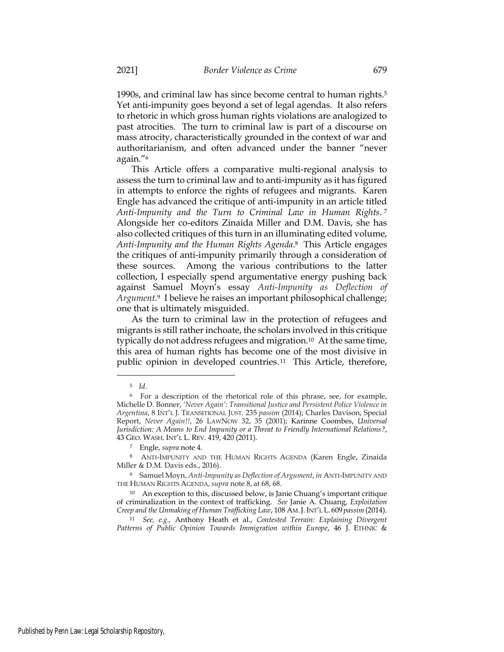1990s, and criminal law has since become central to human rights. 5 Yet anti-impunity goes beyond a set of legal agendas. It also refers to rhetoric in which gross human rights violations are analogized to past atrocities. The turn to criminal law is part of a discourse on mass atrocity, characteristically grounded in the context of war and authoritarianism, and often advanced under the banner "never again."<sup>6</sup>

<span id="page-4-2"></span>This Article offers a comparative multi-regional analysis to assess the turn to criminal law and to anti-impunity as it has figured in attempts to enforce the rights of refugees and migrants. Karen Engle has advanced the critique of anti-impunity in an article titled *Anti-Impunity and the Turn to Criminal Law in Human Rights*. 7 Alongside her co-editors Zinaida Miller and D.M. Davis, she has also collected critiques of this turn in an illuminating edited volume, *Anti-Impunity and the Human Rights Agenda*. <sup>8</sup> This Article engages the critiques of anti-impunity primarily through a consideration of these sources. Among the various contributions to the latter collection, I especially spend argumentative energy pushing back against Samuel Moyn's essay *Anti-Impunity as Deflection of Argument*. <sup>9</sup> I believe he raises an important philosophical challenge; one that is ultimately misguided.

<span id="page-4-0"></span>As the turn to criminal law in the protection of refugees and migrants is still rather inchoate, the scholars involved in this critique typically do not address refugees and migration.<sup>10</sup> At the same time, this area of human rights has become one of the most divisive in public opinion in developed countries. <sup>11</sup> This Article, therefore,

<span id="page-4-1"></span><sup>5</sup> *Id.*

<sup>6</sup> For a description of the rhetorical role of this phrase, see, for example, Michelle D. Bonner, *'Never Again': Transitional Justice and Persistent Police Violence in Argentina*, 8 INT'L J. TRANSITIONAL JUST. 235 *passim* (2014); Charles Davison, Special Report, *Never Again!!*, 26 LAWNOW 32, 35 (2001); Karinne Coombes, *Universal Jurisdiction: A Means to End Impunity or a Threat to Friendly International Relations?*, 43 GEO. WASH. INT'L L. REV. 419, 420 (2011).

<sup>7</sup> Engle, *supra* not[e 4.](#page-3-0)

<sup>8</sup> ANTI-IMPUNITY AND THE HUMAN RIGHTS AGENDA (Karen Engle, Zinaida Miller & D.M. Davis eds., 2016).

<sup>9</sup> Samuel Moyn, *Anti-Impunity as Deflection of Argument*, *in* ANTI-IMPUNITY AND THE HUMAN RIGHTS AGENDA, *supra* note 8, at 68, 68.

<sup>10</sup> An exception to this, discussed below, is Janie Chuang's important critique of criminalization in the context of trafficking. *See* Janie A. Chuang, *Exploitation Creep and the Unmaking of Human Trafficking Law*, 108 AM.J.INT'L L. 609 *passim* (2014).

<sup>11</sup> *See, e.g.,* Anthony Heath et al., *Contested Terrain: Explaining Divergent Patterns of Public Opinion Towards Immigration within Europe*, 46 J. ETHNIC &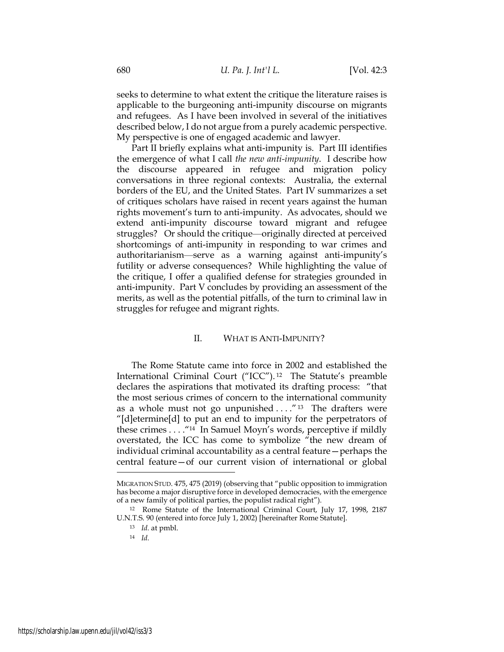seeks to determine to what extent the critique the literature raises is applicable to the burgeoning anti-impunity discourse on migrants and refugees. As I have been involved in several of the initiatives described below, I do not argue from a purely academic perspective. My perspective is one of engaged academic and lawyer.

Part II briefly explains what anti-impunity is. Part III identifies the emergence of what I call *the new anti-impunity*. I describe how the discourse appeared in refugee and migration policy conversations in three regional contexts: Australia, the external borders of the EU, and the United States. Part IV summarizes a set of critiques scholars have raised in recent years against the human rights movement's turn to anti-impunity. As advocates, should we extend anti-impunity discourse toward migrant and refugee struggles? Or should the critique—originally directed at perceived shortcomings of anti-impunity in responding to war crimes and authoritarianism—serve as a warning against anti-impunity's futility or adverse consequences? While highlighting the value of the critique, I offer a qualified defense for strategies grounded in anti-impunity. Part V concludes by providing an assessment of the merits, as well as the potential pitfalls, of the turn to criminal law in struggles for refugee and migrant rights.

# <span id="page-5-0"></span>II. WHAT IS ANTI-IMPUNITY?

The Rome Statute came into force in 2002 and established the International Criminal Court ("ICC"). <sup>12</sup> The Statute's preamble declares the aspirations that motivated its drafting process: "that the most serious crimes of concern to the international community as a whole must not go unpunished  $\dots$ ."<sup>13</sup> The drafters were "[d]etermine[d] to put an end to impunity for the perpetrators of these crimes . . . ."<sup>14</sup> In Samuel Moyn's words, perceptive if mildly overstated, the ICC has come to symbolize "the new dream of individual criminal accountability as a central feature—perhaps the central feature—of our current vision of international or global

MIGRATION STUD. 475, 475 (2019) (observing that "public opposition to immigration has become a major disruptive force in developed democracies, with the emergence of a new family of political parties, the populist radical right").

<sup>12</sup> Rome Statute of the International Criminal Court, July 17, 1998, 2187 U.N.T.S. 90 (entered into force July 1, 2002) [hereinafter Rome Statute].

<sup>13</sup> *Id.* at pmbl.

<sup>14</sup> *Id.*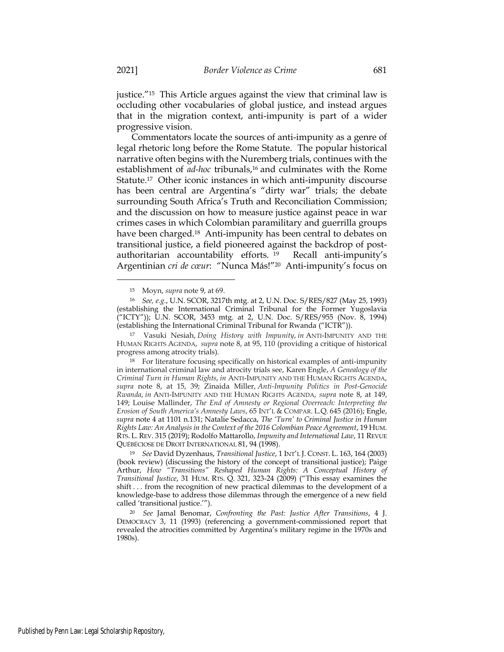justice."<sup>15</sup> This Article argues against the view that criminal law is occluding other vocabularies of global justice, and instead argues that in the migration context, anti-impunity is part of a wider progressive vision.

Commentators locate the sources of anti-impunity as a genre of legal rhetoric long before the Rome Statute. The popular historical narrative often begins with the Nuremberg trials, continues with the establishment of *ad-hoc* tribunals,<sup>16</sup> and culminates with the Rome Statute.<sup>17</sup> Other iconic instances in which anti-impunity discourse has been central are Argentina's "dirty war" trials; the debate surrounding South Africa's Truth and Reconciliation Commission; and the discussion on how to measure justice against peace in war crimes cases in which Colombian paramilitary and guerrilla groups have been charged.18 Anti-impunity has been central to debates on transitional justice, a field pioneered against the backdrop of postauthoritarian accountability efforts. <sup>19</sup> Recall anti-impunity's Argentinian *cri de cœur*: "Nunca Más!"20 Anti-impunity's focus on

<span id="page-6-0"></span><sup>15</sup> Moyn, *supra* not[e 9,](#page-4-0) at 69.

<sup>16</sup> *See, e.g.*, U.N. SCOR, 3217th mtg. at 2, U.N. Doc. S/RES/827 (May 25, 1993) (establishing the International Criminal Tribunal for the Former Yugoslavia ("ICTY")); U.N. SCOR, 3453 mtg. at 2, U.N. Doc. S/RES/955 (Nov. 8, 1994) (establishing the International Criminal Tribunal for Rwanda ("ICTR")).

<sup>17</sup> Vasuki Nesiah, *Doing History with Impunity*, *in* ANTI-IMPUNITY AND THE HUMAN RIGHTS AGENDA, *supra* note 8, at 95, 110 (providing a critique of historical progress among atrocity trials).

<sup>&</sup>lt;sup>18</sup> For literature focusing specifically on historical examples of anti-impunity in international criminal law and atrocity trials see, Karen Engle, *A Genealogy of the Criminal Turn in Human Rights*, *in* ANTI-IMPUNITY AND THE HUMAN RIGHTS AGENDA, *supra* note 8, at 15, 39; Zinaida Miller, *Anti-Impunity Politics in Post-Genocide Rwanda*, *in* ANTI-IMPUNITY AND THE HUMAN RIGHTS AGENDA, *supra* note 8, at 149, 149; Louise Mallinder, *The End of Amnesty or Regional Overreach: Interpreting the Erosion of South America's Amnesty Laws*, 65 INT'L & COMPAR. L.Q. 645 (2016); Engle, *supra* note [4](#page-3-0) at 1101 n.131; Natalie Sedacca, *The 'Turn' to Criminal Justice in Human Rights Law: An Analysis in the Context of the 2016 Colombian Peace Agreement*, 19 HUM. RTS. L. REV. 315 (2019); Rodolfo Mattarollo, *Impunity and International Law*, 11 REVUE QUÉBÉCIOSE DE DROIT INTERNATIONAL 81, 94 (1998).

<sup>19</sup> *See* David Dyzenhaus, *Transitional Justice*, 1 INT'L J. CONST. L. 163, 164 (2003) (book review) (discussing the history of the concept of transitional justice); Paige Arthur, *How "Transitions" Reshaped Human Rights: A Conceptual History of Transitional Justice*, 31 HUM. RTS. Q. 321, 323-24 (2009) ("This essay examines the shift . . . from the recognition of new practical dilemmas to the development of a knowledge-base to address those dilemmas through the emergence of a new field called 'transitional justice.'").

<sup>20</sup> *See* Jamal Benomar, *Confronting the Past: Justice After Transitions*, 4 J. DEMOCRACY 3, 11 (1993) (referencing a government-commissioned report that revealed the atrocities committed by Argentina's military regime in the 1970s and 1980s).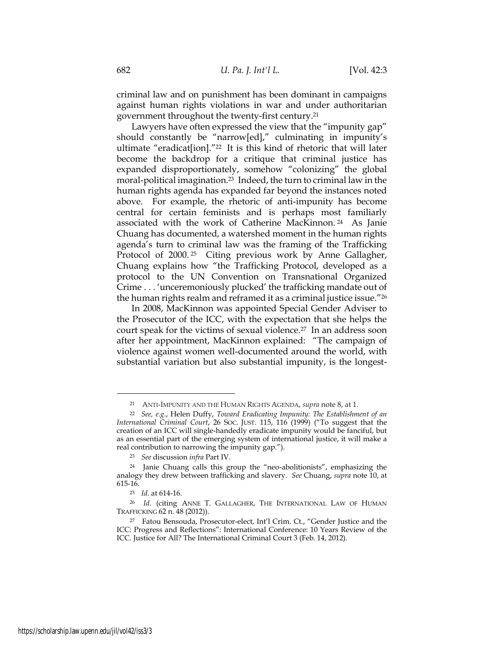criminal law and on punishment has been dominant in campaigns against human rights violations in war and under authoritarian government throughout the twenty-first century.<sup>21</sup>

Lawyers have often expressed the view that the "impunity gap" should constantly be "narrow[ed]," culminating in impunity's ultimate "eradicat[ion]."22 It is this kind of rhetoric that will later become the backdrop for a critique that criminal justice has expanded disproportionately, somehow "colonizing" the global moral-political imagination.23 Indeed, the turn to criminal law in the human rights agenda has expanded far beyond the instances noted above. For example, the rhetoric of anti-impunity has become central for certain feminists and is perhaps most familiarly associated with the work of Catherine MacKinnon. <sup>24</sup> As Janie Chuang has documented, a watershed moment in the human rights agenda's turn to criminal law was the framing of the Trafficking Protocol of 2000.<sup>25</sup> Citing previous work by Anne Gallagher, Chuang explains how "the Trafficking Protocol, developed as a protocol to the UN Convention on Transnational Organized Crime . . . 'unceremoniously plucked' the trafficking mandate out of the human rights realm and reframed it as a criminal justice issue."<sup>26</sup>

In 2008, MacKinnon was appointed Special Gender Adviser to the Prosecutor of the ICC, with the expectation that she helps the court speak for the victims of sexual violence.<sup>27</sup> In an address soon after her appointment, MacKinnon explained: "The campaign of violence against women well-documented around the world, with substantial variation but also substantial impunity, is the longest-

<sup>21</sup> ANTI-IMPUNITY AND THE HUMAN RIGHTS AGENDA, *supra* note 8, at 1.

<sup>22</sup> *See, e.g.*, Helen Duffy, *Toward Eradicating Impunity: The Establishment of an International Criminal Court*, 26 SOC. JUST. 115, 116 (1999) ("To suggest that the creation of an ICC will single-handedly eradicate impunity would be fanciful, but as an essential part of the emerging system of international justice, it will make a real contribution to narrowing the impunity gap.").

<sup>23</sup> *See* discussion *infra* Part IV.

<sup>24</sup> Janie Chuang calls this group the "neo-abolitionists", emphasizing the analogy they drew between trafficking and slavery. *See* Chuang, *supra* note [10,](#page-4-1) at 615-16.

<sup>25</sup> *Id*. at 614-16.

<sup>26</sup> *Id*. (citing ANNE T. GALLAGHER, THE INTERNATIONAL LAW OF HUMAN TRAFFICKING 62 n. 48 (2012)).

<sup>27</sup> Fatou Bensouda, Prosecutor-elect, Int'l Crim. Ct., "Gender Justice and the ICC: Progress and Reflections": International Conference: 10 Years Review of the ICC. Justice for All? The International Criminal Court 3 (Feb. 14, 2012).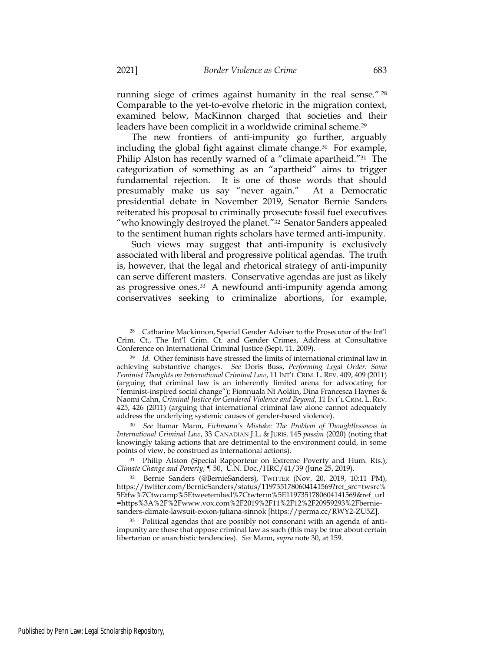running siege of crimes against humanity in the real sense." <sup>28</sup> Comparable to the yet-to-evolve rhetoric in the migration context, examined below, MacKinnon charged that societies and their leaders have been complicit in a worldwide criminal scheme.<sup>29</sup>

The new frontiers of anti-impunity go further, arguably including the global fight against climate change.30 For example, Philip Alston has recently warned of a "climate apartheid."<sup>31</sup> The categorization of something as an "apartheid" aims to trigger fundamental rejection. It is one of those words that should presumably make us say "never again." At a Democratic presidential debate in November 2019, Senator Bernie Sanders reiterated his proposal to criminally prosecute fossil fuel executives "who knowingly destroyed the planet."32 Senator Sanders appealed to the sentiment human rights scholars have termed anti-impunity.

Such views may suggest that anti-impunity is exclusively associated with liberal and progressive political agendas. The truth is, however, that the legal and rhetorical strategy of anti-impunity can serve different masters. Conservative agendas are just as likely as progressive ones.<sup>33</sup> A newfound anti-impunity agenda among conservatives seeking to criminalize abortions, for example,

<sup>30</sup> *See* Itamar Mann, *Eichmann's Mistake: The Problem of Thoughtlessness in International Criminal Law*, 33 CANADIAN J.L. & JURIS. 145 *passim* (2020) (noting that knowingly taking actions that are detrimental to the environment could, in some points of view, be construed as international actions).

<sup>28</sup> Catharine Mackinnon, Special Gender Adviser to the Prosecutor of the Int'l Crim. Ct., The Int'l Crim. Ct. and Gender Crimes, Address at Consultative Conference on International Criminal Justice (Sept. 11, 2009).

<sup>29</sup> *Id.* Other feminists have stressed the limits of international criminal law in achieving substantive changes. *See* Doris Buss, *Performing Legal Order: Some Feminist Thoughts on International Criminal Law*, 11 INT'L CRIM. L. REV. 409, 409 (2011) (arguing that criminal law is an inherently limited arena for advocating for "feminist-inspired social change"); Fionnuala Ní Aoláin, Dina Francesca Haynes & Naomi Cahn, *Criminal Justice for Gendered Violence and Beyond*, 11 INT'L CRIM. L. REV. 425, 426 (2011) (arguing that international criminal law alone cannot adequately address the underlying systemic causes of gender-based violence).

<sup>&</sup>lt;sup>31</sup> Philip Alston (Special Rapporteur on Extreme Poverty and Hum. Rts.), *Climate Change and Poverty*, ¶ 50, U.N. Doc./HRC/41/39 (June 25, 2019).

<sup>32</sup> Bernie Sanders (@BernieSanders), TWITTER (Nov. 20, 2019, 10:11 PM), https://twitter.com/BernieSanders/status/1197351780604141569?ref\_src=twsrc% 5Etfw%7Ctwcamp%5Etweetembed%7Ctwterm%5E1197351780604141569&ref\_url =https%3A%2F%2Fwww.vox.com%2F2019%2F11%2F12%2F20959293%2Fberniesanders-climate-lawsuit-exxon-juliana-sinnok [https://perma.cc/RWY2-ZU5Z].

<sup>33</sup> Political agendas that are possibly not consonant with an agenda of antiimpunity are those that oppose criminal law as such (this may be true about certain libertarian or anarchistic tendencies). *See* Mann, *supra* note 30, at 159.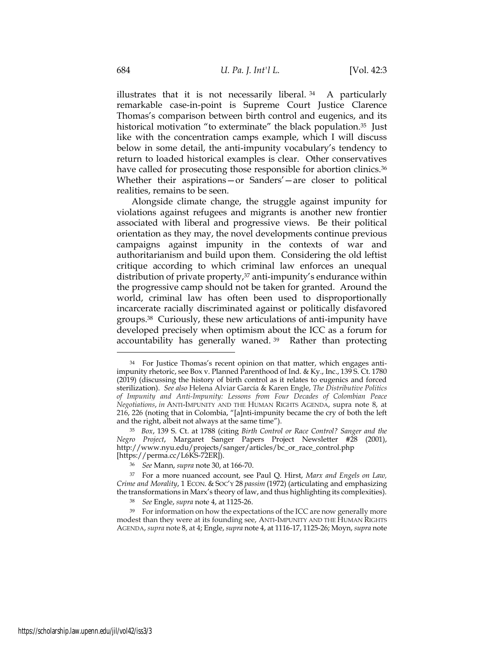<span id="page-9-0"></span>illustrates that it is not necessarily liberal. <sup>34</sup> A particularly remarkable case-in-point is Supreme Court Justice Clarence Thomas's comparison between birth control and eugenics, and its historical motivation "to exterminate" the black population.<sup>35</sup> Just like with the concentration camps example, which I will discuss below in some detail, the anti-impunity vocabulary's tendency to return to loaded historical examples is clear. Other conservatives have called for prosecuting those responsible for abortion clinics.<sup>36</sup> Whether their aspirations—or Sanders'—are closer to political realities, remains to be seen.

Alongside climate change, the struggle against impunity for violations against refugees and migrants is another new frontier associated with liberal and progressive views. Be their political orientation as they may, the novel developments continue previous campaigns against impunity in the contexts of war and authoritarianism and build upon them. Considering the old leftist critique according to which criminal law enforces an unequal distribution of private property,<sup>37</sup> anti-impunity's endurance within the progressive camp should not be taken for granted. Around the world, criminal law has often been used to disproportionally incarcerate racially discriminated against or politically disfavored groups. <sup>38</sup> Curiously, these new articulations of anti-impunity have developed precisely when optimism about the ICC as a forum for accountability has generally waned. <sup>39</sup> Rather than protecting

<sup>35</sup> *Box*, 139 S. Ct. at 1788 (citing *Birth Control or Race Control? Sanger and the Negro Project*, Margaret Sanger Papers Project Newsletter #28 (2001), http://www.nyu.edu/projects/sanger/articles/bc\_or\_race\_control.php [https://perma.cc/L6KS-72ER]).

<sup>39</sup> For information on how the expectations of the ICC are now generally more modest than they were at its founding see, ANTI-IMPUNITY AND THE HUMAN RIGHTS AGENDA, *supra* not[e 8,](#page-4-2) at 4; Engle, *supra* not[e 4,](#page-3-0) at 1116-17, 1125-26; Moyn, *supra* note

<sup>34</sup> For Justice Thomas's recent opinion on that matter, which engages antiimpunity rhetoric, see Box v. Planned Parenthood of Ind. & Ky., Inc., 139 S. Ct. 1780 (2019) (discussing the history of birth control as it relates to eugenics and forced sterilization). *See also* Helena Alviar García & Karen Engle, *The Distributive Politics of Impunity and Anti-Impunity: Lessons from Four Decades of Colombian Peace Negotiations*, *in* ANTI-IMPUNITY AND THE HUMAN RIGHTS AGENDA, supra note 8, at 216, 226 (noting that in Colombia, "[a]nti-impunity became the cry of both the left and the right, albeit not always at the same time").

<sup>36</sup> *See* Mann, *supra* note 30, at 166-70.

<sup>37</sup> For a more nuanced account, see Paul Q. Hirst, *Marx and Engels on Law, Crime and Morality*, 1 ECON. & SOC'Y 28 *passim* (1972) (articulating and emphasizing the transformations in Marx's theory of law, and thus highlighting its complexities).

<sup>38</sup> *See* Engle, *supra* not[e 4,](#page-3-0) at 1125-26.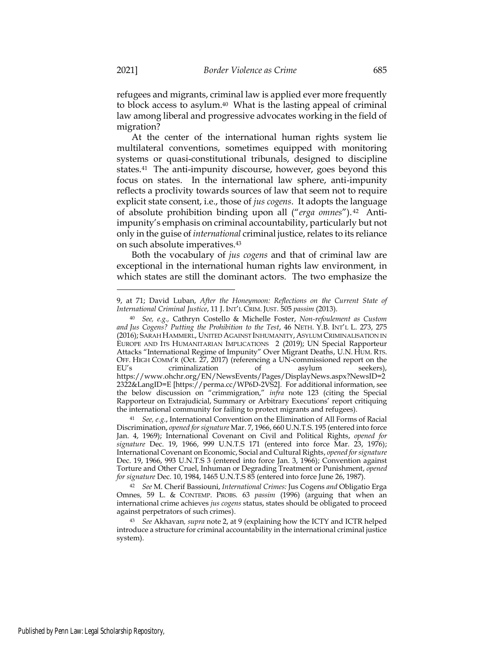<span id="page-10-0"></span>refugees and migrants, criminal law is applied ever more frequently to block access to asylum.40 What is the lasting appeal of criminal law among liberal and progressive advocates working in the field of migration?

At the center of the international human rights system lie multilateral conventions, sometimes equipped with monitoring systems or quasi-constitutional tribunals, designed to discipline states.41 The anti-impunity discourse, however, goes beyond this focus on states. In the international law sphere, anti-impunity reflects a proclivity towards sources of law that seem not to require explicit state consent, i.e., those of *jus cogens*. It adopts the language of absolute prohibition binding upon all ("*erga omnes*"). <sup>42</sup> Antiimpunity's emphasis on criminal accountability, particularly but not only in the guise of *international* criminal justice, relates to its reliance on such absolute imperatives.<sup>43</sup>

Both the vocabulary of *jus cogens* and that of criminal law are exceptional in the international human rights law environment, in which states are still the dominant actors. The two emphasize the

<sup>42</sup> *See* M. Cherif Bassiouni, *International Crimes:* Jus Cogens *and* Obligatio Erga Omnes*,* 59 L. & CONTEMP. PROBS. 63 *passim* (1996) (arguing that when an international crime achieves *jus cogens* status, states should be obligated to proceed against perpetrators of such crimes).

[<sup>9,</sup>](#page-4-0) at 71; David Luban, *After the Honeymoon: Reflections on the Current State of International Criminal Justice*, 11 J. INT'L CRIM. JUST. 505 *passim* (2013).

<sup>40</sup> *See, e.g.,* Cathryn Costello & Michelle Foster, *Non-refoulement as Custom and Jus Cogens? Putting the Prohibition to the Test*, 46 NETH. Y.B. INT'L L. 273, 275 (2016); SARAH HAMMERL, UNITED AGAINST INHUMANITY, ASYLUM CRIMINALISATION IN EUROPE AND ITS HUMANITARIAN IMPLICATIONS 2 (2019); UN Special Rapporteur Attacks "International Regime of Impunity" Over Migrant Deaths, U.N. HUM. RTS. OFF. HIGH COMM'R (Oct. 27, 2017) (referencing a UN-commissioned report on the EU's criminalization of asylum seekers), https://www.ohchr.org/EN/NewsEvents/Pages/DisplayNews.aspx?NewsID=2 2322&LangID=E [https://perma.cc/WP6D-2VS2]. For additional information, see the below discussion on "crimmigration," *infra* note 123 (citing the Special Rapporteur on Extrajudicial, Summary or Arbitrary Executions' report critiquing the international community for failing to protect migrants and refugees).

<sup>41</sup> *See, e.g.*, International Convention on the Elimination of All Forms of Racial Discrimination, *opened for signature* Mar. 7, 1966, 660 U.N.T.S. 195 (entered into force Jan. 4, 1969); International Covenant on Civil and Political Rights, *opened for signature* Dec. 19, 1966, 999 U.N.T.S 171 (entered into force Mar. 23, 1976); International Covenant on Economic, Social and Cultural Rights, *opened for signature* Dec. 19, 1966, 993 U.N.T.S 3 (entered into force Jan. 3, 1966); Convention against Torture and Other Cruel, Inhuman or Degrading Treatment or Punishment, *opened for signature* Dec. 10, 1984, 1465 U.N.T.S 85 (entered into force June 26, 1987).

<sup>43</sup> *See* Akhavan*, supra* not[e 2,](#page-3-1) at 9 (explaining how the ICTY and ICTR helped introduce a structure for criminal accountability in the international criminal justice system).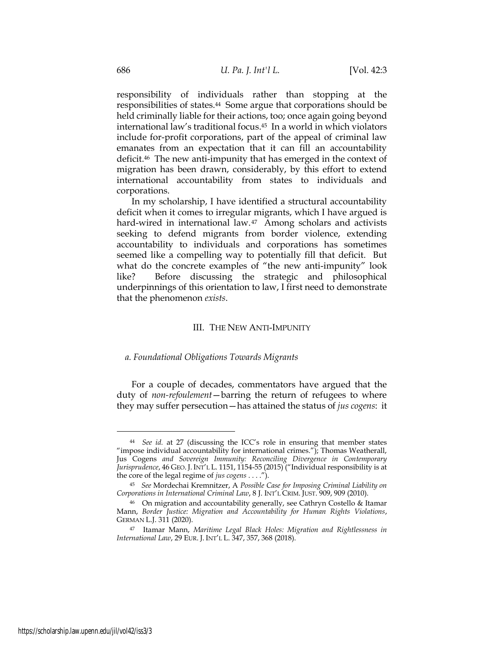<span id="page-11-0"></span>responsibility of individuals rather than stopping at the responsibilities of states.44 Some argue that corporations should be held criminally liable for their actions, too; once again going beyond international law's traditional focus.45 In a world in which violators include for-profit corporations, part of the appeal of criminal law emanates from an expectation that it can fill an accountability deficit.46 The new anti-impunity that has emerged in the context of migration has been drawn, considerably, by this effort to extend international accountability from states to individuals and corporations.

In my scholarship, I have identified a structural accountability deficit when it comes to irregular migrants, which I have argued is hard-wired in international law.<sup>47</sup> Among scholars and activists seeking to defend migrants from border violence, extending accountability to individuals and corporations has sometimes seemed like a compelling way to potentially fill that deficit. But what do the concrete examples of "the new anti-impunity" look like? Before discussing the strategic and philosophical underpinnings of this orientation to law, I first need to demonstrate that the phenomenon *exists*.

#### <span id="page-11-1"></span>III. THE NEW ANTI-IMPUNITY

# *a. Foundational Obligations Towards Migrants*

For a couple of decades, commentators have argued that the duty of *non-refoulement*—barring the return of refugees to where they may suffer persecution—has attained the status of *jus cogens*: it

<sup>44</sup> *See id.* at 27 (discussing the ICC's role in ensuring that member states "impose individual accountability for international crimes."); Thomas Weatherall, Jus Cogens *and Sovereign Immunity: Reconciling Divergence in Contemporary Jurisprudence*, 46 GEO. J. INT'L L. 1151, 1154-55 (2015) ("Individual responsibility is at the core of the legal regime of *jus cogens* . . . .").

<sup>45</sup> *See* Mordechai Kremnitzer, A *Possible Case for Imposing Criminal Liability on Corporations in International Criminal Law*, 8 J. INT'L CRIM. JUST. 909, 909 (2010).

<sup>46</sup> On migration and accountability generally, see Cathryn Costello & Itamar Mann, *Border Justice: Migration and Accountability for Human Rights Violations*, GERMAN L.J. 311 (2020).

<sup>47</sup> Itamar Mann, *Maritime Legal Black Holes: Migration and Rightlessness in International Law*, 29 EUR. J. INT'L L. 347, 357, 368 (2018).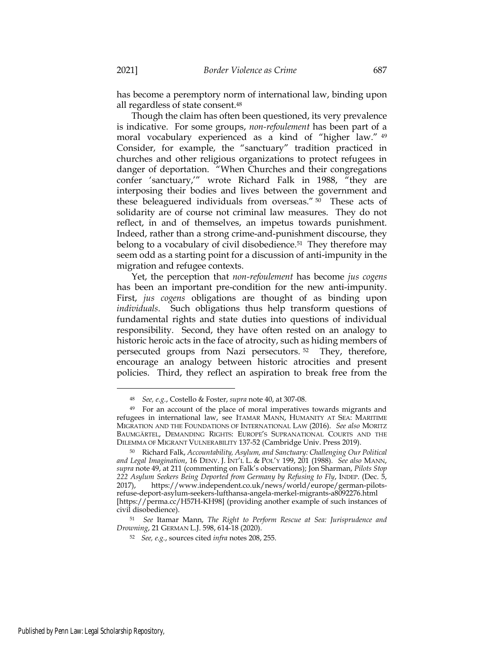has become a peremptory norm of international law, binding upon all regardless of state consent.<sup>48</sup>

Though the claim has often been questioned, its very prevalence is indicative. For some groups, *non-refoulement* has been part of a moral vocabulary experienced as a kind of "higher law." <sup>49</sup> Consider, for example, the "sanctuary" tradition practiced in churches and other religious organizations to protect refugees in danger of deportation. "When Churches and their congregations confer 'sanctuary,'" wrote Richard Falk in 1988, "they are interposing their bodies and lives between the government and these beleaguered individuals from overseas."  $50$  These acts of solidarity are of course not criminal law measures. They do not reflect, in and of themselves, an impetus towards punishment. Indeed, rather than a strong crime-and-punishment discourse, they belong to a vocabulary of civil disobedience.<sup>51</sup> They therefore may seem odd as a starting point for a discussion of anti-impunity in the migration and refugee contexts.

<span id="page-12-0"></span>Yet, the perception that *non-refoulement* has become *jus cogens* has been an important pre-condition for the new anti-impunity. First, *jus cogens* obligations are thought of as binding upon *individuals*. Such obligations thus help transform questions of fundamental rights and state duties into questions of individual responsibility. Second, they have often rested on an analogy to historic heroic acts in the face of atrocity, such as hiding members of persecuted groups from Nazi persecutors. <sup>52</sup> They, therefore, encourage an analogy between historic atrocities and present policies. Third, they reflect an aspiration to break free from the

<sup>48</sup> *See, e.g.*, Costello & Foster, *supra* not[e 40,](#page-10-0) at 307-08.

<sup>49</sup> For an account of the place of moral imperatives towards migrants and refugees in international law, see ITAMAR MANN, HUMANITY AT SEA: MARITIME MIGRATION AND THE FOUNDATIONS OF INTERNATIONAL LAW (2016). *See also* MORITZ BAUMGÄRTEL, DEMANDING RIGHTS: EUROPE'S SUPRANATIONAL COURTS AND THE DILEMMA OF MIGRANT VULNERABILITY 137-52 (Cambridge Univ. Press 2019).

<sup>50</sup> Richard Falk, *Accountability, Asylum, and Sanctuary: Challenging Our Political and Legal Imagination*, 16 DENV. J. INT'L L. & POL'Y 199, 201 (1988). *See also* MANN, *supra* note 49, at 211 (commenting on Falk's observations); Jon Sharman, *Pilots Stop 222 Asylum Seekers Being Deported from Germany by Refusing to Fly*, INDEP. (Dec. 5, 2017), https://www.independent.co.uk/news/world/europe/german-pilotsrefuse-deport-asylum-seekers-lufthansa-angela-merkel-migrants-a8092276.html [https://perma.cc/H57H-KH98] (providing another example of such instances of civil disobedience).

<sup>51</sup> *See* Itamar Mann, *The Right to Perform Rescue at Sea: Jurisprudence and Drowning*, 21 GERMAN L.J. 598, 614-18 (2020).

<sup>52</sup> *See, e.g.*, sources cited *infra* notes 208[, 255.](#page-47-0)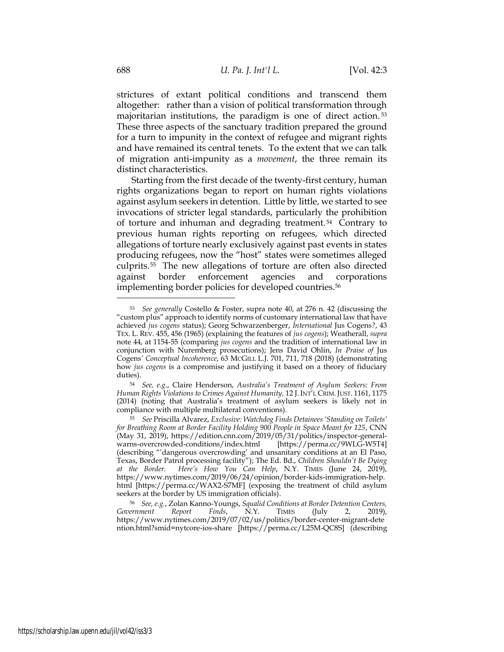strictures of extant political conditions and transcend them altogether: rather than a vision of political transformation through majoritarian institutions, the paradigm is one of direct action. <sup>53</sup> These three aspects of the sanctuary tradition prepared the ground for a turn to impunity in the context of refugee and migrant rights and have remained its central tenets. To the extent that we can talk of migration anti-impunity as a *movement*, the three remain its distinct characteristics.

<span id="page-13-0"></span>Starting from the first decade of the twenty-first century, human rights organizations began to report on human rights violations against asylum seekers in detention. Little by little, we started to see invocations of stricter legal standards, particularly the prohibition of torture and inhuman and degrading treatment. <sup>54</sup> Contrary to previous human rights reporting on refugees, which directed allegations of torture nearly exclusively against past events in states producing refugees, now the "host" states were sometimes alleged culprits.55 The new allegations of torture are often also directed against border enforcement agencies and corporations implementing border policies for developed countries.<sup>56</sup>

<sup>53</sup> *See generally* Costello & Foster, supra note [40,](#page-10-0) at 276 n. 42 (discussing the "custom plus" approach to identify norms of customary international law that have achieved *jus cogens* status); Georg Schwarzenberger, *International* Jus Cogens*?*, 43 TEX. L. REV. 455, 456 (1965) (explaining the features of *jus cogens*); Weatherall, *supra*  note [44,](#page-11-0) at 1154-55 (comparing *jus cogens* and the tradition of international law in conjunction with Nuremberg prosecutions); Jens David Ohlin, *In Praise of* Jus Cogens*' Conceptual Incoherence*, 63 MCGILL L.J. 701, 711, 718 (2018) (demonstrating how *jus cogens* is a compromise and justifying it based on a theory of fiduciary duties).

<sup>54</sup> *See, e.g*., Claire Henderson, *Australia's Treatment of Asylum Seekers: From Human Rights Violations to Crimes Against Humanity,* 12 J. INT'L CRIM. JUST. 1161, 1175 (2014) (noting that Australia's treatment of asylum seekers is likely not in compliance with multiple multilateral conventions).

<sup>55</sup> *See* Priscilla Alvarez, *Exclusive: Watchdog Finds Detainees 'Standing on Toilets' for Breathing Room at Border Facility Holding 900 People in Space Meant for 125*, CNN (May 31, 2019), https://edition.cnn.com/2019/05/31/politics/inspector-generalwarns-overcrowded-conditions/index.html (describing "'dangerous overcrowding' and unsanitary conditions at an El Paso, Texas, Border Patrol processing facility"); The Ed. Bd., *Children Shouldn't Be Dying at the Border. Here's How You Can Help*, N.Y. TIMES (June 24, 2019), https://www.nytimes.com/2019/06/24/opinion/border-kids-immigration-help. html [https://perma.cc/WAX2-S7MF] (exposing the treatment of child asylum seekers at the border by US immigration officials).

<sup>56</sup> *See, e.g.*, Zolan Kanno-Youngs, *Squalid Conditions at Border Detention Centers, Government Report Finds*, N.Y. TIMES (July 2, 2019), https://www.nytimes.com/2019/07/02/us/politics/border-center-migrant-dete ntion.html?smid=nytcore-ios-share [https://perma.cc/L25M-QC8S] (describing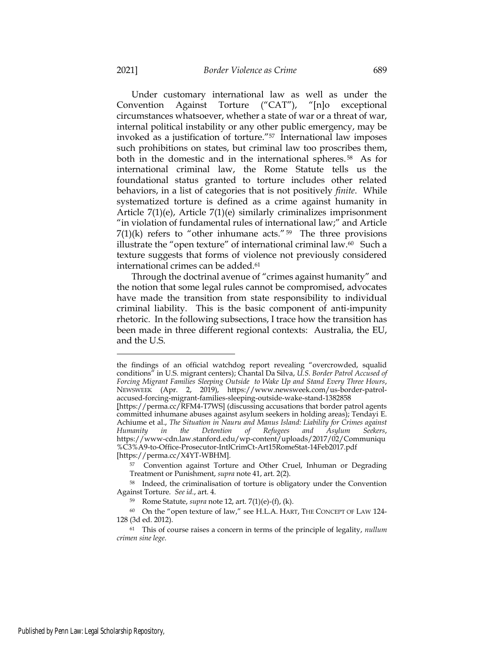Under customary international law as well as under the Convention Against Torture ("CAT"), "[n]o exceptional circumstances whatsoever, whether a state of war or a threat of war, internal political instability or any other public emergency, may be invoked as a justification of torture."57 International law imposes such prohibitions on states, but criminal law too proscribes them, both in the domestic and in the international spheres. <sup>58</sup> As for international criminal law, the Rome Statute tells us the foundational status granted to torture includes other related behaviors, in a list of categories that is not positively *finite*. While systematized torture is defined as a crime against humanity in Article 7(1)(e), Article 7(1)(e) similarly criminalizes imprisonment "in violation of fundamental rules of international law;" and Article  $7(1)(k)$  refers to "other inhumane acts."<sup>59</sup> The three provisions illustrate the "open texture" of international criminal law.60 Such a texture suggests that forms of violence not previously considered international crimes can be added.<sup>61</sup>

Through the doctrinal avenue of "crimes against humanity" and the notion that some legal rules cannot be compromised, advocates have made the transition from state responsibility to individual criminal liability. This is the basic component of anti-impunity rhetoric. In the following subsections, I trace how the transition has been made in three different regional contexts: Australia, the EU, and the U.S.

the findings of an official watchdog report revealing "overcrowded, squalid conditions" in U.S. migrant centers); Chantal Da Silva, *U.S. Border Patrol Accused of Forcing Migrant Families Sleeping Outside to Wake Up and Stand Every Three Hours*, NEWSWEEK (Apr. 2, 2019), https://www.newsweek.com/us-border-patrolaccused-forcing-migrant-families-sleeping-outside-wake-stand-1382858

<sup>[</sup>https://perma.cc/RFM4-T7WS] (discussing accusations that border patrol agents committed inhumane abuses against asylum seekers in holding areas); Tendayi E. Achiume et al., *The Situation in Nauru and Manus Island: Liability for Crimes against Humanity in the Detention of Refugees and Asylum Seekers*, https://www-cdn.law.stanford.edu/wp-content/uploads/2017/02/Communiqu %C3%A9-to-Office-Prosecutor-IntlCrimCt-Art15RomeStat-14Feb2017.pdf [https://perma.cc/X4YT-WBHM].

<sup>57</sup> Convention against Torture and Other Cruel, Inhuman or Degrading Treatment or Punishment, *supra* note 41, art. 2(2).

<sup>58</sup> Indeed, the criminalisation of torture is obligatory under the Convention Against Torture. *See id.*, art. 4.

<sup>59</sup> Rome Statute, *supra* note 12, art. 7(1)(e)-(f), (k).

<sup>60</sup> On the "open texture of law," see H.L.A. HART, THE CONCEPT OF LAW 124- 128 (3d ed. 2012).

<sup>61</sup> This of course raises a concern in terms of the principle of legality, *nullum crimen sine lege.*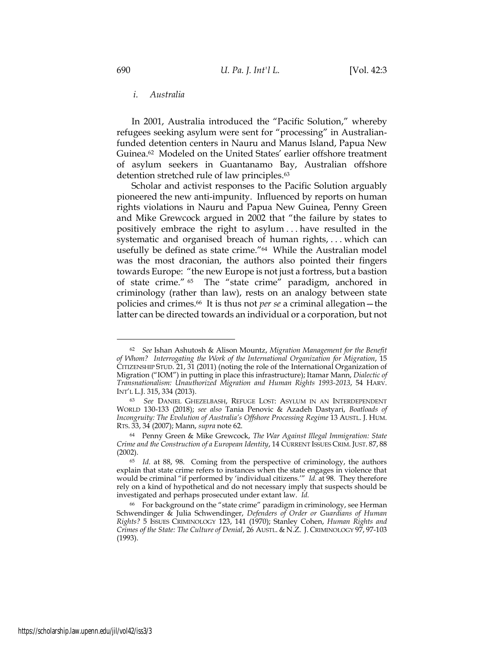# *i. Australia*

In 2001, Australia introduced the "Pacific Solution," whereby refugees seeking asylum were sent for "processing" in Australianfunded detention centers in Nauru and Manus Island, Papua New Guinea.62 Modeled on the United States' earlier offshore treatment of asylum seekers in Guantanamo Bay, Australian offshore detention stretched rule of law principles.<sup>63</sup>

Scholar and activist responses to the Pacific Solution arguably pioneered the new anti-impunity. Influenced by reports on human rights violations in Nauru and Papua New Guinea, Penny Green and Mike Grewcock argued in 2002 that "the failure by states to positively embrace the right to asylum . . . have resulted in the systematic and organised breach of human rights, . . . which can usefully be defined as state crime."64 While the Australian model was the most draconian, the authors also pointed their fingers towards Europe: "the new Europe is not just a fortress, but a bastion of state crime." <sup>65</sup> The "state crime" paradigm, anchored in criminology (rather than law), rests on an analogy between state policies and crimes.66 It is thus not *per se* a criminal allegation—the latter can be directed towards an individual or a corporation, but not

<sup>62</sup> *See* Ishan Ashutosh & Alison Mountz, *Migration Management for the Benefit of Whom? Interrogating the Work of the International Organization for Migration*, 15 CITIZENSHIP STUD. 21, 31 (2011) (noting the role of the International Organization of Migration ("IOM") in putting in place this infrastructure); Itamar Mann, *Dialectic of Transnationalism: Unauthorized Migration and Human Rights 1993-2013*, 54 HARV. INT'L L.J. 315, 334 (2013).

<sup>63</sup> *See* DANIEL GHEZELBASH, REFUGE LOST: ASYLUM IN AN INTERDEPENDENT WORLD 130-133 (2018); *see also* Tania Penovic & Azadeh Dastyari, *Boatloads of Incongruity: The Evolution of Australia's Offshore Processing Regime* 13 AUSTL. J. HUM. RTS. 33, 34 (2007); Mann, *supra* note 62.

<sup>64</sup> Penny Green & Mike Grewcock, *The War Against Illegal Immigration: State Crime and the Construction of a European Identity*, 14 CURRENT ISSUES CRIM. JUST. 87, 88 (2002).

<sup>65</sup> *Id.* at 88, 98. Coming from the perspective of criminology, the authors explain that state crime refers to instances when the state engages in violence that would be criminal "if performed by 'individual citizens.'" *Id.* at 98. They therefore rely on a kind of hypothetical and do not necessary imply that suspects should be investigated and perhaps prosecuted under extant law. *Id.*

<sup>66</sup> For background on the "state crime" paradigm in criminology, see Herman Schwendinger & Julia Schwendinger, *Defenders of Order or Guardians of Human Rights?* 5 ISSUES CRIMINOLOGY 123, 141 (1970); Stanley Cohen, *Human Rights and Crimes of the State: The Culture of Denial*, 26 AUSTL. & N.Z. J. CRIMINOLOGY 97, 97-103 (1993).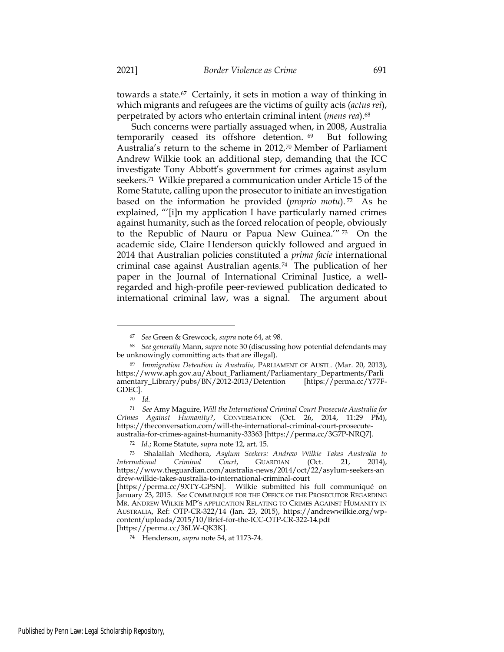towards a state.67 Certainly, it sets in motion a way of thinking in which migrants and refugees are the victims of guilty acts (*actus rei*), perpetrated by actors who entertain criminal intent (*mens rea*).<sup>68</sup>

Such concerns were partially assuaged when, in 2008, Australia temporarily ceased its offshore detention. <sup>69</sup> But following Australia's return to the scheme in 2012,<sup>70</sup> Member of Parliament Andrew Wilkie took an additional step, demanding that the ICC investigate Tony Abbott's government for crimes against asylum seekers.71 Wilkie prepared a communication under Article 15 of the Rome Statute, calling upon the prosecutor to initiate an investigation based on the information he provided (*proprio motu*). <sup>72</sup> As he explained, "'[i]n my application I have particularly named crimes against humanity, such as the forced relocation of people, obviously to the Republic of Nauru or Papua New Guinea.'" <sup>73</sup> On the academic side, Claire Henderson quickly followed and argued in 2014 that Australian policies constituted a *prima facie* international criminal case against Australian agents.<sup>74</sup> The publication of her paper in the Journal of International Criminal Justice, a wellregarded and high-profile peer-reviewed publication dedicated to international criminal law, was a signal. The argument about

<sup>67</sup> *See* Green & Grewcock, *supra* note 64, at 98.

<sup>68</sup> *See generally* Mann, *supra* note 30 (discussing how potential defendants may be unknowingly committing acts that are illegal).

<sup>69</sup> *Immigration Detention in Australia*, PARLIAMENT OF AUSTL. (Mar. 20, 2013), https://www.aph.gov.au/About\_Parliament/Parliamentary\_Departments/Parli amentary\_Library/pubs/BN/2012-2013/Detention [https://perma.cc/Y77F-GDEC].

<sup>70</sup> *Id.*

<sup>71</sup> *See* Amy Maguire, *Will the International Criminal Court Prosecute Australia for*  Crimes Against Humanity?, CONVERSATION (Oct. 26, 2014, 11:29 PM), https://theconversation.com/will-the-international-criminal-court-prosecuteaustralia-for-crimes-against-humanity-33363 [https://perma.cc/3G7P-NRQ7].

<sup>72</sup> *Id.*; Rome Statute, *supra* note [12,](#page-5-0) art. 15.

<sup>73</sup> Shalailah Medhora, *Asylum Seekers: Andrew Wilkie Takes Australia to International Criminal Court*, GUARDIAN (Oct. 21, 2014), https://www.theguardian.com/australia-news/2014/oct/22/asylum-seekers-an drew-wilkie-takes-australia-to-international-criminal-court [https://perma.cc/9XTY-GPSN]. Wilkie submitted his full communiqué on January 23, 2015. *See* COMMUNIQUÉ FOR THE OFFICE OF THE PROSECUTOR REGARDING MR. ANDREW WILKIE MP'S APPLICATION RELATING TO CRIMES AGAINST HUMANITY IN

AUSTRALIA, Ref: OTP-CR-322/14 (Jan. 23, 2015), https://andrewwilkie.org/wpcontent/uploads/2015/10/Brief-for-the-ICC-OTP-CR-322-14.pdf [https://perma.cc/36LW-QK3K].

<sup>74</sup> Henderson, *supra* note [54,](#page-13-0) at 1173-74.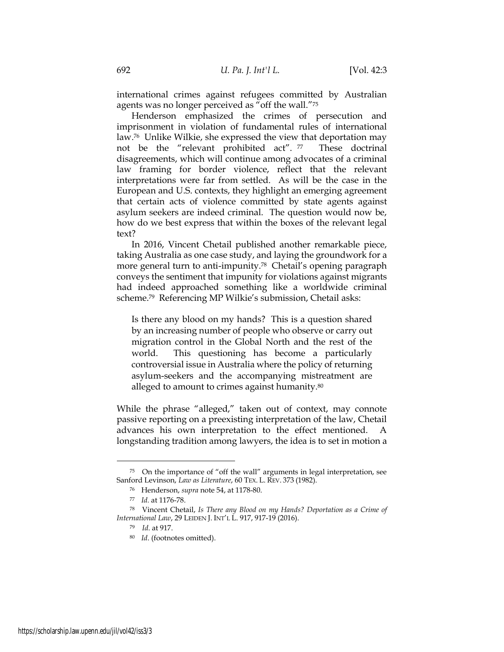international crimes against refugees committed by Australian agents was no longer perceived as "off the wall."<sup>75</sup>

Henderson emphasized the crimes of persecution and imprisonment in violation of fundamental rules of international law. <sup>76</sup> Unlike Wilkie, she expressed the view that deportation may not be the "relevant prohibited act". 77 These doctrinal disagreements, which will continue among advocates of a criminal law framing for border violence, reflect that the relevant interpretations were far from settled. As will be the case in the European and U.S. contexts, they highlight an emerging agreement that certain acts of violence committed by state agents against asylum seekers are indeed criminal. The question would now be, how do we best express that within the boxes of the relevant legal text?

In 2016, Vincent Chetail published another remarkable piece, taking Australia as one case study, and laying the groundwork for a more general turn to anti-impunity.<sup>78</sup> Chetail's opening paragraph conveys the sentiment that impunity for violations against migrants had indeed approached something like a worldwide criminal scheme.<sup>79</sup> Referencing MP Wilkie's submission, Chetail asks:

Is there any blood on my hands? This is a question shared by an increasing number of people who observe or carry out migration control in the Global North and the rest of the world. This questioning has become a particularly controversial issue in Australia where the policy of returning asylum-seekers and the accompanying mistreatment are alleged to amount to crimes against humanity.<sup>80</sup>

While the phrase "alleged," taken out of context, may connote passive reporting on a preexisting interpretation of the law, Chetail advances his own interpretation to the effect mentioned. A longstanding tradition among lawyers, the idea is to set in motion a

<sup>75</sup> On the importance of "off the wall" arguments in legal interpretation, see Sanford Levinson, *Law as Literature*, 60 TEX. L. REV. 373 (1982).

<sup>76</sup> Henderson, *supra* note 54, at 1178-80.

<sup>77</sup> *Id.* at 1176-78.

<sup>78</sup> Vincent Chetail, *Is There any Blood on my Hands? Deportation as a Crime of International Law*, 29 LEIDEN J. INT'L L. 917, 917-19 (2016).

<sup>79</sup> *Id*. at 917.

<sup>80</sup> *Id*. (footnotes omitted).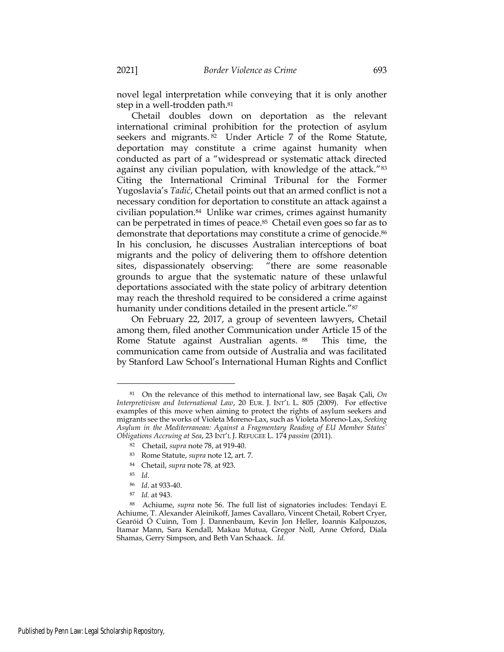novel legal interpretation while conveying that it is only another step in a well-trodden path.<sup>81</sup>

Chetail doubles down on deportation as the relevant international criminal prohibition for the protection of asylum seekers and migrants. <sup>82</sup> Under Article 7 of the Rome Statute, deportation may constitute a crime against humanity when conducted as part of a "widespread or systematic attack directed against any civilian population, with knowledge of the attack."<sup>83</sup> Citing the International Criminal Tribunal for the Former Yugoslavia's *Tadić*, Chetail points out that an armed conflict is not a necessary condition for deportation to constitute an attack against a civilian population.84 Unlike war crimes, crimes against humanity can be perpetrated in times of peace.85 Chetail even goes so far as to demonstrate that deportations may constitute a crime of genocide.<sup>86</sup> In his conclusion, he discusses Australian interceptions of boat migrants and the policy of delivering them to offshore detention sites, dispassionately observing: "there are some reasonable grounds to argue that the systematic nature of these unlawful deportations associated with the state policy of arbitrary detention may reach the threshold required to be considered a crime against humanity under conditions detailed in the present article."<sup>87</sup>

On February 22, 2017, a group of seventeen lawyers, Chetail among them, filed another Communication under Article 15 of the Rome Statute against Australian agents. <sup>88</sup> This time, the communication came from outside of Australia and was facilitated by Stanford Law School's International Human Rights and Conflict

<sup>81</sup> On the relevance of this method to international law, see Başak Çali, *On Interpretivism and International Law*, 20 EUR. J. INT'L L. 805 (2009). For effective examples of this move when aiming to protect the rights of asylum seekers and migrants see the works of Violeta Moreno-Lax, such as Violeta Moreno-Lax, *Seeking Asylum in the Mediterranean: Against a Fragmentary Reading of EU Member States' Obligations Accruing at Sea*, 23 INT'L J. REFUGEE L. 174 *passim* (2011).

<sup>82</sup> Chetail, *supra* note 78, at 919-40.

<sup>83</sup> Rome Statute, *supra* note [12,](#page-5-0) art. 7.

<sup>84</sup> Chetail, *supra* note 78*,* at 923.

<sup>85</sup> *Id*.

<sup>86</sup> *Id*. at 933-40.

<sup>87</sup> *Id.* at 943.

<sup>88</sup> Achiume, *supra* note 56. The full list of signatories includes: Tendayi E. Achiume, T. Alexander Aleinikoff, James Cavallaro, Vincent Chetail, Robert Cryer, Gearóid Ó Cuinn, Tom J. Dannenbaum, Kevin Jon Heller, Ioannis Kalpouzos, Itamar Mann, Sara Kendall, Makau Mutua, Gregor Noll, Anne Orford, Diala Shamas, Gerry Simpson, and Beth Van Schaack. *Id.*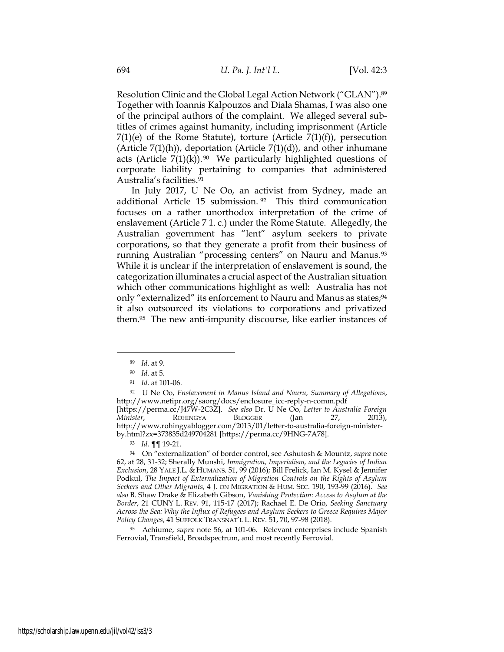Resolution Clinic and the Global Legal Action Network ("GLAN").<sup>89</sup> Together with Ioannis Kalpouzos and Diala Shamas, I was also one of the principal authors of the complaint. We alleged several subtitles of crimes against humanity, including imprisonment (Article  $7(1)(e)$  of the Rome Statute), torture (Article  $7(1)(f)$ ), persecution (Article  $7(1)(h)$ ), deportation (Article  $7(1)(d)$ ), and other inhumane acts (Article  $7(1)(k)$ ).<sup>90</sup> We particularly highlighted questions of corporate liability pertaining to companies that administered Australia's facilities.<sup>91</sup>

In July 2017, U Ne Oo, an activist from Sydney, made an additional Article 15 submission. <sup>92</sup> This third communication focuses on a rather unorthodox interpretation of the crime of enslavement (Article 7 1. c.) under the Rome Statute. Allegedly, the Australian government has "lent" asylum seekers to private corporations, so that they generate a profit from their business of running Australian "processing centers" on Nauru and Manus.<sup>93</sup> While it is unclear if the interpretation of enslavement is sound, the categorization illuminates a crucial aspect of the Australian situation which other communications highlight as well: Australia has not only "externalized" its enforcement to Nauru and Manus as states;<sup>94</sup> it also outsourced its violations to corporations and privatized them.95 The new anti-impunity discourse, like earlier instances of

<sup>95</sup> Achiume, *supra* note 56, at 101-06. Relevant enterprises include Spanish Ferrovial, Transfield, Broadspectrum, and most recently Ferrovial.

<sup>89</sup> *Id*. at 9.

<sup>90</sup> *Id.* at 5.

<sup>91</sup> *Id.* at 101-06.

<sup>92</sup> U Ne Oo, *Enslavement in Manus Island and Nauru, Summary of Allegations*, http://www.netipr.org/saorg/docs/enclosure\_icc-reply-n-comm.pdf [https://perma.cc/J47W-2C3Z]. *See also* Dr. U Ne Oo, *Letter to Australia Foreign Minister*, ROHINGYA BLOGGER (Jan 27, 2013), http://www.rohingyablogger.com/2013/01/letter-to-australia-foreign-ministerby.html?zx=373835d249704281 [https://perma.cc/9HNG-7A78].

<sup>93</sup> *Id.* ¶¶ 19-21.

<sup>94</sup> On "externalization" of border control, see Ashutosh & Mountz, *supra* note 62, at 28, 31-32; Sherally Munshi, *Immigration, Imperialism, and the Legacies of Indian Exclusion*, 28 YALE J.L. & HUMANS. 51, 99 (2016); Bill Frelick, Ian M. Kysel & Jennifer Podkul, *The Impact of Externalization of Migration Controls on the Rights of Asylum Seekers and Other Migrants*, 4 J. ON MIGRATION & HUM. SEC. 190, 193-99 (2016). *See also* B. Shaw Drake & Elizabeth Gibson, *Vanishing Protection: Access to Asylum at the Border*, 21 CUNY L. REV. 91, 115-17 (2017); Rachael E. De Orio, *Seeking Sanctuary Across the Sea: Why the Influx of Refugees and Asylum Seekers to Greece Requires Major Policy Changes*, 41 SUFFOLK TRANSNAT'L L. REV. 51, 70, 97-98 (2018).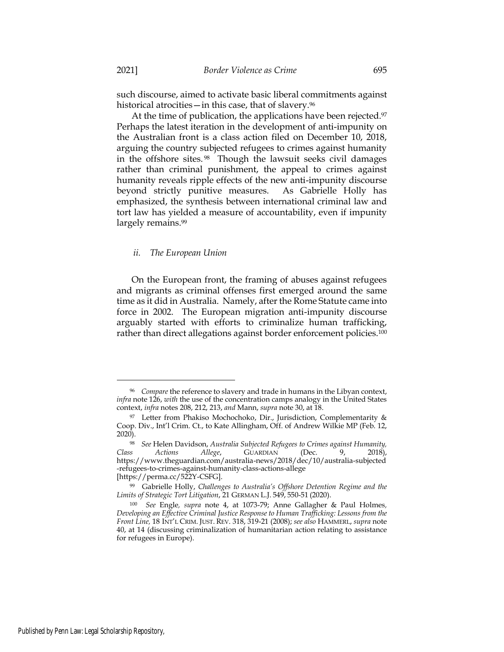such discourse, aimed to activate basic liberal commitments against historical atrocities—in this case, that of slavery.<sup>96</sup>

At the time of publication, the applications have been rejected. 97 Perhaps the latest iteration in the development of anti-impunity on the Australian front is a class action filed on December 10, 2018, arguing the country subjected refugees to crimes against humanity in the offshore sites. <sup>98</sup> Though the lawsuit seeks civil damages rather than criminal punishment, the appeal to crimes against humanity reveals ripple effects of the new anti-impunity discourse beyond strictly punitive measures. As Gabrielle Holly has emphasized, the synthesis between international criminal law and tort law has yielded a measure of accountability, even if impunity largely remains.<sup>99</sup>

#### *ii. The European Union*

On the European front, the framing of abuses against refugees and migrants as criminal offenses first emerged around the same time as it did in Australia. Namely, after the Rome Statute came into force in 2002. The European migration anti-impunity discourse arguably started with efforts to criminalize human trafficking, rather than direct allegations against border enforcement policies.<sup>100</sup>

<sup>96</sup> *Compare* the reference to slavery and trade in humans in the Libyan context, *infra* note 126, *with* the use of the concentration camps analogy in the United States context, *infra* notes 208, 212, 213, *and* Mann, *supra* note 30, at 18.

<sup>&</sup>lt;sup>97</sup> Letter from Phakiso Mochochoko, Dir., Jurisdiction, Complementarity & Coop. Div., Int'l Crim. Ct., to Kate Allingham, Off. of Andrew Wilkie MP (Feb. 12,  $2020$ ).

<sup>98</sup> *See* Helen Davidson, *Australia Subjected Refugees to Crimes against Humanity, Class Actions Allege*, GUARDIAN (Dec. 9, 2018), https://www.theguardian.com/australia-news/2018/dec/10/australia-subjected -refugees-to-crimes-against-humanity-class-actions-allege [https://perma.cc/522Y-CSFG].

<sup>99</sup> Gabrielle Holly, *Challenges to Australia's Offshore Detention Regime and the Limits of Strategic Tort Litigation*, 21 GERMAN L.J. 549, 550-51 (2020).

<sup>100</sup> *See* Engle*, supra* note [4,](#page-3-0) at 1073-79; Anne Gallagher & Paul Holmes*, Developing an Effective Criminal Justice Response to Human Trafficking: Lessons from the Front Line,* 18 INT'L CRIM. JUST. REV. 318, 319-21 (2008); *see also* HAMMERL, *supra* note [40,](#page-10-0) at 14 (discussing criminalization of humanitarian action relating to assistance for refugees in Europe).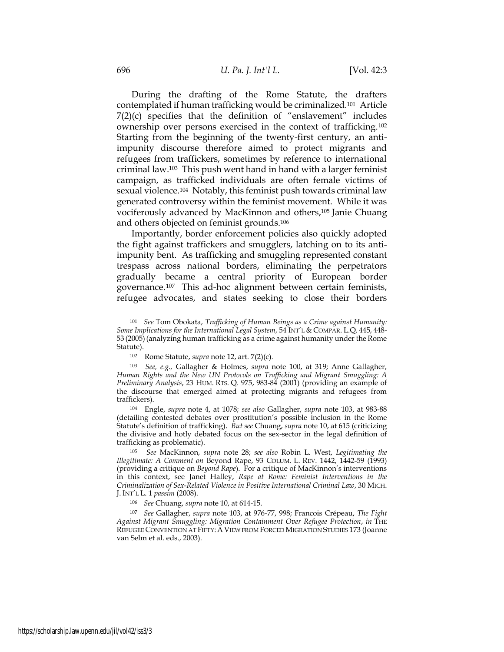During the drafting of the Rome Statute, the drafters contemplated if human trafficking would be criminalized.101 Article 7(2)(c) specifies that the definition of "enslavement" includes ownership over persons exercised in the context of trafficking.<sup>102</sup> Starting from the beginning of the twenty-first century, an antiimpunity discourse therefore aimed to protect migrants and refugees from traffickers, sometimes by reference to international criminal law.103 This push went hand in hand with a larger feminist campaign, as trafficked individuals are often female victims of sexual violence.104 Notably, this feminist push towards criminal law generated controversy within the feminist movement. While it was vociferously advanced by MacKinnon and others, <sup>105</sup> Janie Chuang and others objected on feminist grounds.<sup>106</sup>

Importantly, border enforcement policies also quickly adopted the fight against traffickers and smugglers, latching on to its antiimpunity bent. As trafficking and smuggling represented constant trespass across national borders, eliminating the perpetrators gradually became a central priority of European border governance.107 This ad-hoc alignment between certain feminists, refugee advocates, and states seeking to close their borders

<sup>104</sup> Engle, *supra* note [4,](#page-3-0) at 1078; *see also* Gallagher, *supra* note 103, at 983-88 (detailing contested debates over prostitution's possible inclusion in the Rome Statute's definition of trafficking). *But see* Chuang, *supra* not[e 10,](#page-4-1) at 615 (criticizing the divisive and hotly debated focus on the sex-sector in the legal definition of trafficking as problematic).

<sup>105</sup> *See* MacKinnon, *supra* note 28; *see also* Robin L. West, *Legitimating the Illegitimate: A Comment on* Beyond Rape, 93 COLUM. L. REV. 1442, 1442-59 (1993) (providing a critique on *Beyond Rape*). For a critique of MacKinnon's interventions in this context, see Janet Halley, *Rape at Rome: Feminist Interventions in the Criminalization of Sex-Related Violence in Positive International Criminal Law*, 30 MICH. J. INT'L L. 1 *passim* (2008).

<sup>101</sup> *See* Tom Obokata, *Trafficking of Human Beings as a Crime against Humanity: Some Implications for the International Legal System*, 54 INT'L & COMPAR. L.Q. 445, 448- 53 (2005)(analyzing human trafficking as a crime against humanity under the Rome Statute).

<sup>102</sup> Rome Statute, *supra* note 12, art. 7(2)(c)*.*

<sup>103</sup> *See, e.g.,* Gallagher & Holmes, *supra* note 100, at 319; Anne Gallagher, *Human Rights and the New UN Protocols on Trafficking and Migrant Smuggling: A Preliminary Analysis*, 23 HUM. RTS. Q. 975, 983-84 (2001) (providing an example of the discourse that emerged aimed at protecting migrants and refugees from traffickers).

<sup>106</sup> *See* Chuang, *supra* not[e 10,](#page-4-1) at 614-15.

<sup>107</sup> *See* Gallagher, *supra* note 103, at 976-77, 998; Francois Crépeau, *The Fight Against Migrant Smuggling: Migration Containment Over Refugee Protection*, *in* THE REFUGEE CONVENTION AT FIFTY: A VIEW FROM FORCED MIGRATION STUDIES 173 (Joanne van Selm et al. eds., 2003).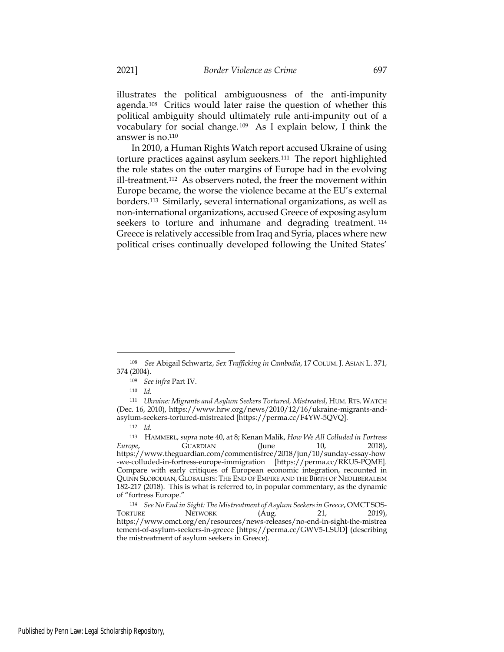illustrates the political ambiguousness of the anti-impunity agenda.108 Critics would later raise the question of whether this political ambiguity should ultimately rule anti-impunity out of a vocabulary for social change. <sup>109</sup> As I explain below, I think the answer is no.<sup>110</sup>

In 2010, a Human Rights Watch report accused Ukraine of using torture practices against asylum seekers.111 The report highlighted the role states on the outer margins of Europe had in the evolving ill-treatment.112 As observers noted, the freer the movement within Europe became, the worse the violence became at the EU's external borders.113 Similarly, several international organizations, as well as non-international organizations, accused Greece of exposing asylum seekers to torture and inhumane and degrading treatment. <sup>114</sup> Greece is relatively accessible from Iraq and Syria, places where new political crises continually developed following the United States'

<sup>108</sup> *See* Abigail Schwartz, *Sex Trafficking in Cambodia*, 17 COLUM. J. ASIAN L. 371, 374 (2004).

<sup>109</sup> *See infra* Part IV.

<sup>110</sup> *Id.* 

<sup>111</sup> *Ukraine: Migrants and Asylum Seekers Tortured, Mistreated*, HUM. RTS. WATCH (Dec. 16, 2010), https://www.hrw.org/news/2010/12/16/ukraine-migrants-andasylum-seekers-tortured-mistreated [https://perma.cc/F4YW-5QVQ].

<sup>112</sup> *Id.*

<sup>113</sup> HAMMERL, *supra* not[e 40,](#page-10-0) at 8; Kenan Malik, *How We All Colluded in Fortress Europe*, **GUARDIAN** (June 10, 2018), https://www.theguardian.com/commentisfree/2018/jun/10/sunday-essay-how -we-colluded-in-fortress-europe-immigration [https://perma.cc/RKU5-PQME]. Compare with early critiques of European economic integration, recounted in QUINN SLOBODIAN, GLOBALISTS: THE END OF EMPIRE AND THE BIRTH OF NEOLIBERALISM 182-217 (2018). This is what is referred to, in popular commentary, as the dynamic of "fortress Europe."

<sup>114</sup> *See No End in Sight: The Mistreatment of Asylum Seekers in Greece*, OMCTSOS-TORTURE NETWORK (Aug. 21, 2019), https://www.omct.org/en/resources/news-releases/no-end-in-sight-the-mistrea tement-of-asylum-seekers-in-greece [https://perma.cc/GWV5-LSUD] (describing the mistreatment of asylum seekers in Greece).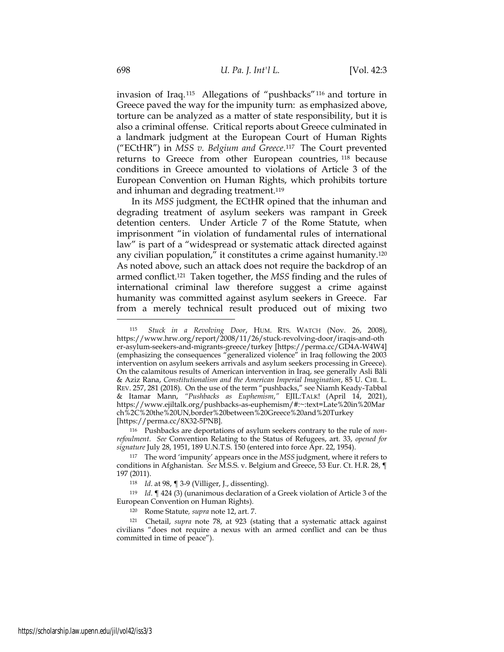invasion of Iraq. <sup>115</sup> Allegations of "pushbacks"<sup>116</sup> and torture in Greece paved the way for the impunity turn: as emphasized above, torture can be analyzed as a matter of state responsibility, but it is also a criminal offense. Critical reports about Greece culminated in a landmark judgment at the European Court of Human Rights ("ECtHR") in *MSS v. Belgium and Greece*. <sup>117</sup> The Court prevented returns to Greece from other European countries, <sup>118</sup> because conditions in Greece amounted to violations of Article 3 of the European Convention on Human Rights, which prohibits torture and inhuman and degrading treatment.<sup>119</sup>

In its *MSS* judgment, the ECtHR opined that the inhuman and degrading treatment of asylum seekers was rampant in Greek detention centers. Under Article 7 of the Rome Statute, when imprisonment "in violation of fundamental rules of international law" is part of a "widespread or systematic attack directed against any civilian population," it constitutes a crime against humanity.<sup>120</sup> As noted above, such an attack does not require the backdrop of an armed conflict.121 Taken together, the *MSS* finding and the rules of international criminal law therefore suggest a crime against humanity was committed against asylum seekers in Greece. Far from a merely technical result produced out of mixing two

<sup>115</sup> *Stuck in a Revolving Door*, HUM. RTS. WATCH (Nov. 26, 2008), https://www.hrw.org/report/2008/11/26/stuck-revolving-door/iraqis-and-oth er-asylum-seekers-and-migrants-greece/turkey [https://perma.cc/GD4A-W4W4] (emphasizing the consequences "generalized violence" in Iraq following the 2003 intervention on asylum seekers arrivals and asylum seekers processing in Greece). On the calamitous results of American intervention in Iraq, see generally Asli Bâli & Aziz Rana, *Constitutionalism and the American Imperial Imagination*, 85 U. CHI. L. REV. 257, 281 (2018). On the use of the term "pushbacks," see Niamh Keady-Tabbal & Itamar Mann, *"Pushbacks as Euphemism*,*"* EJIL:TALK! (April 14, 2021), https://www.ejiltalk.org/pushbacks-as-euphemism/#:~:text=Late%20in%20Mar ch%2C%20the%20UN,border%20between%20Greece%20and%20Turkey [https://perma.cc/8X32-5PNB].

<sup>116</sup> Pushbacks are deportations of asylum seekers contrary to the rule of *nonrefoulment*. *See* Convention Relating to the Status of Refugees, art. 33, *opened for signature* July 28, 1951, 189 U.N.T.S. 150 (entered into force Apr. 22, 1954).

<sup>117</sup> The word 'impunity' appears once in the *MSS* judgment, where it refers to conditions in Afghanistan. *See M.S.S. v. Belgium and Greece, 53 Eur. Ct. H.R. 28*,  $\P$ 197 (2011).

<sup>118</sup> *Id*. at 98, ¶ 3-9 (Villiger, J., dissenting).

<sup>119</sup> *Id*. ¶ 424 (3) (unanimous declaration of a Greek violation of Article 3 of the European Convention on Human Rights).

<sup>120</sup> Rome Statute*, supra* note 12, art. 7.

<sup>121</sup> Chetail, *supra* note 78, at 923 (stating that a systematic attack against civilians "does not require a nexus with an armed conflict and can be thus committed in time of peace").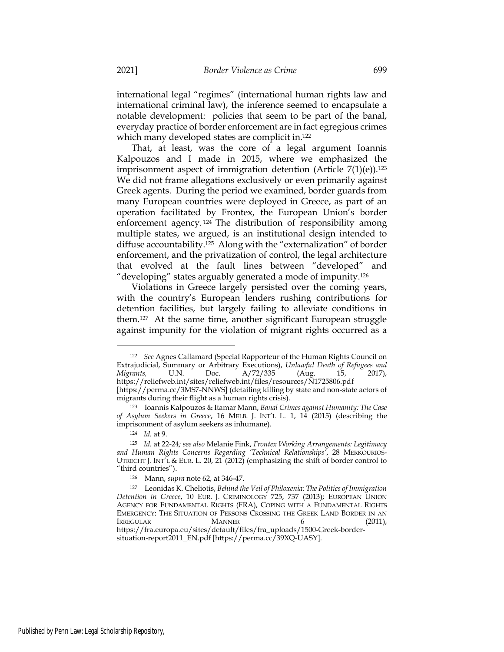international legal "regimes" (international human rights law and international criminal law), the inference seemed to encapsulate a notable development: policies that seem to be part of the banal, everyday practice of border enforcement are in fact egregious crimes which many developed states are complicit in. 122

That, at least, was the core of a legal argument Ioannis Kalpouzos and I made in 2015, where we emphasized the imprisonment aspect of immigration detention (Article  $7(1)(e)$ ).<sup>123</sup> We did not frame allegations exclusively or even primarily against Greek agents. During the period we examined, border guards from many European countries were deployed in Greece, as part of an operation facilitated by Frontex, the European Union's border enforcement agency. <sup>124</sup> The distribution of responsibility among multiple states, we argued, is an institutional design intended to diffuse accountability.<sup>125</sup> Along with the "externalization" of border enforcement, and the privatization of control, the legal architecture that evolved at the fault lines between "developed" and "developing" states arguably generated a mode of impunity.<sup>126</sup>

Violations in Greece largely persisted over the coming years, with the country's European lenders rushing contributions for detention facilities, but largely failing to alleviate conditions in them.127 At the same time, another significant European struggle against impunity for the violation of migrant rights occurred as a

<sup>122</sup> *See* Agnes Callamard (Special Rapporteur of the Human Rights Council on Extrajudicial, Summary or Arbitrary Executions), *Unlawful Death of Refugees and Migrants,* U.N. Doc. A/72/335 (Aug. 15, 2017), https://reliefweb.int/sites/reliefweb.int/files/resources/N1725806.pdf [https://perma.cc/3MS7-NNWS] (detailing killing by state and non-state actors of

migrants during their flight as a human rights crisis). <sup>123</sup> Ioannis Kalpouzos & Itamar Mann, *Banal Crimes against Humanity: The Case* 

*of Asylum Seekers in Greece*, 16 MELB. J. INT'L L. 1, 14 (2015) (describing the imprisonment of asylum seekers as inhumane).

<sup>124</sup> *Id.* at 9.

<sup>125</sup> *Id.* at 22-24*; see also* Melanie Fink, *Frontex Working Arrangements: Legitimacy and Human Rights Concerns Regarding 'Technical Relationships'*, 28 MERKOURIOS-UTRECHT J. INT'L & EUR. L. 20, 21 (2012) (emphasizing the shift of border control to "third countries").

<sup>126</sup> Mann, *supra* note 62, at 346-47.

<sup>127</sup> Leonidas K. Cheliotis, *Behind the Veil of Philoxenia: The Politics of Immigration Detention in Greece*, 10 EUR. J. CRIMINOLOGY 725, 737 (2013); EUROPEAN UNION AGENCY FOR FUNDAMENTAL RIGHTS (FRA), COPING WITH A FUNDAMENTAL RIGHTS EMERGENCY: THE SITUATION OF PERSONS CROSSING THE GREEK LAND BORDER IN AN IRREGULAR MANNER 6 (2011), https://fra.europa.eu/sites/default/files/fra\_uploads/1500-Greek-bordersituation-report2011\_EN.pdf [https://perma.cc/39XQ-UASY].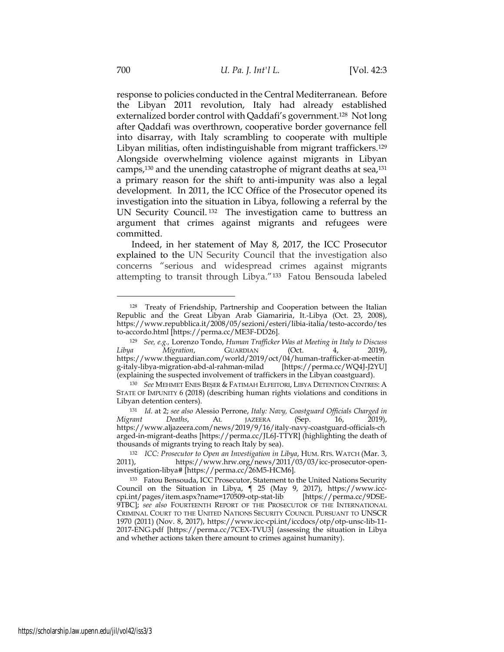response to policies conducted in the Central Mediterranean. Before the Libyan 2011 revolution, Italy had already established externalized border control with Qaddafi's government.128 Not long after Qaddafi was overthrown, cooperative border governance fell into disarray, with Italy scrambling to cooperate with multiple Libyan militias, often indistinguishable from migrant traffickers.<sup>129</sup> Alongside overwhelming violence against migrants in Libyan camps,<sup>130</sup> and the unending catastrophe of migrant deaths at sea,<sup>131</sup> a primary reason for the shift to anti-impunity was also a legal development. In 2011, the ICC Office of the Prosecutor opened its investigation into the situation in Libya, following a referral by the UN Security Council. <sup>132</sup> The investigation came to buttress an argument that crimes against migrants and refugees were committed.

Indeed, in her statement of May 8, 2017, the ICC Prosecutor explained to the UN Security Council that the investigation also concerns "serious and widespread crimes against migrants attempting to transit through Libya."133 Fatou Bensouda labeled

<sup>128</sup> Treaty of Friendship, Partnership and Cooperation between the Italian Republic and the Great Libyan Arab Giamariria, It.-Libya (Oct. 23, 2008), https://www.repubblica.it/2008/05/sezioni/esteri/libia-italia/testo-accordo/tes to-accordo.html [https://perma.cc/ME3F-DD26].

<sup>129</sup> *See, e.g.,* Lorenzo Tondo, *Human Trafficker Was at Meeting in Italy to Discuss Libya Migration*, GUARDIAN (Oct. 4, 2019), https://www.theguardian.com/world/2019/oct/04/human-trafficker-at-meetin g-italy-libya-migration-abd-al-rahman-milad [https://perma.cc/WQ4J-J2YU] (explaining the suspected involvement of traffickers in the Libyan coastguard).

<sup>130</sup> *See* MEHMET ENES BEŞER & FATIMAH ELFEITORI, LIBYA DETENTION CENTRES: A STATE OF IMPUNITY 6 (2018) (describing human rights violations and conditions in Libyan detention centers).

<sup>131</sup> *Id.* at 2; *see also* Alessio Perrone, *Italy: Navy, Coastguard Officials Charged in Migrant Deaths*, AL JAZEERA (Sep. 16, 2019), https://www.aljazeera.com/news/2019/9/16/italy-navy-coastguard-officials-ch arged-in-migrant-deaths [https://perma.cc/JL6J-TTYR] (highlighting the death of thousands of migrants trying to reach Italy by sea).

<sup>132</sup> *ICC: Prosecutor to Open an Investigation in Libya*, HUM. RTS. WATCH (Mar. 3, 2011), https://www.hrw.org/news/2011/03/03/icc-prosecutor-openinvestigation-libya# [https://perma.cc/26M5-HCM6].

<sup>133</sup> Fatou Bensouda, ICC Prosecutor, Statement to the United Nations Security Council on the Situation in Libya,  $\parallel$  25 (May 9, 2017), https://www.icc-<br>cpi.int/pages/item.aspx?name=170509-otp-stat-lib [https://perma.cc/9DSEcpi.int/pages/item.aspx?name=170509-otp-stat-lib 9TBC]; *see also* FOURTEENTH REPORT OF THE PROSECUTOR OF THE INTERNATIONAL CRIMINAL COURT TO THE UNITED NATIONS SECURITY COUNCIL PURSUANT TO UNSCR 1970 (2011) (Nov. 8, 2017), https://www.icc-cpi.int/iccdocs/otp/otp-unsc-lib-11- 2017-ENG.pdf [https://perma.cc/7CEX-TVU3] (assessing the situation in Libya and whether actions taken there amount to crimes against humanity).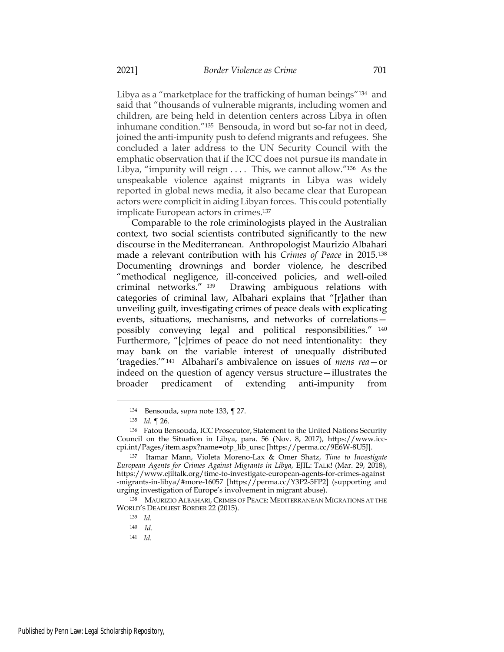Libya as a "marketplace for the trafficking of human beings"134 and said that "thousands of vulnerable migrants, including women and children, are being held in detention centers across Libya in often inhumane condition."135 Bensouda, in word but so-far not in deed, joined the anti-impunity push to defend migrants and refugees. She concluded a later address to the UN Security Council with the emphatic observation that if the ICC does not pursue its mandate in Libya, "impunity will reign . . . . This, we cannot allow."<sup>136</sup> As the unspeakable violence against migrants in Libya was widely reported in global news media, it also became clear that European actors were complicit in aiding Libyan forces. This could potentially implicate European actors in crimes.<sup>137</sup>

Comparable to the role criminologists played in the Australian context, two social scientists contributed significantly to the new discourse in the Mediterranean. Anthropologist Maurizio Albahari made a relevant contribution with his *Crimes of Peace* in 2015.<sup>138</sup> Documenting drownings and border violence, he described "methodical negligence, ill-conceived policies, and well-oiled criminal networks." <sup>139</sup> Drawing ambiguous relations with categories of criminal law, Albahari explains that "[r]ather than unveiling guilt, investigating crimes of peace deals with explicating events, situations, mechanisms, and networks of correlations possibly conveying legal and political responsibilities." <sup>140</sup> Furthermore, "[c]rimes of peace do not need intentionality: they may bank on the variable interest of unequally distributed 'tragedies.'"<sup>141</sup> Albahari's ambivalence on issues of *mens rea*—or indeed on the question of agency versus structure—illustrates the broader predicament of extending anti-impunity from

<sup>134</sup> Bensouda, *supra* note 133, ¶ 27.

<sup>135</sup> *Id.* ¶ 26.

<sup>136</sup> Fatou Bensouda, ICC Prosecutor, Statement to the United Nations Security Council on the Situation in Libya, para. 56 (Nov. 8, 2017), https://www.icccpi.int/Pages/item.aspx?name=otp\_lib\_unsc [https://perma.cc/9E6W-8U5J].

<sup>137</sup> Itamar Mann, Violeta Moreno-Lax & Omer Shatz, *Time to Investigate European Agents for Crimes Against Migrants in Libya*, EJIL: TALK! (Mar. 29, 2018), https://www.ejiltalk.org/time-to-investigate-european-agents-for-crimes-against -migrants-in-libya/#more-16057 [https://perma.cc/Y3P2-5FP2] (supporting and urging investigation of Europe's involvement in migrant abuse).

<sup>138</sup> MAURIZIO ALBAHARI, CRIMES OF PEACE: MEDITERRANEAN MIGRATIONS AT THE WORLD'S DEADLIEST BORDER 22 (2015).

<sup>139</sup> *Id.* 

<sup>140</sup> *Id*.

<sup>141</sup> *Id.*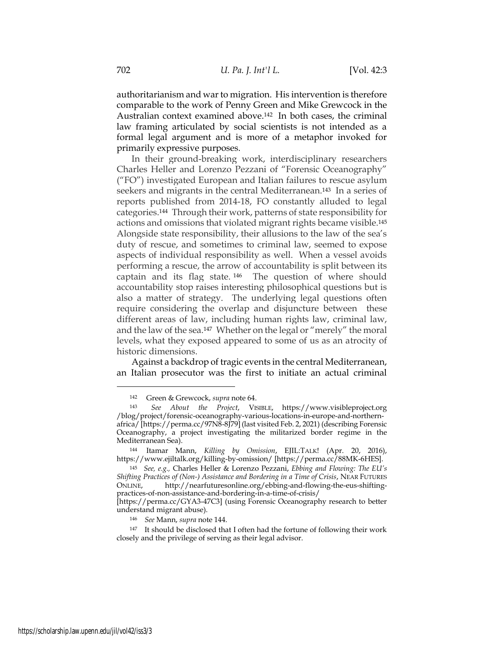authoritarianism and war to migration. His intervention is therefore comparable to the work of Penny Green and Mike Grewcock in the Australian context examined above.142 In both cases, the criminal law framing articulated by social scientists is not intended as a formal legal argument and is more of a metaphor invoked for primarily expressive purposes.

In their ground-breaking work, interdisciplinary researchers Charles Heller and Lorenzo Pezzani of "Forensic Oceanography" ("FO") investigated European and Italian failures to rescue asylum seekers and migrants in the central Mediterranean.143 In a series of reports published from 2014-18, FO constantly alluded to legal categories.144 Through their work, patterns of state responsibility for actions and omissions that violated migrant rights became visible.<sup>145</sup> Alongside state responsibility, their allusions to the law of the sea's duty of rescue, and sometimes to criminal law, seemed to expose aspects of individual responsibility as well. When a vessel avoids performing a rescue, the arrow of accountability is split between its captain and its flag state. <sup>146</sup> The question of where should accountability stop raises interesting philosophical questions but is also a matter of strategy. The underlying legal questions often require considering the overlap and disjuncture between these different areas of law, including human rights law, criminal law, and the law of the sea.<sup>147</sup> Whether on the legal or "merely" the moral levels, what they exposed appeared to some of us as an atrocity of historic dimensions.

Against a backdrop of tragic events in the central Mediterranean, an Italian prosecutor was the first to initiate an actual criminal

<sup>142</sup> Green & Grewcock, *supra* note 64.

<sup>143</sup> *See About the Project*, VISIBLE, https://www.visibleproject.org /blog/project/forensic-oceanography-various-locations-in-europe-and-northernafrica/[https://perma.cc/97N8-8J79](last visited Feb. 2, 2021) (describing Forensic Oceanography, a project investigating the militarized border regime in the Mediterranean Sea).

<sup>144</sup> Itamar Mann, *Killing by Omission*, EJIL:TALK! (Apr. 20, 2016), https://www.ejiltalk.org/killing-by-omission/ [https://perma.cc/88MK-6HES].

<sup>145</sup> *See, e.g.,* Charles Heller & Lorenzo Pezzani, *Ebbing and Flowing: The EU's Shifting Practices of (Non-) Assistance and Bordering in a Time of Crisis, NEAR FUTURES* ONLINE, http://nearfuturesonline.org/ebbing-and-flowing-the-eus-shiftingpractices-of-non-assistance-and-bordering-in-a-time-of-crisis/

<sup>[</sup>https://perma.cc/GYA3-47C3] (using Forensic Oceanography research to better understand migrant abuse).

<sup>146</sup> *See* Mann, *supra* note 144.

<sup>&</sup>lt;sup>147</sup> It should be disclosed that I often had the fortune of following their work closely and the privilege of serving as their legal advisor.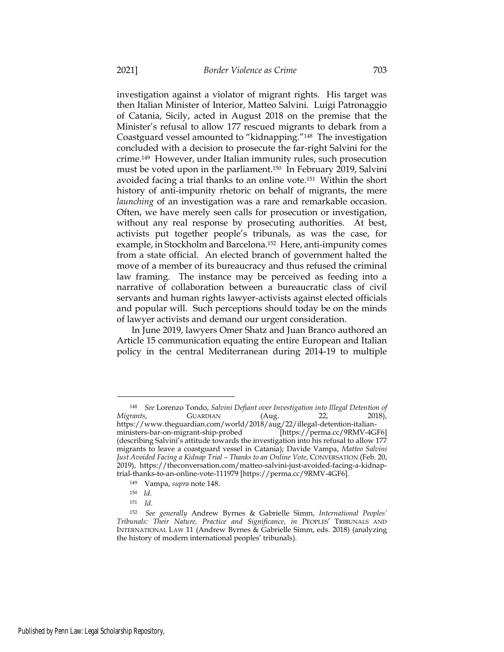investigation against a violator of migrant rights. His target was then Italian Minister of Interior, Matteo Salvini. Luigi Patronaggio of Catania, Sicily, acted in August 2018 on the premise that the Minister's refusal to allow 177 rescued migrants to debark from a Coastguard vessel amounted to "kidnapping."148 The investigation concluded with a decision to prosecute the far-right Salvini for the crime.149 However, under Italian immunity rules, such prosecution must be voted upon in the parliament.150 In February 2019, Salvini avoided facing a trial thanks to an online vote.151 Within the short history of anti-impunity rhetoric on behalf of migrants, the mere *launching* of an investigation was a rare and remarkable occasion. Often, we have merely seen calls for prosecution or investigation, without any real response by prosecuting authorities. At best, activists put together people's tribunals, as was the case, for example, in Stockholm and Barcelona.152 Here, anti-impunity comes from a state official. An elected branch of government halted the move of a member of its bureaucracy and thus refused the criminal law framing. The instance may be perceived as feeding into a narrative of collaboration between a bureaucratic class of civil servants and human rights lawyer-activists against elected officials and popular will. Such perceptions should today be on the minds of lawyer activists and demand our urgent consideration.

In June 2019, lawyers Omer Shatz and Juan Branco authored an Article 15 communication equating the entire European and Italian policy in the central Mediterranean during 2014-19 to multiple

<sup>148</sup> *See* Lorenzo Tondo, *Salvini Defiant over Investigation into Illegal Detention of Migrants*, GUARDIAN (Aug. 22, 2018), https://www.theguardian.com/world/2018/aug/22/illegal-detention-italianministers-bar-on-migrant-ship-probed [https://perma.cc/9RMV-4GF6] (describing Salvini's attitude towards the investigation into his refusal to allow 177 migrants to leave a coastguard vessel in Catania); Davide Vampa, *Matteo Salvini Just Avoided Facing a Kidnap Trial – Thanks to an Online Vote*, CONVERSATION (Feb. 20, 2019), https://theconversation.com/matteo-salvini-just-avoided-facing-a-kidnaptrial-thanks-to-an-online-vote-111979 [https://perma.cc/9RMV-4GF6].

<sup>151</sup> *Id.*

<sup>149</sup> Vampa, *supra* note 148.

<sup>150</sup> *Id.*

<sup>152</sup> *See generally* Andrew Byrnes & Gabrielle Simm, *International Peoples' Tribunals: Their Nature, Practice and Significance, in* PEOPLES' TRIBUNALS AND INTERNATIONAL LAW 11 (Andrew Byrnes & Gabrielle Simm, eds. 2018) (analyzing the history of modern international peoples' tribunals).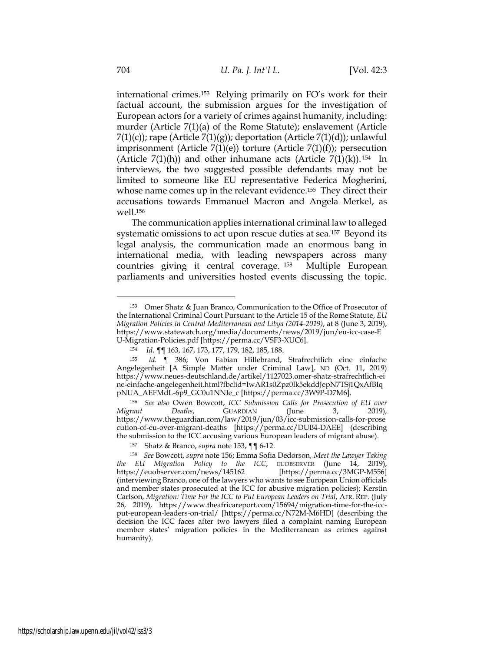international crimes.153 Relying primarily on FO's work for their factual account, the submission argues for the investigation of European actors for a variety of crimes against humanity, including: murder (Article 7(1)(a) of the Rome Statute); enslavement (Article  $7(1)(c)$ ; rape (Article  $7(1)(g)$ ); deportation (Article  $7(1)(d)$ ); unlawful imprisonment (Article 7(1)(e)) torture (Article 7(1)(f)); persecution (Article  $7(1)(h)$ ) and other inhumane acts (Article  $7(1)(k)$ ). <sup>154</sup> In interviews, the two suggested possible defendants may not be limited to someone like EU representative Federica Mogherini, whose name comes up in the relevant evidence.155 They direct their accusations towards Emmanuel Macron and Angela Merkel, as well.<sup>156</sup>

The communication applies international criminal law to alleged systematic omissions to act upon rescue duties at sea.157 Beyond its legal analysis, the communication made an enormous bang in international media, with leading newspapers across many countries giving it central coverage. <sup>158</sup> Multiple European parliaments and universities hosted events discussing the topic.

<sup>153</sup> Omer Shatz & Juan Branco, Communication to the Office of Prosecutor of the International Criminal Court Pursuant to the Article 15 of the Rome Statute, *EU Migration Policies in Central Mediterranean and Libya (2014-2019)*, at 8 (June 3, 2019), https://www.statewatch.org/media/documents/news/2019/jun/eu-icc-case-E U-Migration-Policies.pdf [https://perma.cc/VSF3-XUC6].

<sup>154</sup> *Id*. ¶¶ 163, 167, 173, 177, 179, 182, 185, 188.

<sup>155</sup> *Id.* ¶ 386; Von Fabian Hillebrand, Strafrechtlich eine einfache Angelegenheit [A Simple Matter under Criminal Law], ND (Oct. 11, 2019) https://www.neues-deutschland.de/artikel/1127023.omer-shatz-strafrechtlich-ei ne-einfache-angelegenheit.html?fbclid=IwAR1s0Zpz0lk5ekddJepN7TSj1QxAfBIq pNUA\_AEFMdL-6p9\_GC0u1NNIe\_c [https://perma.cc/3W9P-D7M6].

<sup>156</sup> *See also* Owen Bowcott, *ICC Submission Calls for Prosecution of EU over Migrant Deaths*, GUARDIAN (June 3, 2019), https://www.theguardian.com/law/2019/jun/03/icc-submission-calls-for-prose cution-of-eu-over-migrant-deaths [https://perma.cc/DUB4-DAEE] (describing the submission to the ICC accusing various European leaders of migrant abuse).

<sup>157</sup> Shatz & Branco, *supra* note 153, ¶¶ 6-12.

<sup>158</sup> *See* Bowcott, *supra* note 156; Emma Sofia Dedorson, *Meet the Lawyer Taking the EU Migration Policy to the ICC, EUOBSERVER (June 14, 2019),*<br>https://euobserver.com/news/145162 [https://perma.cc/3MGP-M556] https://euobserver.com/news/145162 (interviewing Branco, one of the lawyers who wants to see European Union officials and member states prosecuted at the ICC for abusive migration policies); Kerstin Carlson, *Migration: Time For the ICC to Put European Leaders on Trial*, AFR. REP. (July 26, 2019), https://www.theafricareport.com/15694/migration-time-for-the-iccput-european-leaders-on-trial/ [https://perma.cc/N72M-M6HD] (describing the decision the ICC faces after two lawyers filed a complaint naming European member states' migration policies in the Mediterranean as crimes against humanity).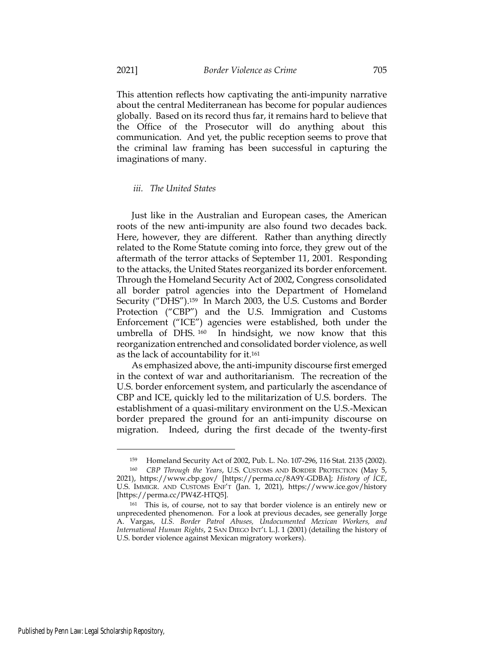This attention reflects how captivating the anti-impunity narrative about the central Mediterranean has become for popular audiences globally. Based on its record thus far, it remains hard to believe that the Office of the Prosecutor will do anything about this communication. And yet, the public reception seems to prove that the criminal law framing has been successful in capturing the imaginations of many.

#### *iii. The United States*

Just like in the Australian and European cases, the American roots of the new anti-impunity are also found two decades back. Here, however, they are different. Rather than anything directly related to the Rome Statute coming into force, they grew out of the aftermath of the terror attacks of September 11, 2001. Responding to the attacks, the United States reorganized its border enforcement. Through the Homeland Security Act of 2002, Congress consolidated all border patrol agencies into the Department of Homeland Security ("DHS").159 In March 2003, the U.S. Customs and Border Protection ("CBP") and the U.S. Immigration and Customs Enforcement ("ICE") agencies were established, both under the umbrella of DHS. <sup>160</sup> In hindsight, we now know that this reorganization entrenched and consolidated border violence, as well as the lack of accountability for it.<sup>161</sup>

As emphasized above, the anti-impunity discourse first emerged in the context of war and authoritarianism. The recreation of the U.S. border enforcement system, and particularly the ascendance of CBP and ICE, quickly led to the militarization of U.S. borders. The establishment of a quasi-military environment on the U.S.-Mexican border prepared the ground for an anti-impunity discourse on migration. Indeed, during the first decade of the twenty-first

<sup>159</sup> Homeland Security Act of 2002, Pub. L. No. 107-296, 116 Stat. 2135 (2002).

<sup>160</sup> *CBP Through the Years*, U.S. CUSTOMS AND BORDER PROTECTION (May 5, 2021), https://www.cbp.gov/ [https://perma.cc/8A9Y-GDBA]; *History of ICE*, U.S. IMMIGR. AND CUSTOMS ENF'T (Jan. 1, 2021), https://www.ice.gov/history [https://perma.cc/PW4Z-HTQ5].

<sup>161</sup> This is, of course, not to say that border violence is an entirely new or unprecedented phenomenon. For a look at previous decades, see generally Jorge A. Vargas, *U.S. Border Patrol Abuses, Undocumented Mexican Workers, and International Human Rights*, 2 SAN DIEGO INT'L L.J. 1 (2001) (detailing the history of U.S. border violence against Mexican migratory workers).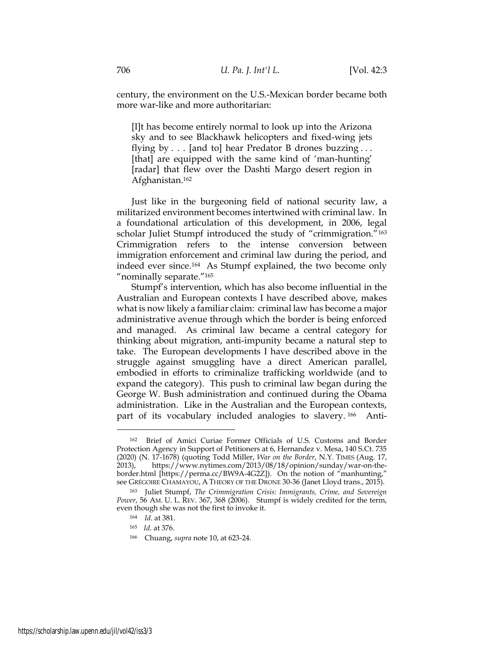century, the environment on the U.S.-Mexican border became both more war-like and more authoritarian:

[I]t has become entirely normal to look up into the Arizona sky and to see Blackhawk helicopters and fixed-wing jets flying by . . . [and to] hear Predator B drones buzzing . . . [that] are equipped with the same kind of 'man-hunting' [radar] that flew over the Dashti Margo desert region in Afghanistan.<sup>162</sup>

Just like in the burgeoning field of national security law, a militarized environment becomes intertwined with criminal law. In a foundational articulation of this development, in 2006, legal scholar Juliet Stumpf introduced the study of "crimmigration."<sup>163</sup> Crimmigration refers to the intense conversion between immigration enforcement and criminal law during the period, and indeed ever since.164 As Stumpf explained, the two become only "nominally separate."<sup>165</sup>

Stumpf's intervention, which has also become influential in the Australian and European contexts I have described above, makes what is now likely a familiar claim: criminal law has become a major administrative avenue through which the border is being enforced and managed. As criminal law became a central category for thinking about migration, anti-impunity became a natural step to take. The European developments I have described above in the struggle against smuggling have a direct American parallel, embodied in efforts to criminalize trafficking worldwide (and to expand the category). This push to criminal law began during the George W. Bush administration and continued during the Obama administration. Like in the Australian and the European contexts, part of its vocabulary included analogies to slavery. 166 Anti-

<sup>162</sup> Brief of Amici Curiae Former Officials of U.S. Customs and Border Protection Agency in Support of Petitioners at 6, Hernandez v. Mesa, 140 S.Ct. 735 (2020) (N. 17-1678) (quoting Todd Miller, *War on the Border*, N.Y. TIMES (Aug. 17, 2013), https://www.nytimes.com/2013/08/18/opinion/sunday/war-on-theborder.html [https://perma.cc/BW9A-4G2Z]). On the notion of "manhunting," see GRÉGOIRE CHAMAYOU, A THEORY OF THE DRONE 30-36 (Janet Lloyd trans., 2015).

<sup>163</sup> Juliet Stumpf, *The Crimmigration Crisis: Immigrants, Crime, and Sovereign*  Power, 56 AM. U. L. REV. 367, 368 (2006). Stumpf is widely credited for the term, even though she was not the first to invoke it.

<sup>164</sup> *Id*. at 381.

<sup>165</sup> *Id.* at 376.

<sup>166</sup> Chuang, *supra* not[e 10,](#page-4-1) at 623-24.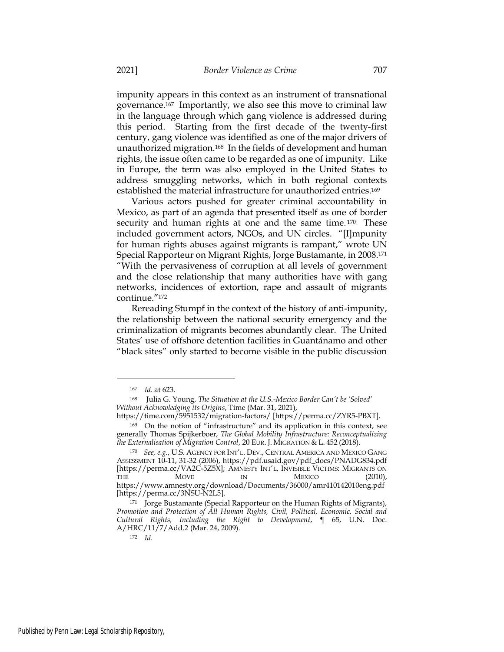impunity appears in this context as an instrument of transnational governance.167 Importantly, we also see this move to criminal law in the language through which gang violence is addressed during this period. Starting from the first decade of the twenty-first century, gang violence was identified as one of the major drivers of unauthorized migration.168 In the fields of development and human rights, the issue often came to be regarded as one of impunity. Like in Europe, the term was also employed in the United States to address smuggling networks, which in both regional contexts established the material infrastructure for unauthorized entries.<sup>169</sup>

Various actors pushed for greater criminal accountability in Mexico, as part of an agenda that presented itself as one of border security and human rights at one and the same time.<sup>170</sup> These included government actors, NGOs, and UN circles. "[I]mpunity for human rights abuses against migrants is rampant," wrote UN Special Rapporteur on Migrant Rights, Jorge Bustamante, in 2008.<sup>171</sup> "With the pervasiveness of corruption at all levels of government and the close relationship that many authorities have with gang networks, incidences of extortion, rape and assault of migrants continue."<sup>172</sup>

Rereading Stumpf in the context of the history of anti-impunity, the relationship between the national security emergency and the criminalization of migrants becomes abundantly clear. The United States' use of offshore detention facilities in Guantánamo and other "black sites" only started to become visible in the public discussion

<sup>167</sup> *Id.* at 623.

<sup>168</sup> Julia G. Young, *The Situation at the U.S.-Mexico Border Can't be 'Solved' Without Acknowledging its Origins*, Time (Mar. 31, 2021),

https://time.com/5951532/migration-factors/ [https://perma.cc/ZYR5-PBXT].

<sup>&</sup>lt;sup>169</sup> On the notion of "infrastructure" and its application in this context, see generally Thomas Spijkerboer, *The Global Mobility Infrastructure: Reconceptualizing the Externalisation of Migration Control*, 20 EUR. J. MIGRATION & L. 452 (2018).

<sup>170</sup> *See, e.g.*, U.S. AGENCY FOR INT'L. DEV., CENTRAL AMERICA AND MEXICO GANG ASSESSMENT 10-11, 31-32 (2006), https://pdf.usaid.gov/pdf\_docs/PNADG834.pdf [https://perma.cc/VA2C-5Z5X]; AMNESTY INT'L, INVISIBLE VICTIMS: MIGRANTS ON THE MOVE IN MEXICO (2010), https://www.amnesty.org/download/Documents/36000/amr410142010eng.pdf [https://perma.cc/3NSU-N2L5].

<sup>171</sup> Jorge Bustamante (Special Rapporteur on the Human Rights of Migrants), *Promotion and Protection of All Human Rights, Civil, Political, Economic, Social and Cultural Rights, Including the Right to Development*, ¶ 65, U.N. Doc. A/HRC/11/7/Add.2 (Mar. 24, 2009).

<sup>172</sup> *Id*.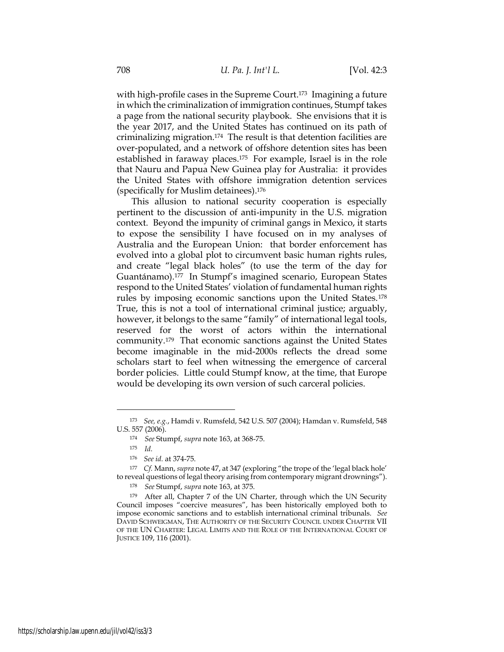with high-profile cases in the Supreme Court.<sup>173</sup> Imagining a future in which the criminalization of immigration continues, Stumpf takes a page from the national security playbook. She envisions that it is the year 2017, and the United States has continued on its path of criminalizing migration.174 The result is that detention facilities are over-populated, and a network of offshore detention sites has been established in faraway places.175 For example, Israel is in the role that Nauru and Papua New Guinea play for Australia: it provides the United States with offshore immigration detention services (specifically for Muslim detainees).<sup>176</sup>

This allusion to national security cooperation is especially pertinent to the discussion of anti-impunity in the U.S. migration context. Beyond the impunity of criminal gangs in Mexico, it starts to expose the sensibility I have focused on in my analyses of Australia and the European Union: that border enforcement has evolved into a global plot to circumvent basic human rights rules, and create "legal black holes" (to use the term of the day for Guantánamo).<sup>177</sup> In Stumpf's imagined scenario, European States respond to the United States' violation of fundamental human rights rules by imposing economic sanctions upon the United States. <sup>178</sup> True, this is not a tool of international criminal justice; arguably, however, it belongs to the same "family" of international legal tools, reserved for the worst of actors within the international community.179 That economic sanctions against the United States become imaginable in the mid-2000s reflects the dread some scholars start to feel when witnessing the emergence of carceral border policies. Little could Stumpf know, at the time, that Europe would be developing its own version of such carceral policies.

<sup>173</sup> *See, e.g.*, Hamdi v. Rumsfeld, 542 U.S. 507 (2004); Hamdan v. Rumsfeld, 548 U.S. 557 (2006).

<sup>174</sup> *See* Stumpf, *supra* note 163, at 368-75.

<sup>175</sup> *Id.*

<sup>176</sup> *See id.* at 374-75.

<sup>177</sup> *Cf.* Mann, *supra* not[e 47,](#page-11-1) at 347 (exploring "the trope of the 'legal black hole' to reveal questions of legal theory arising from contemporary migrant drownings").

<sup>178</sup> *See* Stumpf, *supra* note 163, at 375.

<sup>179</sup> After all, Chapter 7 of the UN Charter, through which the UN Security Council imposes "coercive measures", has been historically employed both to impose economic sanctions and to establish international criminal tribunals. *See*  DAVID SCHWEIGMAN, THE AUTHORITY OF THE SECURITY COUNCIL UNDER CHAPTER VII OF THE UN CHARTER: LEGAL LIMITS AND THE ROLE OF THE INTERNATIONAL COURT OF JUSTICE 109, 116 (2001).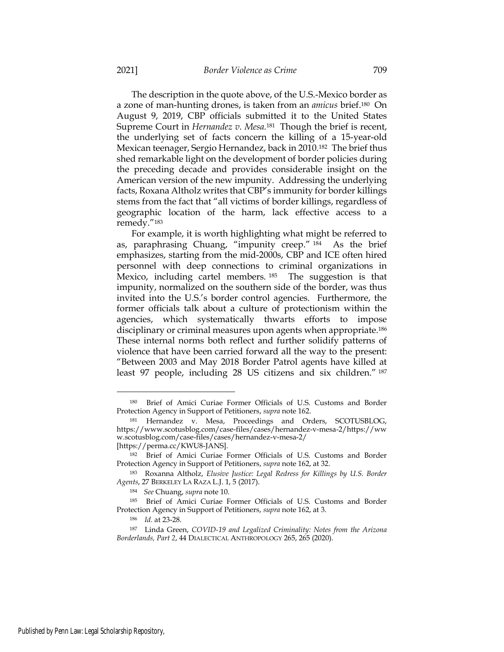The description in the quote above, of the U.S.-Mexico border as a zone of man-hunting drones, is taken from an *amicus* brief.180 On August 9, 2019, CBP officials submitted it to the United States Supreme Court in *Hernandez v. Mesa.*<sup>181</sup>Though the brief is recent, the underlying set of facts concern the killing of a 15-year-old Mexican teenager, Sergio Hernandez, back in 2010.182 The brief thus shed remarkable light on the development of border policies during the preceding decade and provides considerable insight on the American version of the new impunity. Addressing the underlying facts, Roxana Altholz writes that CBP's immunity for border killings stems from the fact that "all victims of border killings, regardless of geographic location of the harm, lack effective access to a remedy."<sup>183</sup>

For example, it is worth highlighting what might be referred to as, paraphrasing Chuang, "impunity creep." <sup>184</sup> As the brief emphasizes, starting from the mid-2000s, CBP and ICE often hired personnel with deep connections to criminal organizations in Mexico, including cartel members. 185 The suggestion is that impunity, normalized on the southern side of the border, was thus invited into the U.S.'s border control agencies. Furthermore, the former officials talk about a culture of protectionism within the agencies, which systematically thwarts efforts to impose disciplinary or criminal measures upon agents when appropriate.<sup>186</sup> These internal norms both reflect and further solidify patterns of violence that have been carried forward all the way to the present: "Between 2003 and May 2018 Border Patrol agents have killed at least 97 people, including 28 US citizens and six children." <sup>187</sup>

<sup>180</sup> Brief of Amici Curiae Former Officials of U.S. Customs and Border Protection Agency in Support of Petitioners, *supra* note 162.

<sup>181</sup> Hernandez v. Mesa, Proceedings and Orders, SCOTUSBLOG, https://www.scotusblog.com/case-files/cases/hernandez-v-mesa-2/https://ww w.scotusblog.com/case-files/cases/hernandez-v-mesa-2/ [https://perma.cc/KWU8-JANS].

<sup>182</sup> Brief of Amici Curiae Former Officials of U.S. Customs and Border Protection Agency in Support of Petitioners, *supra* note 162, at 32.

<sup>183</sup> Roxanna Altholz, *Elusive Justice: Legal Redress for Killings by U.S. Border Agents*, 27 BERKELEY LA RAZA L.J. 1, 5 (2017).

<sup>184</sup> *See* Chuang, *supra* not[e 10.](#page-4-1)

<sup>185</sup> Brief of Amici Curiae Former Officials of U.S. Customs and Border Protection Agency in Support of Petitioners, *supra* note 162, at 3.

<sup>186</sup> *Id.* at 23-28.

<sup>187</sup> Linda Green, *COVID-19 and Legalized Criminality: Notes from the Arizona Borderlands, Part 2*, 44 DIALECTICAL ANTHROPOLOGY 265, 265 (2020).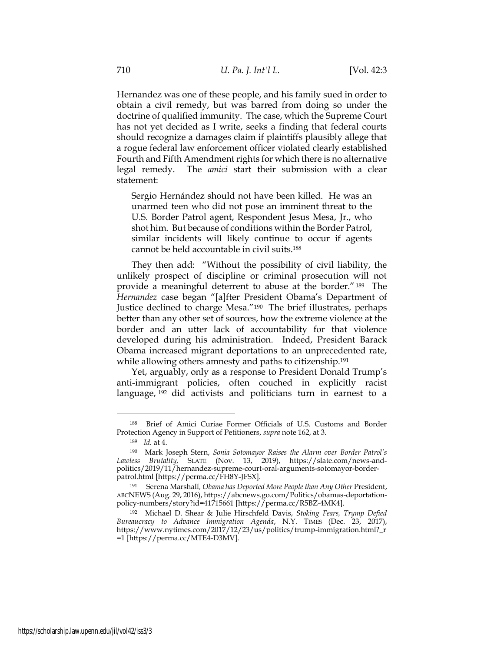Hernandez was one of these people, and his family sued in order to obtain a civil remedy, but was barred from doing so under the doctrine of qualified immunity. The case, which the Supreme Court has not yet decided as I write, seeks a finding that federal courts should recognize a damages claim if plaintiffs plausibly allege that a rogue federal law enforcement officer violated clearly established Fourth and Fifth Amendment rights for which there is no alternative legal remedy. The *amici* start their submission with a clear statement:

Sergio Hernández should not have been killed. He was an unarmed teen who did not pose an imminent threat to the U.S. Border Patrol agent, Respondent Jesus Mesa, Jr., who shot him. But because of conditions within the Border Patrol, similar incidents will likely continue to occur if agents cannot be held accountable in civil suits.<sup>188</sup>

They then add: "Without the possibility of civil liability, the unlikely prospect of discipline or criminal prosecution will not provide a meaningful deterrent to abuse at the border." <sup>189</sup> The *Hernandez* case began "[a]fter President Obama's Department of Justice declined to charge Mesa."190 The brief illustrates, perhaps better than any other set of sources, how the extreme violence at the border and an utter lack of accountability for that violence developed during his administration. Indeed, President Barack Obama increased migrant deportations to an unprecedented rate, while allowing others amnesty and paths to citizenship.<sup>191</sup>

Yet, arguably, only as a response to President Donald Trump's anti-immigrant policies, often couched in explicitly racist language, <sup>192</sup> did activists and politicians turn in earnest to a

<sup>188</sup> Brief of Amici Curiae Former Officials of U.S. Customs and Border Protection Agency in Support of Petitioners, *supra* note 162, at 3.

<sup>189</sup> *Id.* at 4.

<sup>190</sup> Mark Joseph Stern, *Sonia Sotomayor Raises the Alarm over Border Patrol's Lawless Brutality,* SLATE (Nov. 13, 2019), https://slate.com/news-andpolitics/2019/11/hernandez-supreme-court-oral-arguments-sotomayor-borderpatrol.html [https://perma.cc/FH8Y-JFSX].

<sup>191</sup> Serena Marshall*, Obama has Deported More People than Any Other* President, ABCNEWS (Aug. 29, 2016), https://abcnews.go.com/Politics/obamas-deportationpolicy-numbers/story?id=41715661 [https://perma.cc/R5BZ-4MK4].

<sup>192</sup> Michael D. Shear & Julie Hirschfeld Davis, *Stoking Fears, Trymp Defied Bureaucracy to Advance Immigration Agenda*, N.Y. TIMES (Dec. 23, 2017), https://www.nytimes.com/2017/12/23/us/politics/trump-immigration.html?\_r =1 [https://perma.cc/MTE4-D3MV].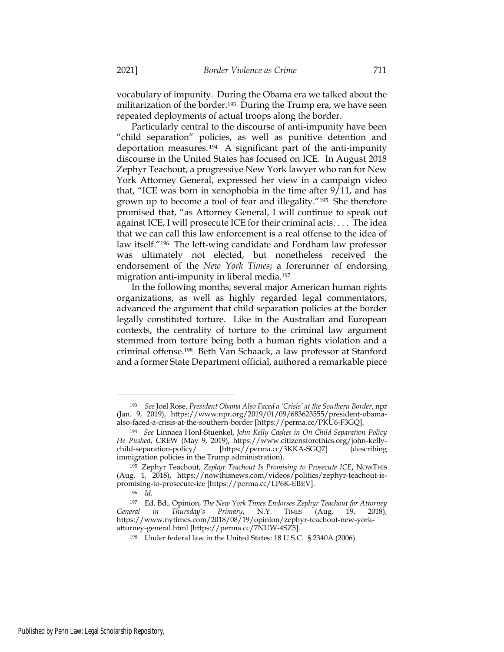vocabulary of impunity. During the Obama era we talked about the militarization of the border.193 During the Trump era, we have seen repeated deployments of actual troops along the border.

Particularly central to the discourse of anti-impunity have been "child separation" policies, as well as punitive detention and deportation measures. <sup>194</sup> A significant part of the anti-impunity discourse in the United States has focused on ICE. In August 2018 Zephyr Teachout, a progressive New York lawyer who ran for New York Attorney General, expressed her view in a campaign video that, "ICE was born in xenophobia in the time after 9/11, and has grown up to become a tool of fear and illegality."195 She therefore promised that, "as Attorney General, I will continue to speak out against ICE, I will prosecute ICE for their criminal acts. . . . The idea that we can call this law enforcement is a real offense to the idea of law itself."196 The left-wing candidate and Fordham law professor was ultimately not elected, but nonetheless received the endorsement of the *New York Times*; a forerunner of endorsing migration anti-impunity in liberal media.<sup>197</sup>

In the following months, several major American human rights organizations, as well as highly regarded legal commentators, advanced the argument that child separation policies at the border legally constituted torture. Like in the Australian and European contexts, the centrality of torture to the criminal law argument stemmed from torture being both a human rights violation and a criminal offense.198 Beth Van Schaack, a law professor at Stanford and a former State Department official, authored a remarkable piece

<sup>193</sup> *See* Joel Rose, *President Obama Also Faced a 'Crisis' at the Southern Border*, npr (Jan. 9, 2019), https://www.npr.org/2019/01/09/683623555/president-obamaalso-faced-a-crisis-at-the-southern-border [https://perma.cc/PKU6-F3GQ].

<sup>194</sup> *See* Linnaea Honl-Stuenkel, *John Kelly Cashes in On Child Separation Policy He Pushed*, CREW (May 9, 2019), https://www.citizensforethics.org/john-kellychild-separation-policy/ [https://perma.cc/3KKA-SGQ7] (describing immigration policies in the Trump administration).

<sup>195</sup> Zephyr Teachout, *Zephyr Teachout Is Promising to Prosecute ICE***,** NOWTHIS (Aug. 1, 2018), https://nowthisnews.com/videos/politics/zephyr-teachout-ispromising-to-prosecute-ice [https://perma.cc/LP6K-EBEV].

<sup>196</sup> *Id.*

<sup>197</sup> Ed. Bd., Opinion, *The New York Times Endorses Zephyr Teachout for Attorney*  General in Thursday's Primary, N.Y. TIMES (Aug. 19, 2018), https://www.nytimes.com/2018/08/19/opinion/zephyr-teachout-new-yorkattorney-general.html [https://perma.cc/7NUW-4SZ5].

<sup>198</sup> Under federal law in the United States: 18 U.S.C. § 2340A (2006).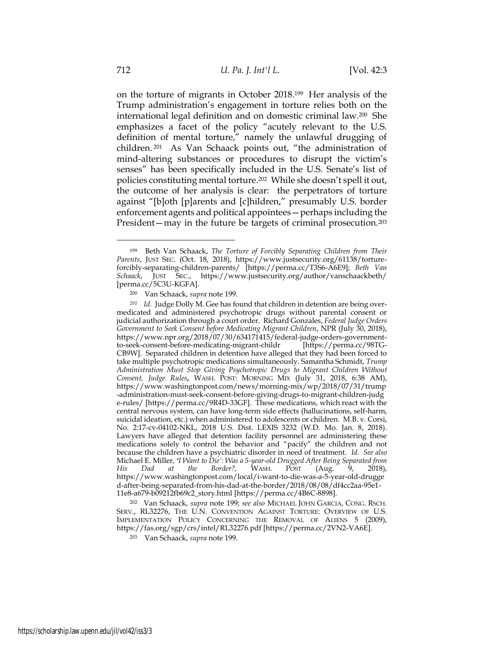on the torture of migrants in October 2018.199 Her analysis of the Trump administration's engagement in torture relies both on the international legal definition and on domestic criminal law.200 She emphasizes a facet of the policy "acutely relevant to the U.S. definition of mental torture," namely the unlawful drugging of children. <sup>201</sup> As Van Schaack points out, "the administration of mind-altering substances or procedures to disrupt the victim's senses" has been specifically included in the U.S. Senate's list of policies constituting mental torture.<sup>202</sup> While she doesn't spell it out, the outcome of her analysis is clear: the perpetrators of torture against "[b]oth [p]arents and [c]hildren," presumably U.S. border enforcement agents and political appointees—perhaps including the President—may in the future be targets of criminal prosecution.<sup>203</sup>

<sup>202</sup> Van Schaack, *supra* note 199; *see also* MICHAEL JOHN GARCIA, CONG. RSCH. SERV., RL32276, THE U.N. CONVENTION AGAINST TORTURE: OVERVIEW OF U.S. IMPLEMENTATION POLICY CONCERNING THE REMOVAL OF ALIENS 5 (2009), https://fas.org/sgp/crs/intel/RL32276.pdf [https://perma.cc/2VN2-VA6E].

<sup>203</sup> Van Schaack, *supra* note 199.

<sup>199</sup> Beth Van Schaack, *The Torture of Forcibly Separating Children from Their*  Parents, JUST SEC. (Oct. 18, 2018), https://www.justsecurity.org/61138/tortureforcibly-separating-children-parents/ [https://perma.cc/T3S6-A6E9]; *Beth Van Schaack*, JUST SEC., https://www.justsecurity.org/author/vanschaackbeth/ [perma.cc/5C3U-KGFA].

<sup>200</sup> Van Schaack, *supra* note 199.

*<sup>201</sup> Id.* Judge Dolly M. Gee has found that children in detention are being overmedicated and administered psychotropic drugs without parental consent or judicial authorization through a court order. Richard Gonzales, *Federal Judge Orders Government to Seek Consent before Medicating Migrant Children*, NPR (July 30, 2018), https://www.npr.org/2018/07/30/634171415/federal-judge-orders-governmentto-seek-consent-before-medicating-migrant-childr [https://perma.cc/98TG-CB9W]. Separated children in detention have alleged that they had been forced to take multiple psychotropic medications simultaneously. Samantha Schmidt, *Trump Administration Must Stop Giving Psychotropic Drugs to Migrant Children Without Consent, Judge Rules***,** WASH. POST: MORNING MIX (July 31, 2018, 6:38 AM), https://www.washingtonpost.com/news/morning-mix/wp/2018/07/31/trump -administration-must-seek-consent-before-giving-drugs-to-migrant-children-judg e-rules/ [https://perma.cc/9R4D-33GF]. These medications, which react with the central nervous system, can have long-term side effects (hallucinations, self-harm, suicidal ideation, etc.) when administered to adolescents or children. M.B. v. Corsi, No. 2:17-cv-04102-NKL, 2018 U.S. Dist. LEXIS 3232 (W.D. Mo. Jan. 8, 2018). Lawyers have alleged that detention facility personnel are administering these medications solely to control the behavior and "pacify" the children and not because the children have a psychiatric disorder in need of treatment. *Id. See also* Michael E. Miller, *'I Want to Die': Was a 5-year-old Drugged After Being Separated from His Dad at the Border?,* WASH. POST (Aug. 9, 2018), https://www.washingtonpost.com/local/i-want-to-die-was-a-5-year-old-drugge d-after-being-separated-from-his-dad-at-the-border/2018/08/08/df4cc2aa-95e1- 11e8-a679-b09212fb69c2\_story.html [https://perma.cc/4B6C-8898].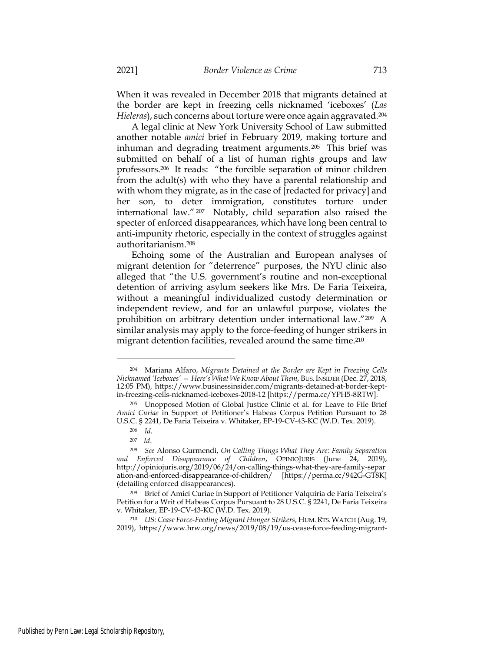When it was revealed in December 2018 that migrants detained at the border are kept in freezing cells nicknamed 'iceboxes' (*Las Hieleras*), such concerns about torture were once again aggravated.<sup>204</sup>

A legal clinic at New York University School of Law submitted another notable *amici* brief in February 2019, making torture and inhuman and degrading treatment arguments. <sup>205</sup> This brief was submitted on behalf of a list of human rights groups and law professors.<sup>206</sup> It reads: "the forcible separation of minor children from the adult(s) with who they have a parental relationship and with whom they migrate, as in the case of [redacted for privacy] and her son, to deter immigration, constitutes torture under international law." <sup>207</sup> Notably, child separation also raised the specter of enforced disappearances, which have long been central to anti-impunity rhetoric, especially in the context of struggles against authoritarianism.<sup>208</sup>

Echoing some of the Australian and European analyses of migrant detention for "deterrence" purposes, the NYU clinic also alleged that "the U.S. government's routine and non-exceptional detention of arriving asylum seekers like Mrs. De Faria Teixeira, without a meaningful individualized custody determination or independent review, and for an unlawful purpose, violates the prohibition on arbitrary detention under international law."209 A similar analysis may apply to the force-feeding of hunger strikers in migrant detention facilities, revealed around the same time.<sup>210</sup>

<sup>204</sup> Mariana Alfaro, *Migrants Detained at the Border are Kept in Freezing Cells Nicknamed 'Iceboxes' — Here's What We Know About Them*, BUS.INSIDER (Dec. 27, 2018, 12:05 PM), https://www.businessinsider.com/migrants-detained-at-border-keptin-freezing-cells-nicknamed-iceboxes-2018-12 [https://perma.cc/YPH5-8RTW].

<sup>205</sup> Unopposed Motion of Global Justice Clinic et al*.* for Leave to File Brief *Amici Curiae* in Support of Petitioner's Habeas Corpus Petition Pursuant to 28 U.S.C. § 2241, De Faria Teixeira v. Whitaker, EP-19-CV-43-KC (W.D. Tex. 2019).

<sup>206</sup> *Id.*

<sup>207</sup> *Id*.

<sup>208</sup> *See* Alonso Gurmendi, *On Calling Things What They Are: Family Separation and Enforced Disappearance of Children*, OPINIOJURIS (June 24, 2019), http://opiniojuris.org/2019/06/24/on-calling-things-what-they-are-family-separ ation-and-enforced-disappearance-of-children/ [https://perma.cc/942G-GT8K] (detailing enforced disappearances).

<sup>209</sup> Brief of Amici Curiae in Support of Petitioner Valquiria de Faria Teixeira's Petition for a Writ of Habeas Corpus Pursuant to 28 U.S.C. § 2241, De Faria Teixeira v. Whitaker, EP-19-CV-43-KC (W.D. Tex. 2019).

<sup>210</sup> *US: Cease Force-Feeding Migrant Hunger Strikers*, HUM.RTS.WATCH (Aug. 19, 2019), https://www.hrw.org/news/2019/08/19/us-cease-force-feeding-migrant-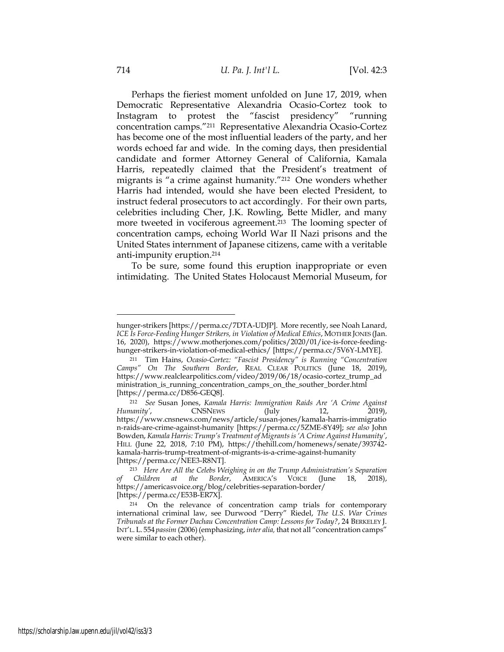Perhaps the fieriest moment unfolded on June 17, 2019, when Democratic Representative Alexandria Ocasio-Cortez took to Instagram to protest the "fascist presidency" "running concentration camps."211 Representative Alexandria Ocasio-Cortez has become one of the most influential leaders of the party, and her words echoed far and wide. In the coming days, then presidential candidate and former Attorney General of California, Kamala Harris, repeatedly claimed that the President's treatment of migrants is "a crime against humanity."212 One wonders whether Harris had intended, would she have been elected President, to instruct federal prosecutors to act accordingly. For their own parts, celebrities including Cher, J.K. Rowling, Bette Midler, and many more tweeted in vociferous agreement.213 The looming specter of concentration camps, echoing World War II Nazi prisons and the United States internment of Japanese citizens, came with a veritable anti-impunity eruption.<sup>214</sup>

To be sure, some found this eruption inappropriate or even intimidating. The United States Holocaust Memorial Museum, for

hunger-strikers [https://perma.cc/7DTA-UDJP]. More recently, see Noah Lanard, *ICE Is Force-Feeding Hunger Strikers, in Violation of Medical Ethics*, MOTHER JONES (Jan. 16, 2020), https://www.motherjones.com/politics/2020/01/ice-is-force-feedinghunger-strikers-in-violation-of-medical-ethics/ [https://perma.cc/5V6Y-LMYE].

<sup>211</sup> Tim Hains, *Ocasio-Cortez: "Fascist Presidency" is Running "Concentration Camps" On The Southern Border*, REAL CLEAR POLITICS (June 18, 2019), https://www.realclearpolitics.com/video/2019/06/18/ocasio-cortez\_trump\_ad ministration\_is\_running\_concentration\_camps\_on\_the\_souther\_border.html [https://perma.cc/D856-GEQ8].

<sup>212</sup> *See* Susan Jones, *Kamala Harris: Immigration Raids Are 'A Crime Against Humanity'*, **CNSNEWS** (July 12, 2019), https://www.cnsnews.com/news/article/susan-jones/kamala-harris-immigratio n-raids-are-crime-against-humanity [https://perma.cc/5ZME-8Y49]; *see also* John Bowden, *Kamala Harris: Trump's Treatment of Migrants is 'A Crime Against Humanity'*, HILL (June 22, 2018, 7:10 PM), https://thehill.com/homenews/senate/393742 kamala-harris-trump-treatment-of-migrants-is-a-crime-against-humanity [https://perma.cc/NEE3-R8NT].

<sup>213</sup> *Here Are All the Celebs Weighing in on the Trump Administration's Separation of Children at the Border*, AMERICA'S VOICE (June 18, 2018), https://americasvoice.org/blog/celebrities-separation-border/ [https://perma.cc/E53B-ER7X].

On the relevance of concentration camp trials for contemporary international criminal law, see Durwood "Derry" Riedel, *The U.S. War Crimes Tribunals at the Former Dachau Concentration Camp: Lessons for Today?*, 24 BERKELEY J. INT'L. L. 554 *passim* (2006)(emphasizing, *inter alia,* that not all "concentration camps" were similar to each other).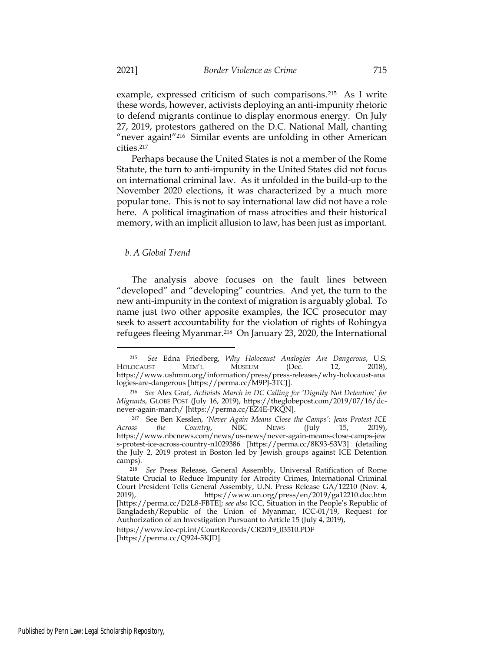example, expressed criticism of such comparisons.215 As I write these words, however, activists deploying an anti-impunity rhetoric to defend migrants continue to display enormous energy. On July 27, 2019, protestors gathered on the D.C. National Mall, chanting "never again!"216 Similar events are unfolding in other American cities.<sup>217</sup>

Perhaps because the United States is not a member of the Rome Statute, the turn to anti-impunity in the United States did not focus on international criminal law. As it unfolded in the build-up to the November 2020 elections, it was characterized by a much more popular tone. This is not to say international law did not have a role here. A political imagination of mass atrocities and their historical memory, with an implicit allusion to law, has been just as important.

# *b. A Global Trend*

The analysis above focuses on the fault lines between "developed" and "developing" countries. And yet, the turn to the new anti-impunity in the context of migration is arguably global. To name just two other apposite examples, the ICC prosecutor may seek to assert accountability for the violation of rights of Rohingya refugees fleeing Myanmar.218 On January 23, 2020, the International

<sup>215</sup> *See* Edna Friedberg, *Why Holocaust Analogies Are Dangerous*, U.S. HOLOCAUST MEM'L MUSEUM (Dec. 12, 2018), https://www.ushmm.org/information/press/press-releases/why-holocaust-ana logies-are-dangerous [https://perma.cc/M9PJ-3TCJ].

<sup>216</sup> *See* Alex Graf, *Activists March in DC Calling for 'Dignity Not Detention' for Migrants*, GLOBE POST (July 16, 2019), https://theglobepost.com/2019/07/16/dcnever-again-march/ [https://perma.cc/EZ4E-PKQN].

<sup>217</sup> See Ben Kesslen, *'Never Again Means Close the Camps': Jews Protest ICE Across the Country*, NBC NEWS (July 15, 2019), https://www.nbcnews.com/news/us-news/never-again-means-close-camps-jew s-protest-ice-across-country-n1029386 [https://perma.cc/8K93-S3V3] (detailing the July 2, 2019 protest in Boston led by Jewish groups against ICE Detention camps).

<sup>218</sup> *See* Press Release, General Assembly, Universal Ratification of Rome Statute Crucial to Reduce Impunity for Atrocity Crimes, International Criminal Court President Tells General Assembly, U.N. Press Release GA/12210 (Nov. 4, 2019), https://www.un.org/press/en/2019/ga12210.doc.htm [https://perma.cc/D2L8-FBTE]; *see also* ICC, Situation in the People's Republic of Bangladesh/Republic of the Union of Myanmar, ICC-01/19, Request for Authorization of an Investigation Pursuant to Article 15 (July 4, 2019),

https://www.icc-cpi.int/CourtRecords/CR2019\_03510.PDF [https://perma.cc/Q924-5KJD].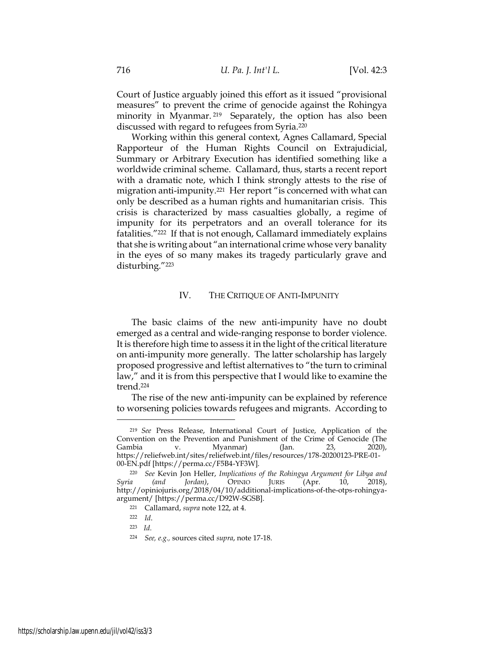Court of Justice arguably joined this effort as it issued "provisional measures" to prevent the crime of genocide against the Rohingya minority in Myanmar. <sup>219</sup> Separately, the option has also been discussed with regard to refugees from Syria.<sup>220</sup>

Working within this general context, Agnes Callamard, Special Rapporteur of the Human Rights Council on Extrajudicial, Summary or Arbitrary Execution has identified something like a worldwide criminal scheme. Callamard, thus, starts a recent report with a dramatic note, which I think strongly attests to the rise of migration anti-impunity.221 Her report "is concerned with what can only be described as a human rights and humanitarian crisis. This crisis is characterized by mass casualties globally, a regime of impunity for its perpetrators and an overall tolerance for its fatalities."<sup>222</sup> If that is not enough, Callamard immediately explains that she is writing about "an international crime whose very banality in the eyes of so many makes its tragedy particularly grave and disturbing."<sup>223</sup>

# IV. THE CRITIQUE OF ANTI-IMPUNITY

The basic claims of the new anti-impunity have no doubt emerged as a central and wide-ranging response to border violence. It is therefore high time to assess it in the light of the critical literature on anti-impunity more generally. The latter scholarship has largely proposed progressive and leftist alternatives to "the turn to criminal law," and it is from this perspective that I would like to examine the trend.<sup>224</sup>

The rise of the new anti-impunity can be explained by reference to worsening policies towards refugees and migrants. According to

<sup>219</sup> *See* Press Release, International Court of Justice, Application of the Convention on the Prevention and Punishment of the Crime of Genocide (The Gambia v. Myanmar) (Jan. 23, 2020), https://reliefweb.int/sites/reliefweb.int/files/resources/178-20200123-PRE-01- 00-EN.pdf [https://perma.cc/F5B4-YF3W].

<sup>220</sup> *See* Kevin Jon Heller, *Implications of the Rohingya Argument for Libya and Syria (and Jordan)*, OPINIO JURIS (Apr. 10, 2018), http://opiniojuris.org/2018/04/10/additional-implications-of-the-otps-rohingyaargument/ [https://perma.cc/D92W-SGSB].

<sup>221</sup> Callamard, *supra* note 122, at 4.

<sup>222</sup> *Id*.

<sup>223</sup> *Id.*

<sup>224</sup> *See, e.g.,* sources cited *supra*, note 17-18.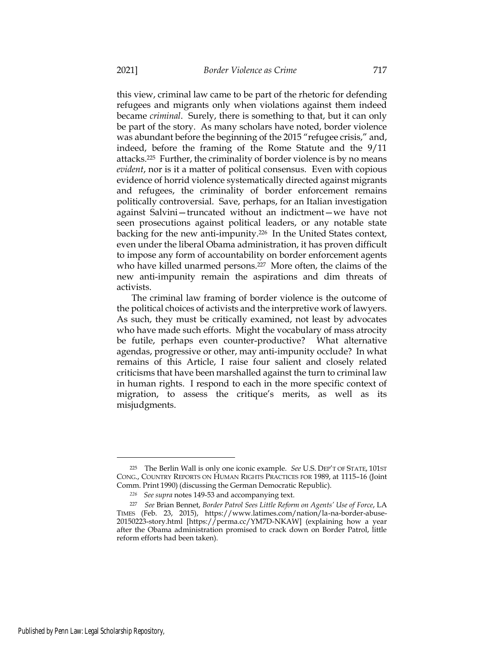this view, criminal law came to be part of the rhetoric for defending refugees and migrants only when violations against them indeed became *criminal*. Surely, there is something to that, but it can only be part of the story. As many scholars have noted, border violence was abundant before the beginning of the 2015 "refugee crisis," and, indeed, before the framing of the Rome Statute and the 9/11 attacks.225 Further, the criminality of border violence is by no means *evident*, nor is it a matter of political consensus. Even with copious evidence of horrid violence systematically directed against migrants and refugees, the criminality of border enforcement remains politically controversial. Save, perhaps, for an Italian investigation against Salvini—truncated without an indictment—we have not seen prosecutions against political leaders, or any notable state backing for the new anti-impunity.226 In the United States context, even under the liberal Obama administration, it has proven difficult to impose any form of accountability on border enforcement agents who have killed unarmed persons.<sup>227</sup> More often, the claims of the new anti-impunity remain the aspirations and dim threats of activists.

The criminal law framing of border violence is the outcome of the political choices of activists and the interpretive work of lawyers. As such, they must be critically examined, not least by advocates who have made such efforts. Might the vocabulary of mass atrocity be futile, perhaps even counter-productive? What alternative agendas, progressive or other, may anti-impunity occlude? In what remains of this Article, I raise four salient and closely related criticisms that have been marshalled against the turn to criminal law in human rights. I respond to each in the more specific context of migration, to assess the critique's merits, as well as its misjudgments.

<sup>225</sup> The Berlin Wall is only one iconic example. *See* U.S. DEP'T OF STATE, 101ST CONG., COUNTRY REPORTS ON HUMAN RIGHTS PRACTICES FOR 1989, at 1115–16 (Joint Comm. Print 1990) (discussing the German Democratic Republic).

*<sup>226</sup> See supra* notes 149-53 and accompanying text.

<sup>227</sup> *See* Brian Bennet, *Border Patrol Sees Little Reform on Agents' Use of Force*, LA TIMES (Feb. 23, 2015), https://www.latimes.com/nation/la-na-border-abuse-20150223-story.html [https://perma.cc/YM7D-NKAW] (explaining how a year after the Obama administration promised to crack down on Border Patrol, little reform efforts had been taken).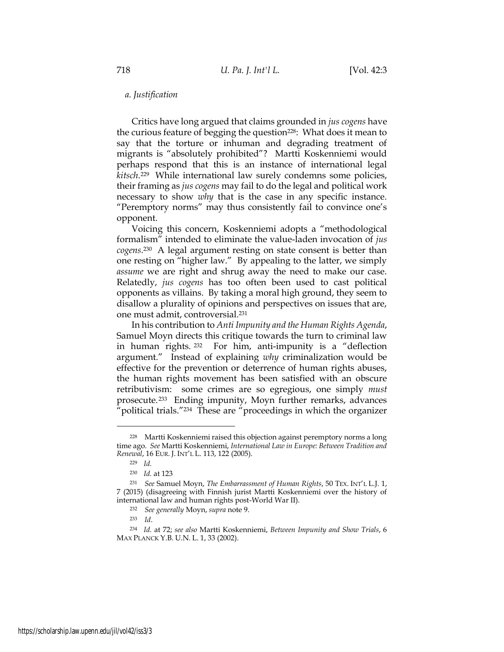# *a. Justification*

Critics have long argued that claims grounded in *jus cogens* have the curious feature of begging the question228: What does it mean to say that the torture or inhuman and degrading treatment of migrants is "absolutely prohibited"? Martti Koskenniemi would perhaps respond that this is an instance of international legal *kitsch*. <sup>229</sup> While international law surely condemns some policies, their framing as *jus cogens* may fail to do the legal and political work necessary to show *why* that is the case in any specific instance. "Peremptory norms" may thus consistently fail to convince one's opponent.

Voicing this concern, Koskenniemi adopts a "methodological formalism" intended to eliminate the value-laden invocation of *jus cogens*. <sup>230</sup> A legal argument resting on state consent is better than one resting on "higher law." By appealing to the latter, we simply *assume* we are right and shrug away the need to make our case. Relatedly, *jus cogens* has too often been used to cast political opponents as villains. By taking a moral high ground, they seem to disallow a plurality of opinions and perspectives on issues that are, one must admit, controversial.<sup>231</sup>

In his contribution to *Anti Impunity and the Human Rights Agenda*, Samuel Moyn directs this critique towards the turn to criminal law in human rights. <sup>232</sup> For him, anti-impunity is a "deflection argument." Instead of explaining *why* criminalization would be effective for the prevention or deterrence of human rights abuses, the human rights movement has been satisfied with an obscure retributivism: some crimes are so egregious, one simply *must* prosecute.233 Ending impunity, Moyn further remarks, advances "political trials."<sup>234</sup> These are "proceedings in which the organizer

<sup>228</sup> Martti Koskenniemi raised this objection against peremptory norms a long time ago. *See* Martti Koskenniemi, *International Law in Europe: Between Tradition and Renewal*, 16 EUR. J. INT'L L. 113, 122 (2005).

<sup>229</sup> *Id.*

<sup>230</sup> *Id.* at 123

<sup>231</sup> *See* Samuel Moyn, *The Embarrassment of Human Rights*, 50 TEX. INT'L L.J. 1, 7 (2015) (disagreeing with Finnish jurist Martti Koskenniemi over the history of international law and human rights post-World War II).

<sup>232</sup> *See generally* Moyn, *supra* not[e 9.](#page-4-0)

<sup>233</sup> *Id*.

<sup>234</sup> *Id.* at 72; *see also* Martti Koskenniemi, *Between Impunity and Show Trials*, 6 MAX PLANCK Y.B. U.N. L. 1, 33 (2002).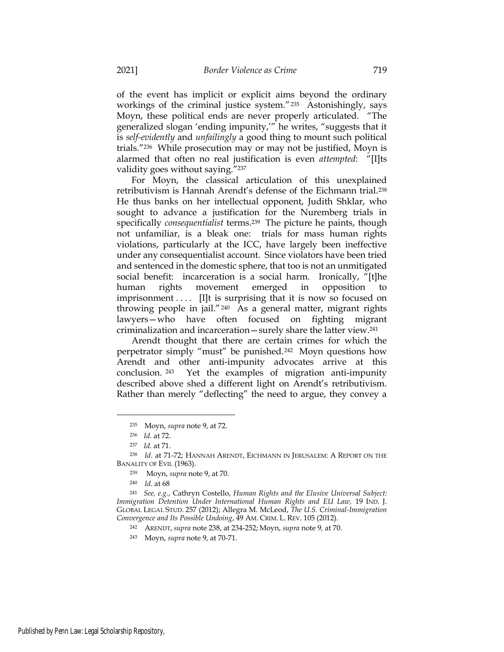of the event has implicit or explicit aims beyond the ordinary workings of the criminal justice system."235 Astonishingly, says Moyn, these political ends are never properly articulated. "The generalized slogan 'ending impunity,'" he writes, "suggests that it is *self-evidently* and *unfailingly* a good thing to mount such political trials."236 While prosecution may or may not be justified, Moyn is alarmed that often no real justification is even *attempted*: "[I]ts validity goes without saying."<sup>237</sup>

For Moyn, the classical articulation of this unexplained retributivism is Hannah Arendt's defense of the Eichmann trial.<sup>238</sup> He thus banks on her intellectual opponent, Judith Shklar, who sought to advance a justification for the Nuremberg trials in specifically *consequentialist* terms.239 The picture he paints, though not unfamiliar, is a bleak one: trials for mass human rights violations, particularly at the ICC, have largely been ineffective under any consequentialist account. Since violators have been tried and sentenced in the domestic sphere, that too is not an unmitigated social benefit: incarceration is a social harm. Ironically, "[t]he human rights movement emerged in opposition to imprisonment .... [I]t is surprising that it is now so focused on throwing people in jail."240 As a general matter, migrant rights lawyers—who have often focused on fighting migrant criminalization and incarceration—surely share the latter view.<sup>241</sup>

Arendt thought that there are certain crimes for which the perpetrator simply "must" be punished.242 Moyn questions how Arendt and other anti-impunity advocates arrive at this conclusion. <sup>243</sup> Yet the examples of migration anti-impunity described above shed a different light on Arendt's retributivism. Rather than merely "deflecting" the need to argue, they convey a

<sup>241</sup> *See, e.g.*, Cathryn Costello, *Human Rights and the Elusive Universal Subject: Immigration Detention Under International Human Rights and EU Law,* 19 IND. J. GLOBAL LEGAL STUD. 257 (2012); Allegra M. McLeod, *The U.S. Criminal-Immigration Convergence and Its Possible Undoing*, 49 AM. CRIM. L. REV. 105 (2012).

<sup>235</sup> Moyn, *supra* not[e 9,](#page-4-0) at 72.

<sup>236</sup> *Id.* at 72.

<sup>237</sup> *Id.* at 71.

<sup>238</sup> *Id*. at 71-72; HANNAH ARENDT, EICHMANN IN JERUSALEM: A REPORT ON THE BANALITY OF EVIL (1963).

<sup>239</sup> Moyn, *supra* note 9, at 70.

<sup>240</sup> *Id*. at 68

<sup>242</sup> ARENDT, *supra* note 238, at 234-252; Moyn, *supra* note [9](#page-4-0)*,* at 70.

<sup>243</sup> Moyn, *supra* note 9, at 70-71.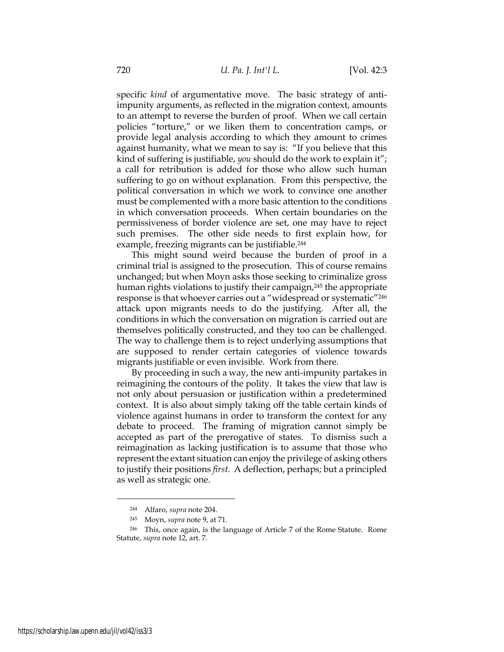specific *kind* of argumentative move. The basic strategy of antiimpunity arguments, as reflected in the migration context, amounts to an attempt to reverse the burden of proof. When we call certain policies "torture," or we liken them to concentration camps, or provide legal analysis according to which they amount to crimes against humanity, what we mean to say is: "If you believe that this kind of suffering is justifiable, *you* should do the work to explain it"; a call for retribution is added for those who allow such human suffering to go on without explanation. From this perspective, the political conversation in which we work to convince one another must be complemented with a more basic attention to the conditions in which conversation proceeds. When certain boundaries on the permissiveness of border violence are set, one may have to reject such premises. The other side needs to first explain how, for example, freezing migrants can be justifiable.<sup>244</sup>

This might sound weird because the burden of proof in a criminal trial is assigned to the prosecution. This of course remains unchanged; but when Moyn asks those seeking to criminalize gross human rights violations to justify their campaign, <sup>245</sup> the appropriate response is that whoever carries out a "widespread or systematic"<sup>246</sup> attack upon migrants needs to do the justifying. After all, the conditions in which the conversation on migration is carried out are themselves politically constructed, and they too can be challenged. The way to challenge them is to reject underlying assumptions that are supposed to render certain categories of violence towards migrants justifiable or even invisible. Work from there.

By proceeding in such a way, the new anti-impunity partakes in reimagining the contours of the polity. It takes the view that law is not only about persuasion or justification within a predetermined context. It is also about simply taking off the table certain kinds of violence against humans in order to transform the context for any debate to proceed. The framing of migration cannot simply be accepted as part of the prerogative of states. To dismiss such a reimagination as lacking justification is to assume that those who represent the extant situation can enjoy the privilege of asking others to justify their positions *first*. A deflection, perhaps; but a principled as well as strategic one.

<sup>244</sup> Alfaro, *supra* note 204.

<sup>245</sup> Moyn, *supra* not[e 9,](#page-4-0) at 71.

<sup>246</sup> This, once again, is the language of Article 7 of the Rome Statute. Rome Statute, *supra* note 12, art. 7.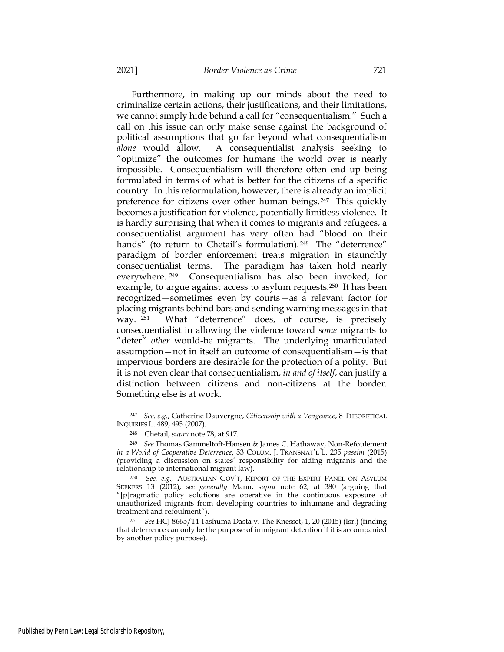Furthermore, in making up our minds about the need to criminalize certain actions, their justifications, and their limitations, we cannot simply hide behind a call for "consequentialism." Such a call on this issue can only make sense against the background of political assumptions that go far beyond what consequentialism *alone* would allow. A consequentialist analysis seeking to "optimize" the outcomes for humans the world over is nearly impossible. Consequentialism will therefore often end up being formulated in terms of what is better for the citizens of a specific country. In this reformulation, however, there is already an implicit preference for citizens over other human beings. <sup>247</sup> This quickly becomes a justification for violence, potentially limitless violence. It is hardly surprising that when it comes to migrants and refugees, a consequentialist argument has very often had "blood on their hands<sup>"</sup> (to return to Chetail's formulation).<sup>248</sup> The "deterrence" paradigm of border enforcement treats migration in staunchly consequentialist terms. The paradigm has taken hold nearly everywhere. <sup>249</sup> Consequentialism has also been invoked, for example, to argue against access to asylum requests.250 It has been recognized—sometimes even by courts—as a relevant factor for placing migrants behind bars and sending warning messages in that way. <sup>251</sup> What "deterrence" does, of course, is precisely consequentialist in allowing the violence toward *some* migrants to "deter" *other* would-be migrants. The underlying unarticulated assumption—not in itself an outcome of consequentialism—is that impervious borders are desirable for the protection of a polity. But it is not even clear that consequentialism, *in and of itself*, can justify a distinction between citizens and non-citizens at the border. Something else is at work.

<sup>247</sup> *See, e.g.*, Catherine Dauvergne, *Citizenship with a Vengeance*, 8 THEORETICAL INQUIRIES L. 489, 495 (2007).

<sup>248</sup> Chetail, *supra* note 78, at 917.

<sup>249</sup> *See* Thomas Gammeltoft-Hansen & James C. Hathaway, Non-Refoulement *in a World of Cooperative Deterrence*, 53 COLUM. J. TRANSNAT'L L. 235 *passim* (2015) (providing a discussion on states' responsibility for aiding migrants and the relationship to international migrant law).

<sup>250</sup> *See, e.g.,* AUSTRALIAN GOV'T, REPORT OF THE EXPERT PANEL ON ASYLUM SEEKERS 13 (2012); *see generally* Mann, *supra* note 62, at 380 (arguing that "[p]ragmatic policy solutions are operative in the continuous exposure of unauthorized migrants from developing countries to inhumane and degrading treatment and refoulment").

<sup>251</sup> *See* HCJ 8665/14 Tashuma Dasta v. The Knesset, 1, 20 (2015) (Isr.) (finding that deterrence can only be the purpose of immigrant detention if it is accompanied by another policy purpose).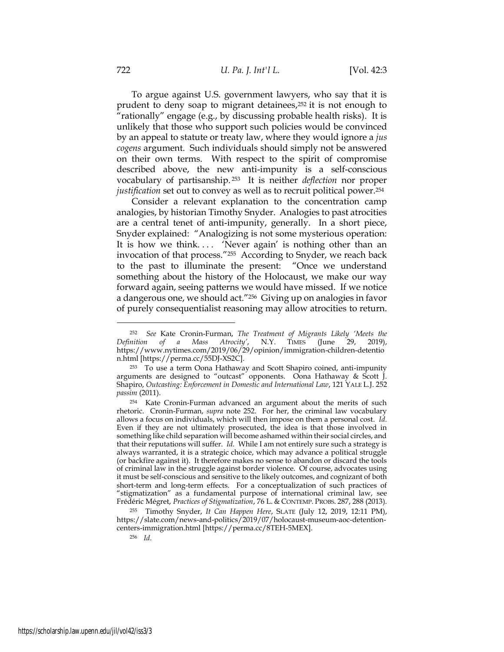To argue against U.S. government lawyers, who say that it is prudent to deny soap to migrant detainees,<sup>252</sup> it is not enough to "rationally" engage (e.g., by discussing probable health risks). It is unlikely that those who support such policies would be convinced by an appeal to statute or treaty law, where they would ignore a *jus cogens* argument. Such individuals should simply not be answered on their own terms. With respect to the spirit of compromise described above, the new anti-impunity is a self-conscious vocabulary of partisanship. <sup>253</sup> It is neither *deflection* nor proper *justification* set out to convey as well as to recruit political power.<sup>254</sup>

<span id="page-47-0"></span>Consider a relevant explanation to the concentration camp analogies, by historian Timothy Snyder. Analogies to past atrocities are a central tenet of anti-impunity, generally. In a short piece, Snyder explained: "Analogizing is not some mysterious operation: It is how we think.... 'Never again' is nothing other than an invocation of that process."255 According to Snyder, we reach back to the past to illuminate the present: "Once we understand something about the history of the Holocaust, we make our way forward again, seeing patterns we would have missed. If we notice a dangerous one, we should act."256 Giving up on analogies in favor of purely consequentialist reasoning may allow atrocities to return.

<sup>252</sup> *See* Kate Cronin-Furman, *The Treatment of Migrants Likely 'Meets the Definition of a Mass Atrocity'*, N.Y. TIMES (June 29, 2019), https://www.nytimes.com/2019/06/29/opinion/immigration-children-detentio n.html [https://perma.cc/55DJ-XS2C].

<sup>253</sup> To use a term Oona Hathaway and Scott Shapiro coined, anti-impunity arguments are designed to "outcast" opponents. Oona Hathaway & Scott J. Shapiro, *Outcasting: Enforcement in Domestic and International Law*, 121 YALE L.J. 252 *passim* (2011).

<sup>254</sup> Kate Cronin-Furman advanced an argument about the merits of such rhetoric. Cronin-Furman, *supra* note 252. For her, the criminal law vocabulary allows a focus on individuals, which will then impose on them a personal cost. *Id.* Even if they are not ultimately prosecuted, the idea is that those involved in something like child separation will become ashamed within their social circles, and that their reputations will suffer. *Id.* While I am not entirely sure such a strategy is always warranted, it is a strategic choice, which may advance a political struggle (or backfire against it). It therefore makes no sense to abandon or discard the tools of criminal law in the struggle against border violence. Of course, advocates using it must be self-conscious and sensitive to the likely outcomes, and cognizant of both short-term and long-term effects. For a conceptualization of such practices of "stigmatization" as a fundamental purpose of international criminal law, see Frédéric Mégret, *Practices of Stigmatization*, 76 L. & CONTEMP. PROBS. 287, 288 (2013).

<sup>255</sup> Timothy Snyder, *It Can Happen Here*, SLATE (July 12, 2019, 12:11 PM), https://slate.com/news-and-politics/2019/07/holocaust-museum-aoc-detentioncenters-immigration.html [https://perma.cc/8TEH-5MEX].

<sup>256</sup> *Id.*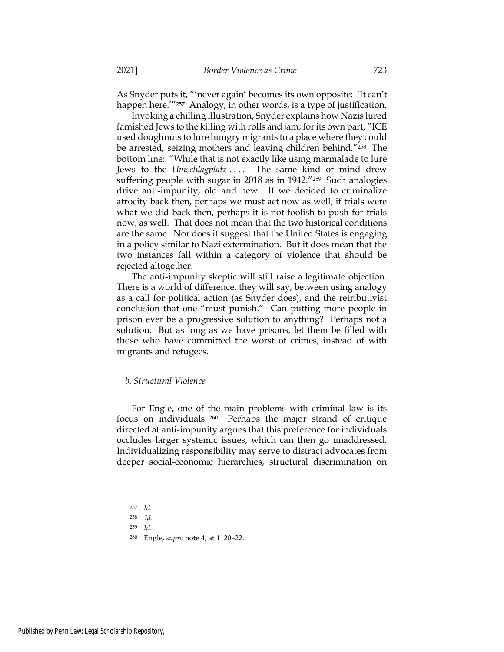As Snyder puts it, "'never again' becomes its own opposite: 'It can't happen here.'"<sup>257</sup> Analogy, in other words, is a type of justification.

Invoking a chilling illustration, Snyder explains how Nazis lured famished Jews to the killing with rolls and jam; for its own part, "ICE used doughnuts to lure hungry migrants to a place where they could be arrested, seizing mothers and leaving children behind."258 The bottom line: "While that is not exactly like using marmalade to lure Jews to the *Umschlagplatz* .... The same kind of mind drew suffering people with sugar in 2018 as in 1942."259 Such analogies drive anti-impunity, old and new. If we decided to criminalize atrocity back then, perhaps we must act now as well; if trials were what we did back then, perhaps it is not foolish to push for trials now, as well. That does not mean that the two historical conditions are the same. Nor does it suggest that the United States is engaging in a policy similar to Nazi extermination. But it does mean that the two instances fall within a category of violence that should be rejected altogether.

The anti-impunity skeptic will still raise a legitimate objection. There is a world of difference, they will say, between using analogy as a call for political action (as Snyder does), and the retributivist conclusion that one "must punish." Can putting more people in prison ever be a progressive solution to anything? Perhaps not a solution. But as long as we have prisons, let them be filled with those who have committed the worst of crimes, instead of with migrants and refugees.

# *b. Structural Violence*

For Engle, one of the main problems with criminal law is its focus on individuals. <sup>260</sup> Perhaps the major strand of critique directed at anti-impunity argues that this preference for individuals occludes larger systemic issues, which can then go unaddressed. Individualizing responsibility may serve to distract advocates from deeper social-economic hierarchies, structural discrimination on

<sup>257</sup> *Id*.

<sup>258</sup> *Id*.

<sup>259</sup> *Id*.

<sup>260</sup> Engle, *supra* not[e 4,](#page-3-0) at 1120–22.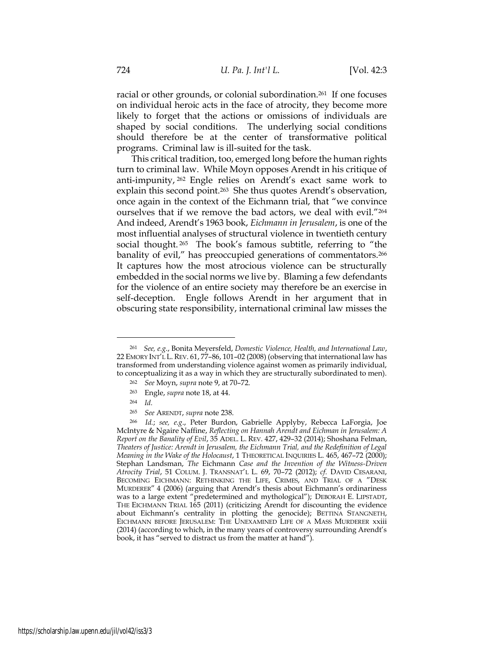racial or other grounds, or colonial subordination.261 If one focuses on individual heroic acts in the face of atrocity, they become more likely to forget that the actions or omissions of individuals are shaped by social conditions. The underlying social conditions should therefore be at the center of transformative political programs. Criminal law is ill-suited for the task.

This critical tradition, too, emerged long before the human rights turn to criminal law. While Moyn opposes Arendt in his critique of anti-impunity, <sup>262</sup> Engle relies on Arendt's exact same work to explain this second point.<sup>263</sup> She thus quotes Arendt's observation, once again in the context of the Eichmann trial, that "we convince ourselves that if we remove the bad actors, we deal with evil."<sup>264</sup> And indeed, Arendt's 1963 book, *Eichmann in Jerusalem*, is one of the most influential analyses of structural violence in twentieth century social thought.<sup>265</sup> The book's famous subtitle, referring to "the banality of evil," has preoccupied generations of commentators.<sup>266</sup> It captures how the most atrocious violence can be structurally embedded in the social norms we live by. Blaming a few defendants for the violence of an entire society may therefore be an exercise in self-deception. Engle follows Arendt in her argument that in obscuring state responsibility, international criminal law misses the

<sup>261</sup> *See, e.g*., Bonita Meyersfeld, *Domestic Violence, Health, and International Law*, 22 EMORY INT'L L.REV. 61, 77–86, 101–02 (2008) (observing that international law has transformed from understanding violence against women as primarily individual, to conceptualizing it as a way in which they are structurally subordinated to men).

<sup>262</sup> *See* Moyn, *supra* not[e 9,](#page-4-0) at 70–72.

<sup>263</sup> Engle, *supra* not[e 18,](#page-6-0) at 44.

<sup>264</sup> *Id.*

<sup>265</sup> *See* ARENDT, *supra* note 238.

<sup>266</sup> *Id.*; *see, e.g*., Peter Burdon, Gabrielle Applyby, Rebecca LaForgia, Joe McIntyre & Ngaire Naffine, *Reflecting on Hannah Arendt and Eichman in Jerusalem: A Report on the Banality of Evil*, 35 ADEL. L. REV. 427, 429–32 (2014); Shoshana Felman, *Theaters of Justice: Arendt in Jerusalem, the Eichmann Trial, and the Redefinition of Legal Meaning in the Wake of the Holocaust*, 1 THEORETICAL INQUIRIES L. 465, 467–72 (2000); Stephan Landsman, *The* Eichmann *Case and the Invention of the Witness-Driven Atrocity Trial*, 51 COLUM. J. TRANSNAT'L L. 69, 70–72 (2012); *cf.* DAVID CESARANI, BECOMING EICHMANN: RETHINKING THE LIFE, CRIMES, AND TRIAL OF A "DESK MURDERER" 4 (2006) (arguing that Arendt's thesis about Eichmann's ordinariness was to a large extent "predetermined and mythological"); DEBORAH E. LIPSTADT, THE EICHMANN TRIAL 165 (2011) (criticizing Arendt for discounting the evidence about Eichmann's centrality in plotting the genocide); BETTINA STANGNETH, EICHMANN BEFORE JERUSALEM: THE UNEXAMINED LIFE OF A MASS MURDERER xxiii (2014) (according to which, in the many years of controversy surrounding Arendt's book, it has "served to distract us from the matter at hand").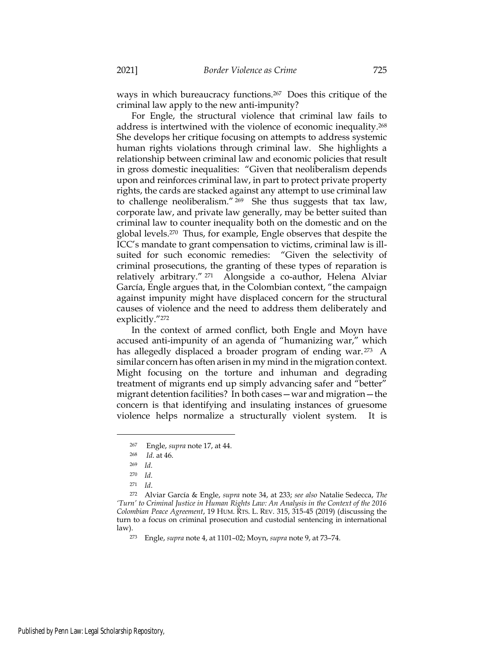ways in which bureaucracy functions.267 Does this critique of the criminal law apply to the new anti-impunity?

For Engle, the structural violence that criminal law fails to address is intertwined with the violence of economic inequality.<sup>268</sup> She develops her critique focusing on attempts to address systemic human rights violations through criminal law. She highlights a relationship between criminal law and economic policies that result in gross domestic inequalities: "Given that neoliberalism depends upon and reinforces criminal law, in part to protect private property rights, the cards are stacked against any attempt to use criminal law to challenge neoliberalism." 269 She thus suggests that tax law, corporate law, and private law generally, may be better suited than criminal law to counter inequality both on the domestic and on the global levels.270 Thus, for example, Engle observes that despite the ICC's mandate to grant compensation to victims, criminal law is illsuited for such economic remedies: "Given the selectivity of criminal prosecutions, the granting of these types of reparation is relatively arbitrary." <sup>271</sup> Alongside a co-author, Helena Alviar García, Engle argues that, in the Colombian context, "the campaign against impunity might have displaced concern for the structural causes of violence and the need to address them deliberately and explicitly."<sup>272</sup>

In the context of armed conflict, both Engle and Moyn have accused anti-impunity of an agenda of "humanizing war," which has allegedly displaced a broader program of ending war.<sup>273</sup> A similar concern has often arisen in my mind in the migration context. Might focusing on the torture and inhuman and degrading treatment of migrants end up simply advancing safer and "better" migrant detention facilities? In both cases—war and migration—the concern is that identifying and insulating instances of gruesome violence helps normalize a structurally violent system. It is

<sup>267</sup> Engle, *supra* note 17, at 44.

<sup>268</sup> *Id*. at 46.

<sup>269</sup> *Id.*

<sup>270</sup> *Id.*

<sup>271</sup> *Id*.

<sup>272</sup> Alviar García & Engle, *supra* note [34,](#page-9-0) at 233; *see also* Natalie Sedecca, *The 'Turn' to Criminal Justice in Human Rights Law: An Analysis in the Context of the 2016 Colombian Peace Agreement*, 19 HUM. RTS. L. REV. 315, 315-45 (2019) (discussing the turn to a focus on criminal prosecution and custodial sentencing in international law).

<sup>273</sup> Engle, *supra* note 4, at 1101–02; Moyn, *supra* not[e 9,](#page-4-0) at 73–74.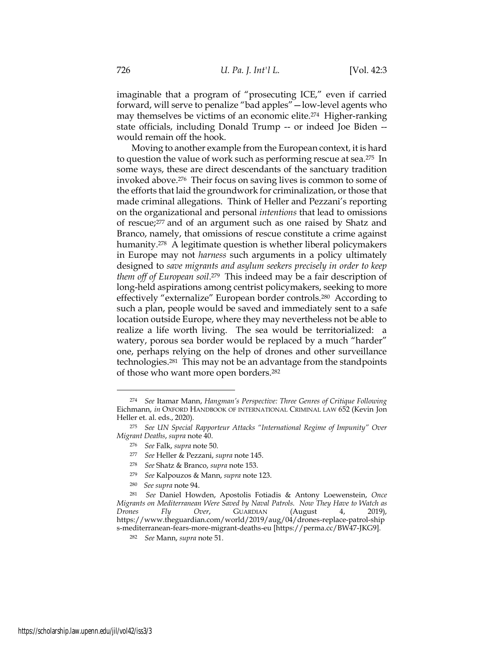imaginable that a program of "prosecuting ICE," even if carried forward, will serve to penalize "bad apples"—low-level agents who may themselves be victims of an economic elite.274 Higher-ranking state officials, including Donald Trump -- or indeed Joe Biden - would remain off the hook.

Moving to another example from the European context, it is hard to question the value of work such as performing rescue at sea.275 In some ways, these are direct descendants of the sanctuary tradition invoked above.<sup>276</sup> Their focus on saving lives is common to some of the efforts that laid the groundwork for criminalization, or those that made criminal allegations. Think of Heller and Pezzani's reporting on the organizational and personal *intentions* that lead to omissions of rescue;<sup>277</sup> and of an argument such as one raised by Shatz and Branco, namely, that omissions of rescue constitute a crime against humanity.278 A legitimate question is whether liberal policymakers in Europe may not *harness* such arguments in a policy ultimately designed to *save migrants and asylum seekers precisely in order to keep them off of European soil*. <sup>279</sup> This indeed may be a fair description of long-held aspirations among centrist policymakers, seeking to more effectively "externalize" European border controls.280 According to such a plan, people would be saved and immediately sent to a safe location outside Europe, where they may nevertheless not be able to realize a life worth living. The sea would be territorialized: a watery, porous sea border would be replaced by a much "harder" one, perhaps relying on the help of drones and other surveillance technologies.281 This may not be an advantage from the standpoints of those who want more open borders.<sup>282</sup>

- <sup>279</sup> *See* Kalpouzos & Mann, *supra* note 123.
- <sup>280</sup> *See supra* note 94.

<sup>274</sup> *See* Itamar Mann, *Hangman's Perspective: Three Genres of Critique Following*  Eichmann, *in* OXFORD HANDBOOK OF INTERNATIONAL CRIMINAL LAW 652 (Kevin Jon Heller et. al. eds., 2020).

<sup>275</sup> *See UN Special Rapporteur Attacks "International Regime of Impunity" Over Migrant Deaths*, *supra* note [40.](#page-10-0)

<sup>276</sup> *See* Falk, *supra* note [50.](#page-12-0)

<sup>277</sup> *See* Heller & Pezzani, *supra* note 145.

<sup>278</sup> *See* Shatz & Branco, *supra* note 153.

<sup>281</sup> *See* Daniel Howden, Apostolis Fotiadis & Antony Loewenstein, *Once Migrants on Mediterranean Were Saved by Naval Patrols. Now They Have to Watch as Drones Fly Over*, GUARDIAN (August 4, 2019), https://www.theguardian.com/world/2019/aug/04/drones-replace-patrol-ship s-mediterranean-fears-more-migrant-deaths-eu [https://perma.cc/BW47-JKG9].

<sup>282</sup> *See* Mann, *supra* note 51.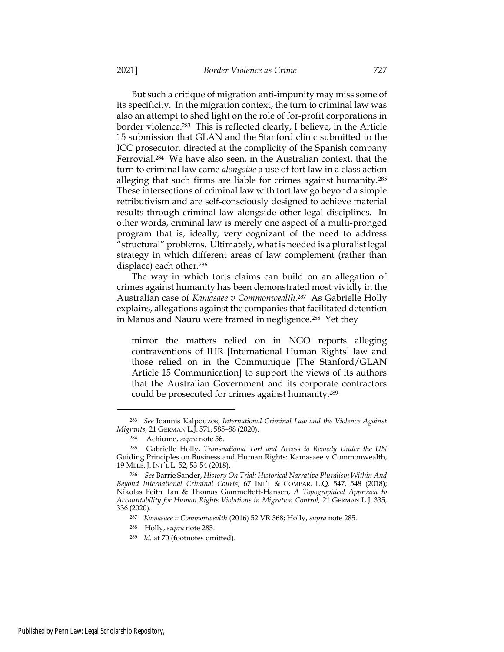But such a critique of migration anti-impunity may miss some of its specificity. In the migration context, the turn to criminal law was also an attempt to shed light on the role of for-profit corporations in border violence.283 This is reflected clearly, I believe, in the Article 15 submission that GLAN and the Stanford clinic submitted to the ICC prosecutor, directed at the complicity of the Spanish company Ferrovial.284 We have also seen, in the Australian context, that the turn to criminal law came *alongside* a use of tort law in a class action alleging that such firms are liable for crimes against humanity.<sup>285</sup> These intersections of criminal law with tort law go beyond a simple retributivism and are self-consciously designed to achieve material results through criminal law alongside other legal disciplines. In other words, criminal law is merely one aspect of a multi-pronged program that is, ideally, very cognizant of the need to address "structural" problems. Ultimately, what is needed is a pluralist legal strategy in which different areas of law complement (rather than displace) each other.<sup>286</sup>

The way in which torts claims can build on an allegation of crimes against humanity has been demonstrated most vividly in the Australian case of *Kamasaee v Commonwealth*. <sup>287</sup> As Gabrielle Holly explains, allegations against the companies that facilitated detention in Manus and Nauru were framed in negligence.288 Yet they

mirror the matters relied on in NGO reports alleging contraventions of IHR [International Human Rights] law and those relied on in the Communiqué [The Stanford/GLAN Article 15 Communication] to support the views of its authors that the Australian Government and its corporate contractors could be prosecuted for crimes against humanity.<sup>289</sup>

- <sup>288</sup> Holly, *supra* note 285.
- <sup>289</sup> *Id.* at 70 (footnotes omitted).

<sup>283</sup> *See* Ioannis Kalpouzos, *International Criminal Law and the Violence Against Migrants*, 21 GERMAN L.J. 571, 585–88 (2020).

<sup>284</sup> Achiume, *supra* note 56.

<sup>285</sup> Gabrielle Holly, *Transnational Tort and Access to Remedy Under the UN*  Guiding Principles on Business and Human Rights: Kamasaee v Commonwealth, 19 MELB. J. INT'L L. 52, 53-54 (2018).

<sup>286</sup> *See* Barrie Sander, *History On Trial: Historical Narrative Pluralism Within And Beyond International Criminal Courts*, 67 INT'L & COMPAR. L.Q. 547, 548 (2018); Nikolas Feith Tan & Thomas Gammeltoft-Hansen, *A Topographical Approach to Accountability for Human Rights Violations in Migration Control,* 21 GERMAN L.J. 335, 336 (2020).

<sup>287</sup> *Kamasaee v Commonwealth* (2016) 52 VR 368; Holly, *supra* note 285.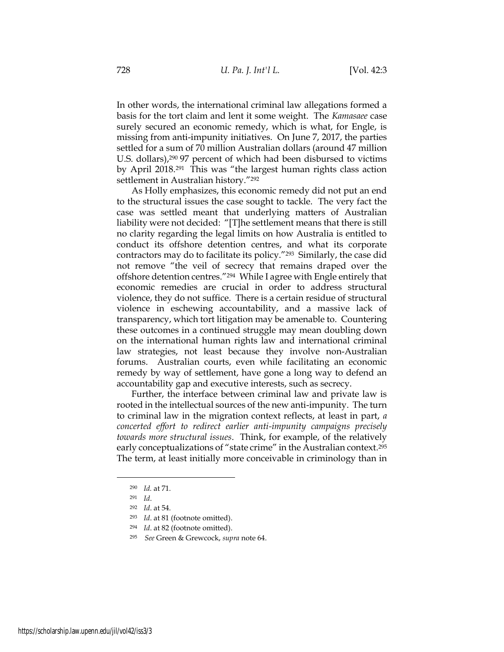In other words, the international criminal law allegations formed a basis for the tort claim and lent it some weight. The *Kamasaee* case surely secured an economic remedy, which is what, for Engle, is missing from anti-impunity initiatives. On June 7, 2017, the parties settled for a sum of 70 million Australian dollars (around 47 million U.S. dollars),<sup>290</sup> 97 percent of which had been disbursed to victims by April 2018.<sup>291</sup> This was "the largest human rights class action settlement in Australian history."<sup>292</sup>

As Holly emphasizes, this economic remedy did not put an end to the structural issues the case sought to tackle. The very fact the case was settled meant that underlying matters of Australian liability were not decided: "[T]he settlement means that there is still no clarity regarding the legal limits on how Australia is entitled to conduct its offshore detention centres, and what its corporate contractors may do to facilitate its policy."293 Similarly, the case did not remove "the veil of secrecy that remains draped over the offshore detention centres."294 While I agree with Engle entirely that economic remedies are crucial in order to address structural violence, they do not suffice. There is a certain residue of structural violence in eschewing accountability, and a massive lack of transparency, which tort litigation may be amenable to. Countering these outcomes in a continued struggle may mean doubling down on the international human rights law and international criminal law strategies, not least because they involve non-Australian forums. Australian courts, even while facilitating an economic remedy by way of settlement, have gone a long way to defend an accountability gap and executive interests, such as secrecy.

Further, the interface between criminal law and private law is rooted in the intellectual sources of the new anti-impunity. The turn to criminal law in the migration context reflects, at least in part, *a concerted effort to redirect earlier anti-impunity campaigns precisely towards more structural issues*. Think, for example, of the relatively early conceptualizations of "state crime" in the Australian context.<sup>295</sup> The term, at least initially more conceivable in criminology than in

- <sup>294</sup> *Id*. at 82 (footnote omitted).
- <sup>295</sup> *See* Green & Grewcock, *supra* note 64.

<sup>290</sup> *Id.* at 71.

<sup>291</sup> *Id*.

<sup>292</sup> *Id*. at 54.

<sup>293</sup> *Id*. at 81 (footnote omitted).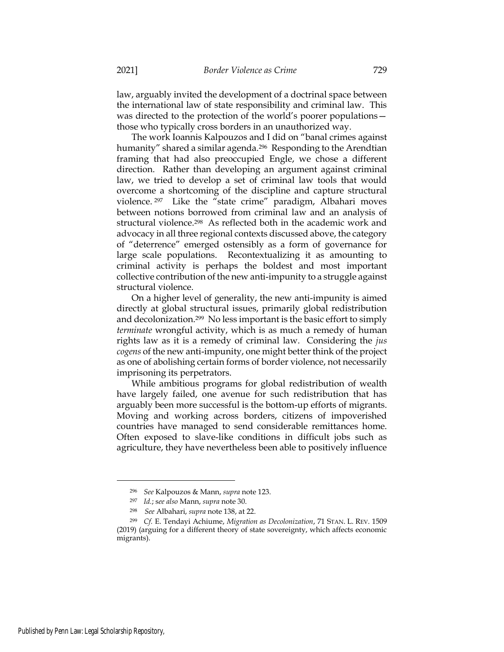law, arguably invited the development of a doctrinal space between the international law of state responsibility and criminal law. This was directed to the protection of the world's poorer populations those who typically cross borders in an unauthorized way.

The work Ioannis Kalpouzos and I did on "banal crimes against humanity" shared a similar agenda.<sup>296</sup> Responding to the Arendtian framing that had also preoccupied Engle, we chose a different direction. Rather than developing an argument against criminal law, we tried to develop a set of criminal law tools that would overcome a shortcoming of the discipline and capture structural violence. <sup>297</sup> Like the "state crime" paradigm, Albahari moves between notions borrowed from criminal law and an analysis of structural violence.298 As reflected both in the academic work and advocacy in all three regional contexts discussed above, the category of "deterrence" emerged ostensibly as a form of governance for large scale populations. Recontextualizing it as amounting to criminal activity is perhaps the boldest and most important collective contribution of the new anti-impunity to a struggle against structural violence.

On a higher level of generality, the new anti-impunity is aimed directly at global structural issues, primarily global redistribution and decolonization.299 No less important is the basic effort to simply *terminate* wrongful activity, which is as much a remedy of human rights law as it is a remedy of criminal law. Considering the *jus cogens* of the new anti-impunity, one might better think of the project as one of abolishing certain forms of border violence, not necessarily imprisoning its perpetrators.

While ambitious programs for global redistribution of wealth have largely failed, one avenue for such redistribution that has arguably been more successful is the bottom-up efforts of migrants. Moving and working across borders, citizens of impoverished countries have managed to send considerable remittances home. Often exposed to slave-like conditions in difficult jobs such as agriculture, they have nevertheless been able to positively influence

<sup>296</sup> *See* Kalpouzos & Mann, *supra* note 123.

<sup>297</sup> *Id.*; s*ee also* Mann, *supra* note 30.

<sup>298</sup> *See* Albahari, *supra* note 138, at 22.

<sup>299</sup> *Cf.* E. Tendayi Achiume, *Migration as Decolonization*, 71 STAN. L. REV. 1509 (2019) (arguing for a different theory of state sovereignty, which affects economic migrants).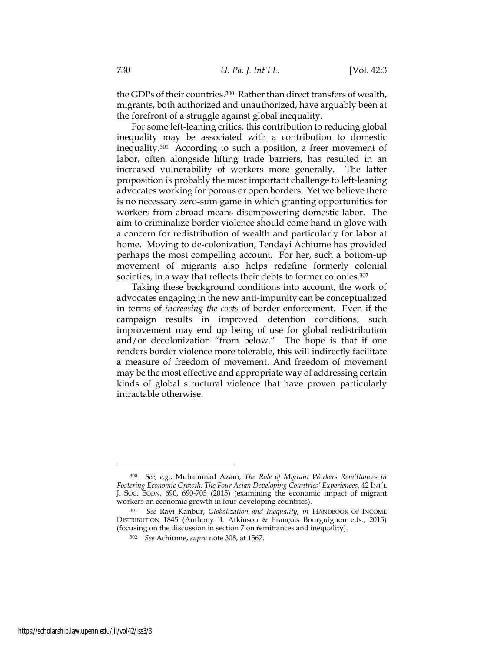the GDPs of their countries.300 Rather than direct transfers of wealth, migrants, both authorized and unauthorized, have arguably been at the forefront of a struggle against global inequality.

For some left-leaning critics, this contribution to reducing global inequality may be associated with a contribution to domestic inequality.301 According to such a position, a freer movement of labor, often alongside lifting trade barriers, has resulted in an increased vulnerability of workers more generally. The latter proposition is probably the most important challenge to left-leaning advocates working for porous or open borders. Yet we believe there is no necessary zero-sum game in which granting opportunities for workers from abroad means disempowering domestic labor. The aim to criminalize border violence should come hand in glove with a concern for redistribution of wealth and particularly for labor at home. Moving to de-colonization, Tendayi Achiume has provided perhaps the most compelling account. For her, such a bottom-up movement of migrants also helps redefine formerly colonial societies, in a way that reflects their debts to former colonies.<sup>302</sup>

Taking these background conditions into account, the work of advocates engaging in the new anti-impunity can be conceptualized in terms of *increasing the costs* of border enforcement. Even if the campaign results in improved detention conditions, such improvement may end up being of use for global redistribution and/or decolonization "from below." The hope is that if one renders border violence more tolerable, this will indirectly facilitate a measure of freedom of movement. And freedom of movement may be the most effective and appropriate way of addressing certain kinds of global structural violence that have proven particularly intractable otherwise.

<sup>300</sup> *See, e.g.*, Muhammad Azam, *The Role of Migrant Workers Remittances in Fostering Economic Growth: The Four Asian Developing Countries' Experiences*, 42 INT'L J. SOC. ECON. 690, 690-705 (2015) (examining the economic impact of migrant workers on economic growth in four developing countries).

<sup>301</sup> *See* Ravi Kanbur, *Globalization and Inequality, in* HANDBOOK OF INCOME DISTRIBUTION 1845 (Anthony B. Atkinson & François Bourguignon eds., 2015) (focusing on the discussion in section 7 on remittances and inequality).

<sup>302</sup> *See* Achiume, *supra* note 308, at 1567.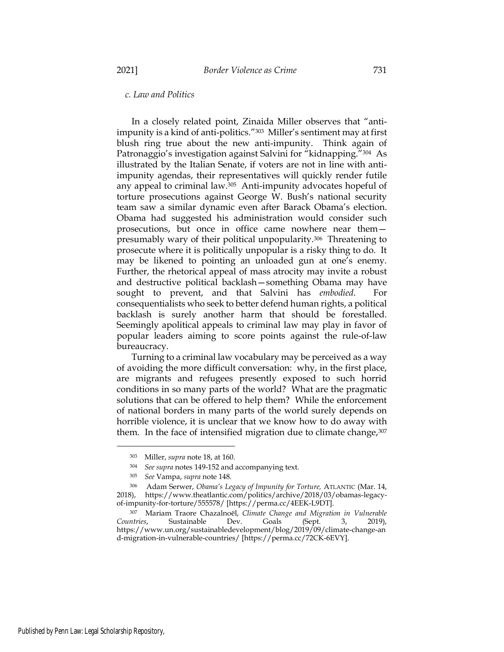# *c. Law and Politics*

In a closely related point, Zinaida Miller observes that "antiimpunity is a kind of anti-politics."<sup>303</sup> Miller's sentiment may at first blush ring true about the new anti-impunity. Think again of Patronaggio's investigation against Salvini for "kidnapping."304 As illustrated by the Italian Senate, if voters are not in line with antiimpunity agendas, their representatives will quickly render futile any appeal to criminal law.305 Anti-impunity advocates hopeful of torture prosecutions against George W. Bush's national security team saw a similar dynamic even after Barack Obama's election. Obama had suggested his administration would consider such prosecutions, but once in office came nowhere near them presumably wary of their political unpopularity.306 Threatening to prosecute where it is politically unpopular is a risky thing to do. It may be likened to pointing an unloaded gun at one's enemy. Further, the rhetorical appeal of mass atrocity may invite a robust and destructive political backlash—something Obama may have sought to prevent, and that Salvini has *embodied*. For consequentialists who seek to better defend human rights, a political backlash is surely another harm that should be forestalled. Seemingly apolitical appeals to criminal law may play in favor of popular leaders aiming to score points against the rule-of-law bureaucracy.

Turning to a criminal law vocabulary may be perceived as a way of avoiding the more difficult conversation: why, in the first place, are migrants and refugees presently exposed to such horrid conditions in so many parts of the world? What are the pragmatic solutions that can be offered to help them? While the enforcement of national borders in many parts of the world surely depends on horrible violence, it is unclear that we know how to do away with them. In the face of intensified migration due to climate change, 307

<sup>303</sup> Miller, *supra* note 18, at 160.

<sup>304</sup> *See supra* notes 149-152 and accompanying text.

<sup>305</sup> *See* Vampa, *supra* note 148.

<sup>306</sup> Adam Serwer, *Obama's Legacy of Impunity for Torture,* ATLANTIC (Mar. 14, 2018), https://www.theatlantic.com/politics/archive/2018/03/obamas-legacyof-impunity-for-torture/555578/ [https://perma.cc/4EEK-L9DT].

<sup>307</sup> Mariam Traore Chazalnoël, *Climate Change and Migration in Vulnerable Countries*, Sustainable Dev. Goals (Sept. 3, 2019), https://www.un.org/sustainabledevelopment/blog/2019/09/climate-change-an d-migration-in-vulnerable-countries/ [https://perma.cc/72CK-6EVY].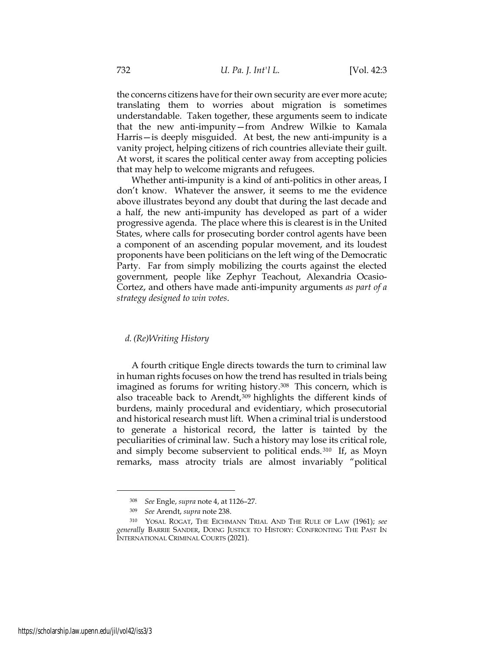the concerns citizens have for their own security are ever more acute; translating them to worries about migration is sometimes understandable. Taken together, these arguments seem to indicate that the new anti-impunity—from Andrew Wilkie to Kamala Harris—is deeply misguided. At best, the new anti-impunity is a vanity project, helping citizens of rich countries alleviate their guilt. At worst, it scares the political center away from accepting policies that may help to welcome migrants and refugees.

Whether anti-impunity is a kind of anti-politics in other areas, I don't know. Whatever the answer, it seems to me the evidence above illustrates beyond any doubt that during the last decade and a half, the new anti-impunity has developed as part of a wider progressive agenda. The place where this is clearest is in the United States, where calls for prosecuting border control agents have been a component of an ascending popular movement, and its loudest proponents have been politicians on the left wing of the Democratic Party. Far from simply mobilizing the courts against the elected government, people like Zephyr Teachout, Alexandria Ocasio-Cortez, and others have made anti-impunity arguments *as part of a strategy designed to win votes*.

# *d.(Re)Writing History*

A fourth critique Engle directs towards the turn to criminal law in human rights focuses on how the trend has resulted in trials being imagined as forums for writing history.308 This concern, which is also traceable back to Arendt,<sup>309</sup> highlights the different kinds of burdens, mainly procedural and evidentiary, which prosecutorial and historical research must lift. When a criminal trial is understood to generate a historical record, the latter is tainted by the peculiarities of criminal law. Such a history may lose its critical role, and simply become subservient to political ends. <sup>310</sup> If, as Moyn remarks, mass atrocity trials are almost invariably "political

<sup>308</sup> *See* Engle, *supra* not[e 4,](#page-3-0) at 1126–27.

<sup>309</sup> *See* Arendt, *supra* note 238.

<sup>310</sup> YOSAL ROGAT, THE EICHMANN TRIAL AND THE RULE OF LAW (1961); *see generally* BARRIE SANDER, DOING JUSTICE TO HISTORY: CONFRONTING THE PAST IN INTERNATIONAL CRIMINAL COURTS (2021).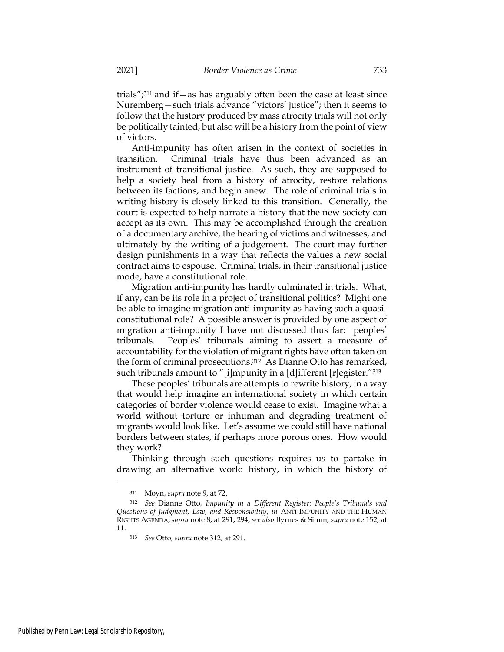trials"; $3^{11}$  and if  $-$  as has arguably often been the case at least since Nuremberg—such trials advance "victors' justice"; then it seems to follow that the history produced by mass atrocity trials will not only be politically tainted, but also will be a history from the point of view of victors.

Anti-impunity has often arisen in the context of societies in transition. Criminal trials have thus been advanced as an instrument of transitional justice. As such, they are supposed to help a society heal from a history of atrocity, restore relations between its factions, and begin anew. The role of criminal trials in writing history is closely linked to this transition. Generally, the court is expected to help narrate a history that the new society can accept as its own. This may be accomplished through the creation of a documentary archive, the hearing of victims and witnesses, and ultimately by the writing of a judgement. The court may further design punishments in a way that reflects the values a new social contract aims to espouse. Criminal trials, in their transitional justice mode, have a constitutional role.

Migration anti-impunity has hardly culminated in trials. What, if any, can be its role in a project of transitional politics? Might one be able to imagine migration anti-impunity as having such a quasiconstitutional role? A possible answer is provided by one aspect of migration anti-impunity I have not discussed thus far: peoples' tribunals. Peoples' tribunals aiming to assert a measure of accountability for the violation of migrant rights have often taken on the form of criminal prosecutions.312 As Dianne Otto has remarked, such tribunals amount to "[i]mpunity in a [d]ifferent [r]egister."<sup>313</sup>

These peoples' tribunals are attempts to rewrite history, in a way that would help imagine an international society in which certain categories of border violence would cease to exist. Imagine what a world without torture or inhuman and degrading treatment of migrants would look like. Let's assume we could still have national borders between states, if perhaps more porous ones. How would they work?

Thinking through such questions requires us to partake in drawing an alternative world history, in which the history of

<sup>311</sup> Moyn, *supra* not[e 9,](#page-4-0) at 72.

<sup>312</sup> *See* Dianne Otto, *Impunity in a Different Register: People's Tribunals and Questions of Judgment, Law, and Responsibility*, *in* ANTI-IMPUNITY AND THE HUMAN RIGHTS AGENDA, *supra* note 8, at 291, 294; *see also* Byrnes & Simm, *supra* note 152, at 11.

<sup>313</sup> *See* Otto, *supra* note 312, at 291.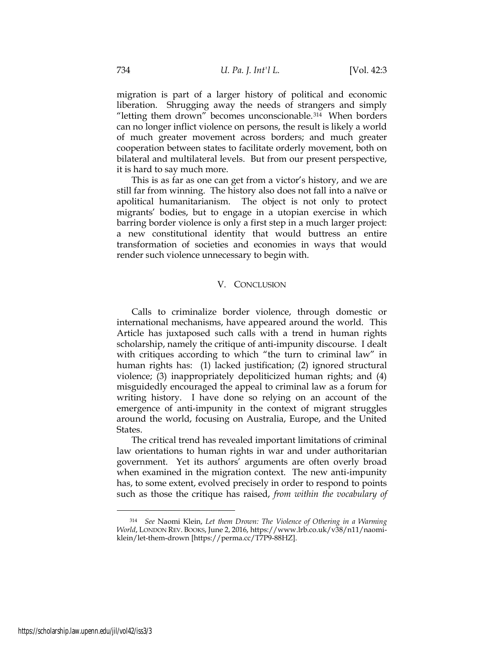migration is part of a larger history of political and economic liberation. Shrugging away the needs of strangers and simply "letting them drown" becomes unconscionable.314 When borders can no longer inflict violence on persons, the result is likely a world of much greater movement across borders; and much greater cooperation between states to facilitate orderly movement, both on bilateral and multilateral levels. But from our present perspective, it is hard to say much more.

This is as far as one can get from a victor's history, and we are still far from winning. The history also does not fall into a naïve or apolitical humanitarianism. The object is not only to protect migrants' bodies, but to engage in a utopian exercise in which barring border violence is only a first step in a much larger project: a new constitutional identity that would buttress an entire transformation of societies and economies in ways that would render such violence unnecessary to begin with.

# V. CONCLUSION

Calls to criminalize border violence, through domestic or international mechanisms, have appeared around the world. This Article has juxtaposed such calls with a trend in human rights scholarship, namely the critique of anti-impunity discourse. I dealt with critiques according to which "the turn to criminal law" in human rights has: (1) lacked justification; (2) ignored structural violence; (3) inappropriately depoliticized human rights; and (4) misguidedly encouraged the appeal to criminal law as a forum for writing history. I have done so relying on an account of the emergence of anti-impunity in the context of migrant struggles around the world, focusing on Australia, Europe, and the United States.

The critical trend has revealed important limitations of criminal law orientations to human rights in war and under authoritarian government. Yet its authors' arguments are often overly broad when examined in the migration context. The new anti-impunity has, to some extent, evolved precisely in order to respond to points such as those the critique has raised, *from within the vocabulary of* 

<sup>314</sup> *See* Naomi Klein, *Let them Drown: The Violence of Othering in a Warming World*, LONDON REV. BOOKS, June 2, 2016, https://www.lrb.co.uk/v38/n11/naomiklein/let-them-drown [https://perma.cc/T7P9-88HZ].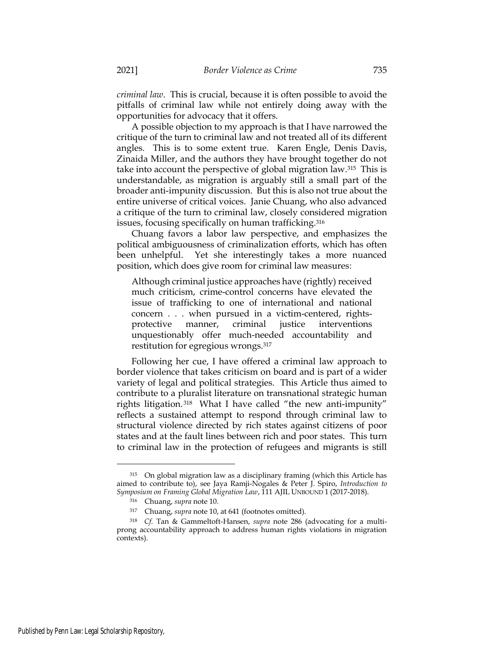*criminal law*. This is crucial, because it is often possible to avoid the pitfalls of criminal law while not entirely doing away with the opportunities for advocacy that it offers.

A possible objection to my approach is that I have narrowed the critique of the turn to criminal law and not treated all of its different angles. This is to some extent true. Karen Engle, Denis Davis, Zinaida Miller, and the authors they have brought together do not take into account the perspective of global migration law.315 This is understandable, as migration is arguably still a small part of the broader anti-impunity discussion. But this is also not true about the entire universe of critical voices. Janie Chuang, who also advanced a critique of the turn to criminal law, closely considered migration issues, focusing specifically on human trafficking.<sup>316</sup>

Chuang favors a labor law perspective, and emphasizes the political ambiguousness of criminalization efforts, which has often been unhelpful. Yet she interestingly takes a more nuanced position, which does give room for criminal law measures:

Although criminal justice approaches have (rightly) received much criticism, crime-control concerns have elevated the issue of trafficking to one of international and national concern . . . when pursued in a victim-centered, rightsprotective manner, criminal justice interventions unquestionably offer much-needed accountability and restitution for egregious wrongs.<sup>317</sup>

Following her cue, I have offered a criminal law approach to border violence that takes criticism on board and is part of a wider variety of legal and political strategies. This Article thus aimed to contribute to a pluralist literature on transnational strategic human rights litigation. <sup>318</sup> What I have called "the new anti-impunity" reflects a sustained attempt to respond through criminal law to structural violence directed by rich states against citizens of poor states and at the fault lines between rich and poor states. This turn to criminal law in the protection of refugees and migrants is still

<sup>&</sup>lt;sup>315</sup> On global migration law as a disciplinary framing (which this Article has aimed to contribute to), see Jaya Ramji-Nogales & Peter J. Spiro, *Introduction to Symposium on Framing Global Migration Law*, 111 AJIL UNBOUND 1 (2017-2018).

<sup>316</sup> Chuang, *supra* note 10.

<sup>317</sup> Chuang, *supra* not[e 10,](#page-4-1) at 641 (footnotes omitted).

<sup>318</sup> *Cf.* Tan & Gammeltoft-Hansen, *supra* note 286 (advocating for a multiprong accountability approach to address human rights violations in migration contexts).